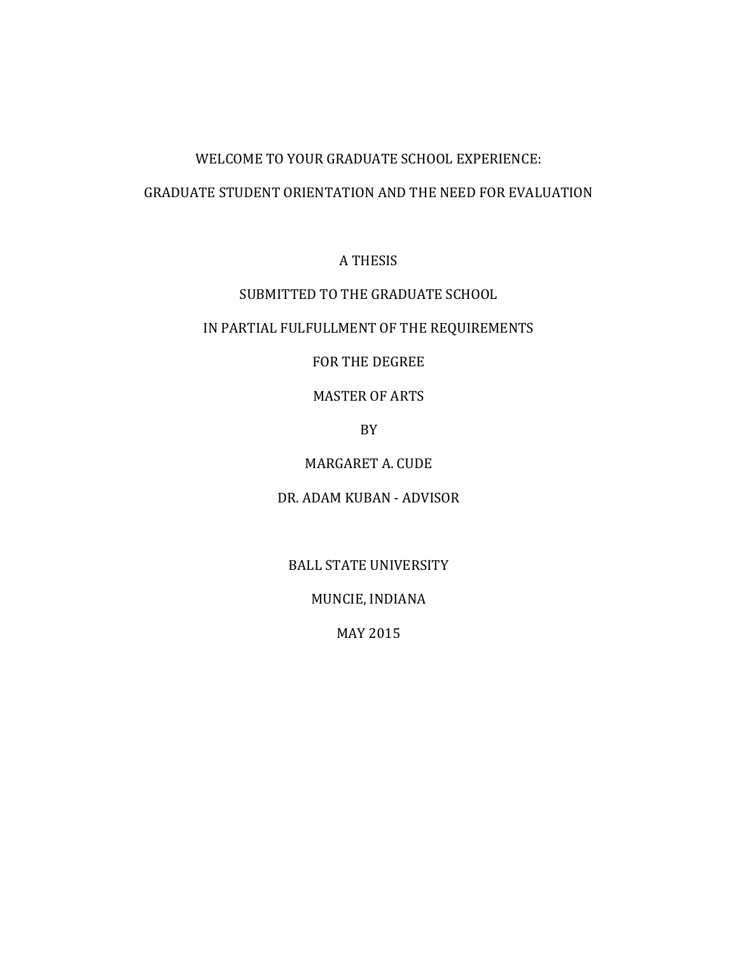### GRADUATE STUDENT ORIENTATION AND THE NEED FOR EVALUATION

# A THESIS

# SUBMITTED TO THE GRADUATE SCHOOL

# IN PARTIAL FULFULLMENT OF THE REQUIREMENTS

# FOR THE DEGREE

# MASTER OF ARTS

## BY

# MARGARET A. CUDE

# DR. ADAM KUBAN - ADVISOR

# BALL STATE UNIVERSITY

# MUNCIE, INDIANA

# MAY 2015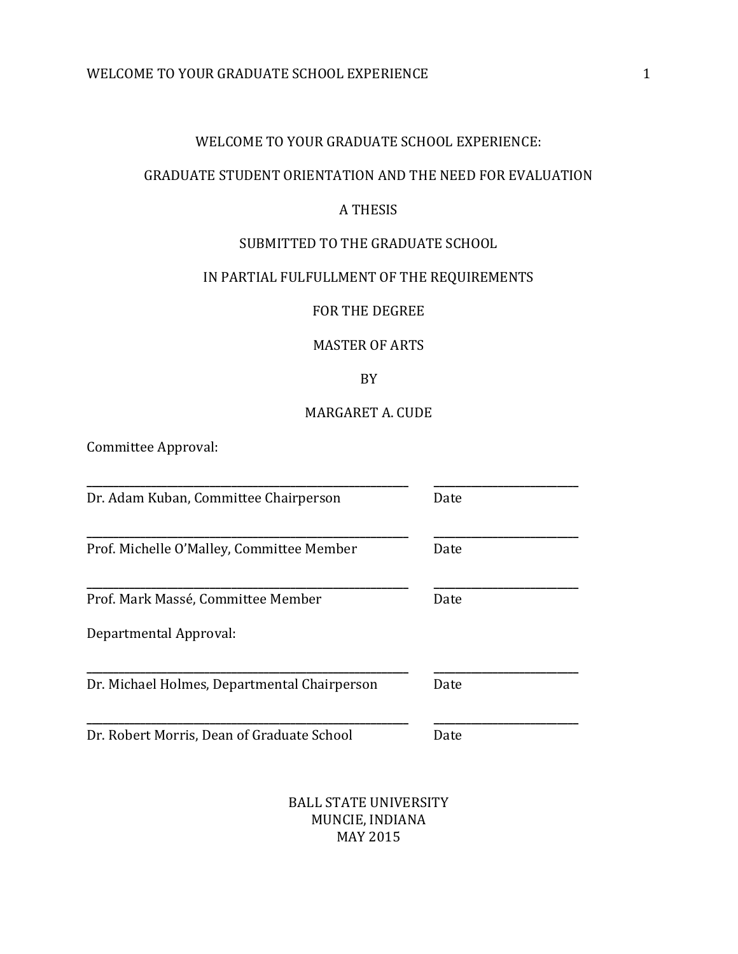# WELCOME TO YOUR GRADUATE SCHOOL EXPERIENCE:

#### GRADUATE STUDENT ORIENTATION AND THE NEED FOR EVALUATION

# A THESIS

#### SUBMITTED TO THE GRADUATE SCHOOL

# IN PARTIAL FULFULLMENT OF THE REQUIREMENTS

#### FOR THE DEGREE

#### MASTER OF ARTS

### BY

# MARGARET A. CUDE

Committee Approval:

| Dr. Adam Kuban, Committee Chairperson        | Date |
|----------------------------------------------|------|
| Prof. Michelle O'Malley, Committee Member    | Date |
| Prof. Mark Massé, Committee Member           | Date |
| Departmental Approval:                       |      |
| Dr. Michael Holmes, Departmental Chairperson | Date |
| Dr. Robert Morris, Dean of Graduate School   | Date |

BALL STATE UNIVERSITY MUNCIE, INDIANA MAY 2015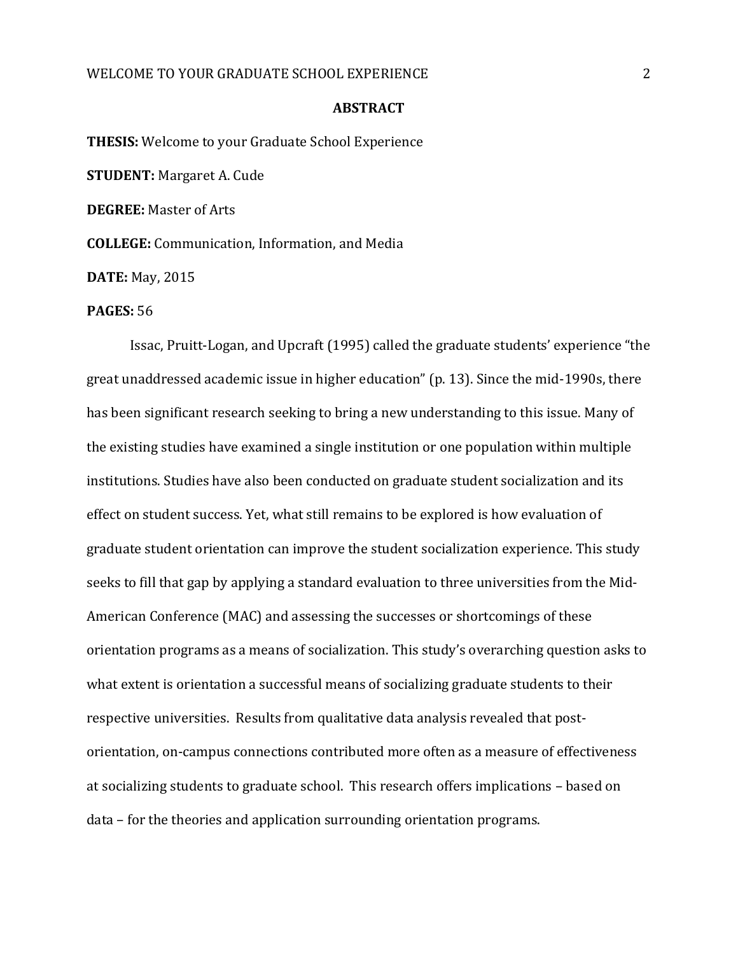#### **ABSTRACT**

**THESIS:** Welcome to your Graduate School Experience **STUDENT:** Margaret A. Cude **DEGREE:** Master of Arts **COLLEGE:** Communication, Information, and Media **DATE:** May, 2015

#### **PAGES:** 56

Issac, Pruitt-Logan, and Upcraft (1995) called the graduate students' experience "the great unaddressed academic issue in higher education" (p. 13). Since the mid-1990s, there has been significant research seeking to bring a new understanding to this issue. Many of the existing studies have examined a single institution or one population within multiple institutions. Studies have also been conducted on graduate student socialization and its effect on student success. Yet, what still remains to be explored is how evaluation of graduate student orientation can improve the student socialization experience. This study seeks to fill that gap by applying a standard evaluation to three universities from the Mid-American Conference (MAC) and assessing the successes or shortcomings of these orientation programs as a means of socialization. This study's overarching question asks to what extent is orientation a successful means of socializing graduate students to their respective universities. Results from qualitative data analysis revealed that postorientation, on-campus connections contributed more often as a measure of effectiveness at socializing students to graduate school. This research offers implications – based on data – for the theories and application surrounding orientation programs.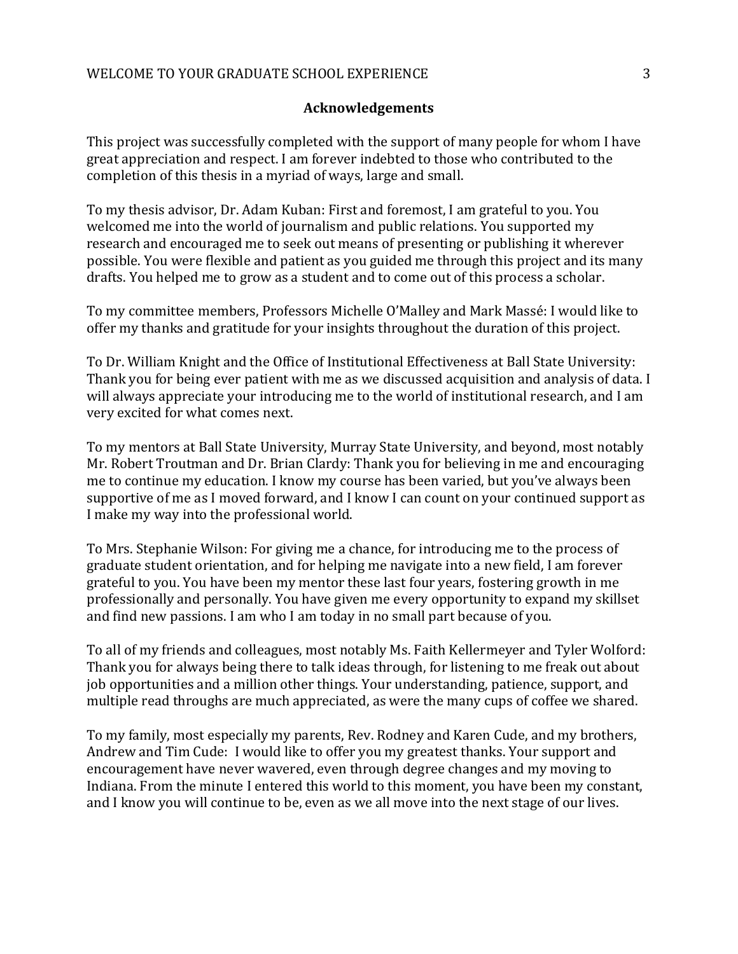### **Acknowledgements**

This project was successfully completed with the support of many people for whom I have great appreciation and respect. I am forever indebted to those who contributed to the completion of this thesis in a myriad of ways, large and small.

To my thesis advisor, Dr. Adam Kuban: First and foremost, I am grateful to you. You welcomed me into the world of journalism and public relations. You supported my research and encouraged me to seek out means of presenting or publishing it wherever possible. You were flexible and patient as you guided me through this project and its many drafts. You helped me to grow as a student and to come out of this process a scholar.

To my committee members, Professors Michelle O'Malley and Mark Massé: I would like to offer my thanks and gratitude for your insights throughout the duration of this project.

To Dr. William Knight and the Office of Institutional Effectiveness at Ball State University: Thank you for being ever patient with me as we discussed acquisition and analysis of data. I will always appreciate your introducing me to the world of institutional research, and I am very excited for what comes next.

To my mentors at Ball State University, Murray State University, and beyond, most notably Mr. Robert Troutman and Dr. Brian Clardy: Thank you for believing in me and encouraging me to continue my education. I know my course has been varied, but you've always been supportive of me as I moved forward, and I know I can count on your continued support as I make my way into the professional world.

To Mrs. Stephanie Wilson: For giving me a chance, for introducing me to the process of graduate student orientation, and for helping me navigate into a new field, I am forever grateful to you. You have been my mentor these last four years, fostering growth in me professionally and personally. You have given me every opportunity to expand my skillset and find new passions. I am who I am today in no small part because of you.

To all of my friends and colleagues, most notably Ms. Faith Kellermeyer and Tyler Wolford: Thank you for always being there to talk ideas through, for listening to me freak out about job opportunities and a million other things. Your understanding, patience, support, and multiple read throughs are much appreciated, as were the many cups of coffee we shared.

To my family, most especially my parents, Rev. Rodney and Karen Cude, and my brothers, Andrew and Tim Cude: I would like to offer you my greatest thanks. Your support and encouragement have never wavered, even through degree changes and my moving to Indiana. From the minute I entered this world to this moment, you have been my constant, and I know you will continue to be, even as we all move into the next stage of our lives.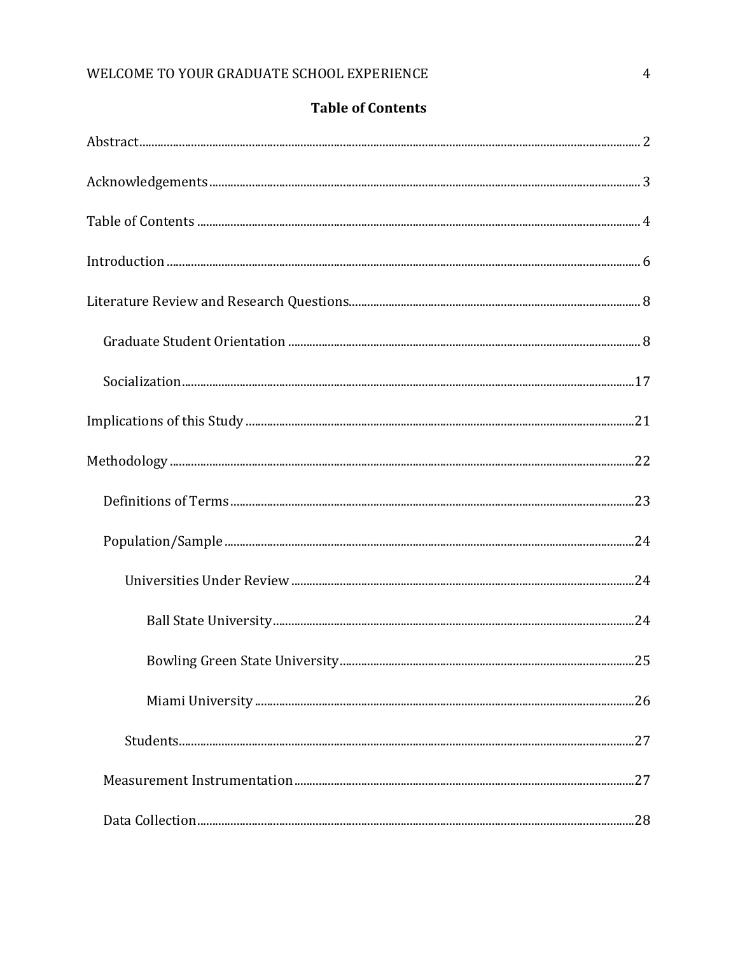|  |  | <b>Table of Contents</b> |
|--|--|--------------------------|
|--|--|--------------------------|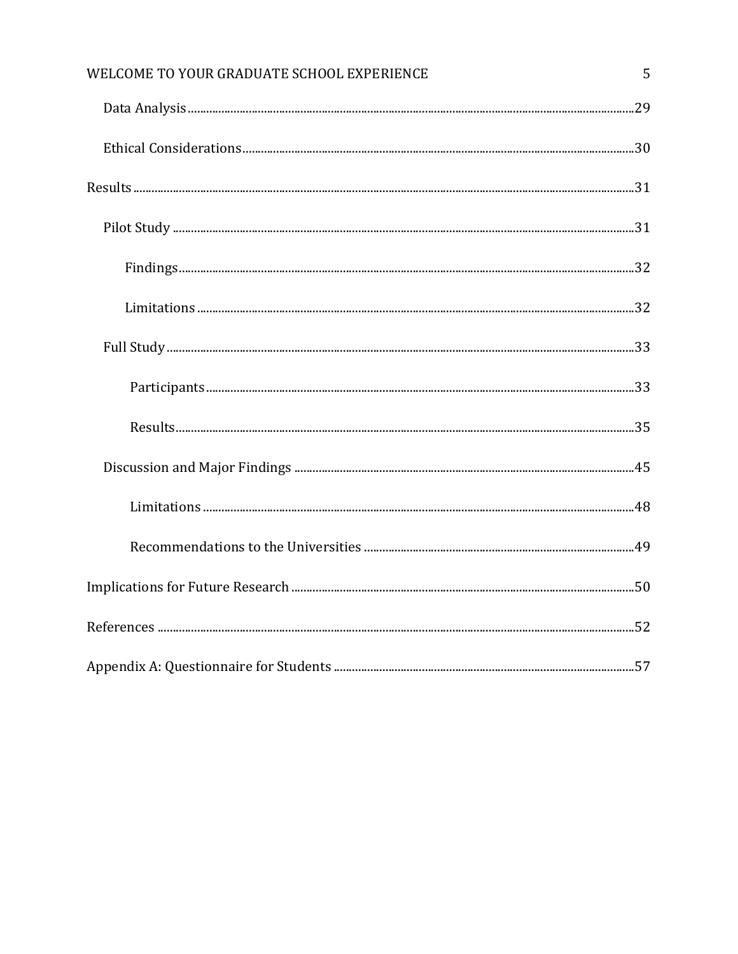| WELCOME TO YOUR GRADUATE SCHOOL EXPERIENCE | 5 |
|--------------------------------------------|---|
|                                            |   |
|                                            |   |
|                                            |   |
|                                            |   |
|                                            |   |
|                                            |   |
|                                            |   |
|                                            |   |
|                                            |   |
|                                            |   |
|                                            |   |
|                                            |   |
|                                            |   |
|                                            |   |
|                                            |   |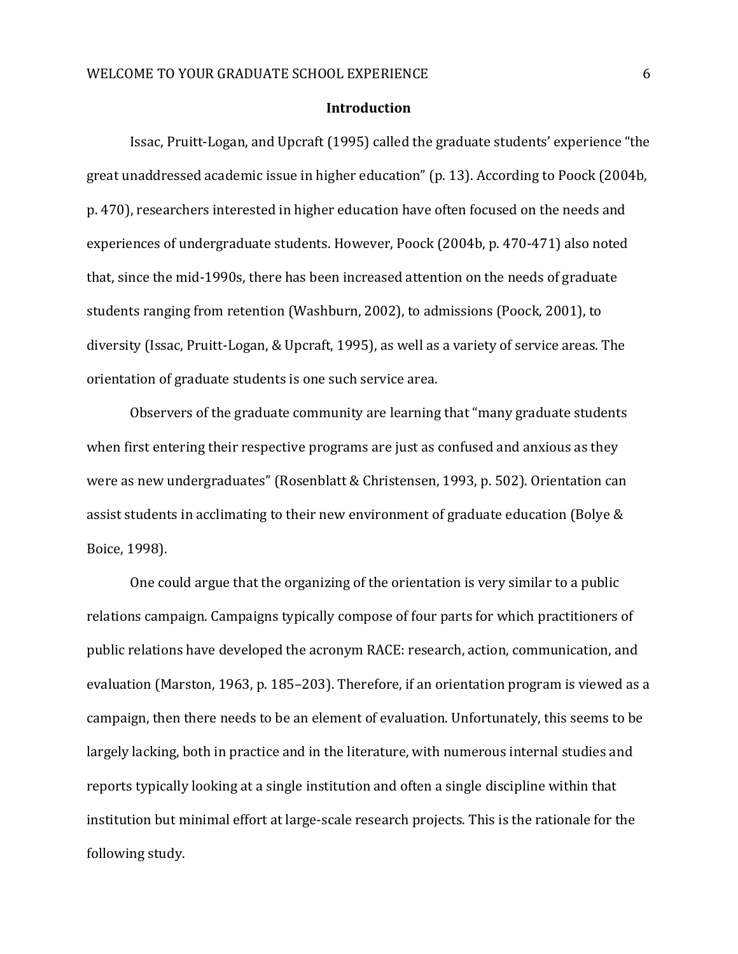#### **Introduction**

Issac, Pruitt-Logan, and Upcraft (1995) called the graduate students' experience "the great unaddressed academic issue in higher education" (p. 13). According to Poock (2004b, p. 470), researchers interested in higher education have often focused on the needs and experiences of undergraduate students. However, Poock (2004b, p. 470-471) also noted that, since the mid-1990s, there has been increased attention on the needs of graduate students ranging from retention (Washburn, 2002), to admissions (Poock, 2001), to diversity (Issac, Pruitt-Logan, & Upcraft, 1995), as well as a variety of service areas. The orientation of graduate students is one such service area.

Observers of the graduate community are learning that "many graduate students when first entering their respective programs are just as confused and anxious as they were as new undergraduates" (Rosenblatt & Christensen, 1993, p. 502). Orientation can assist students in acclimating to their new environment of graduate education (Bolye & Boice, 1998).

One could argue that the organizing of the orientation is very similar to a public relations campaign. Campaigns typically compose of four parts for which practitioners of public relations have developed the acronym RACE: research, action, communication, and evaluation (Marston, 1963, p. 185–203). Therefore, if an orientation program is viewed as a campaign, then there needs to be an element of evaluation. Unfortunately, this seems to be largely lacking, both in practice and in the literature, with numerous internal studies and reports typically looking at a single institution and often a single discipline within that institution but minimal effort at large-scale research projects. This is the rationale for the following study.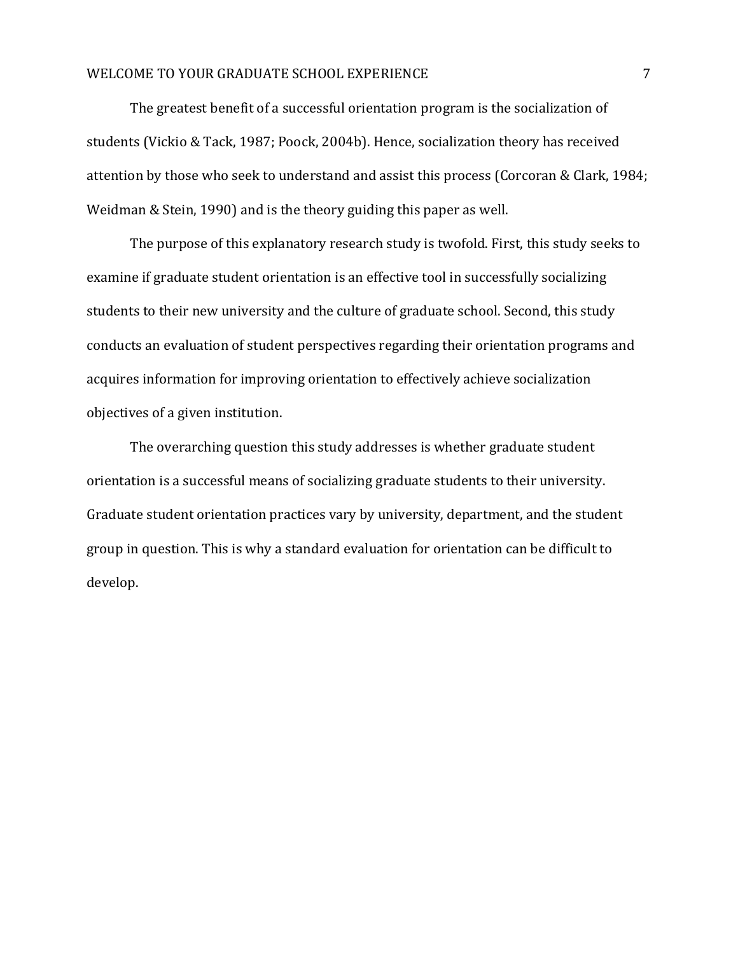The greatest benefit of a successful orientation program is the socialization of students (Vickio & Tack, 1987; Poock, 2004b). Hence, socialization theory has received attention by those who seek to understand and assist this process (Corcoran & Clark, 1984; Weidman & Stein, 1990) and is the theory guiding this paper as well.

The purpose of this explanatory research study is twofold. First, this study seeks to examine if graduate student orientation is an effective tool in successfully socializing students to their new university and the culture of graduate school. Second, this study conducts an evaluation of student perspectives regarding their orientation programs and acquires information for improving orientation to effectively achieve socialization objectives of a given institution.

The overarching question this study addresses is whether graduate student orientation is a successful means of socializing graduate students to their university. Graduate student orientation practices vary by university, department, and the student group in question. This is why a standard evaluation for orientation can be difficult to develop.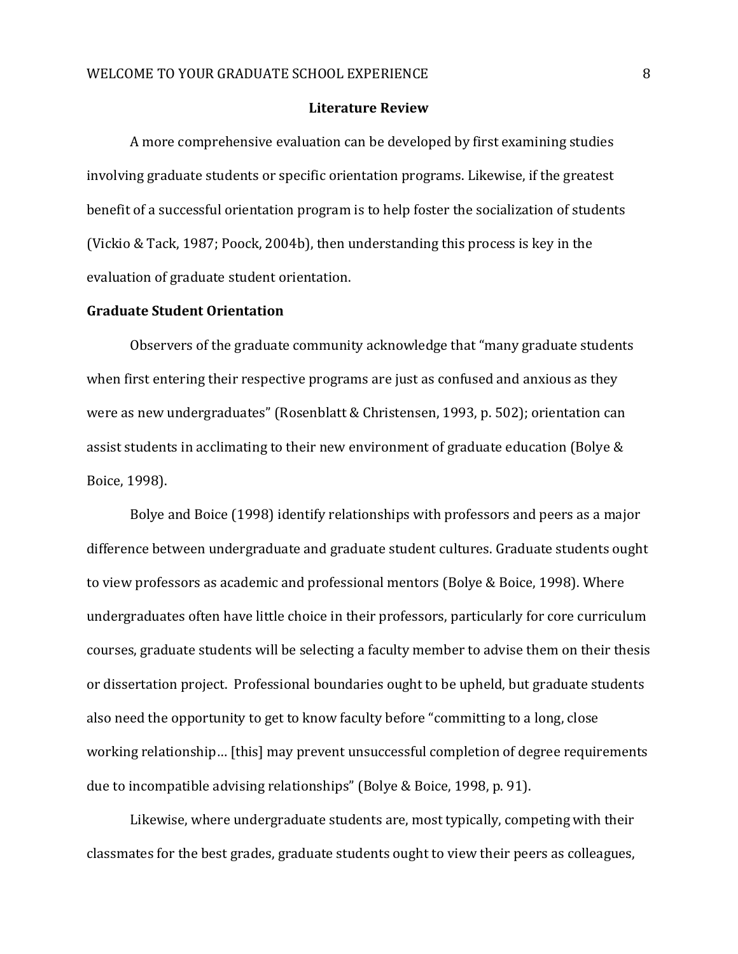#### **Literature Review**

A more comprehensive evaluation can be developed by first examining studies involving graduate students or specific orientation programs. Likewise, if the greatest benefit of a successful orientation program is to help foster the socialization of students (Vickio & Tack, 1987; Poock, 2004b), then understanding this process is key in the evaluation of graduate student orientation.

#### **Graduate Student Orientation**

Observers of the graduate community acknowledge that "many graduate students when first entering their respective programs are just as confused and anxious as they were as new undergraduates" (Rosenblatt & Christensen, 1993, p. 502); orientation can assist students in acclimating to their new environment of graduate education (Bolye & Boice, 1998).

Bolye and Boice (1998) identify relationships with professors and peers as a major difference between undergraduate and graduate student cultures. Graduate students ought to view professors as academic and professional mentors (Bolye & Boice, 1998). Where undergraduates often have little choice in their professors, particularly for core curriculum courses, graduate students will be selecting a faculty member to advise them on their thesis or dissertation project. Professional boundaries ought to be upheld, but graduate students also need the opportunity to get to know faculty before "committing to a long, close working relationship… [this] may prevent unsuccessful completion of degree requirements due to incompatible advising relationships" (Bolye & Boice, 1998, p. 91).

Likewise, where undergraduate students are, most typically, competing with their classmates for the best grades, graduate students ought to view their peers as colleagues,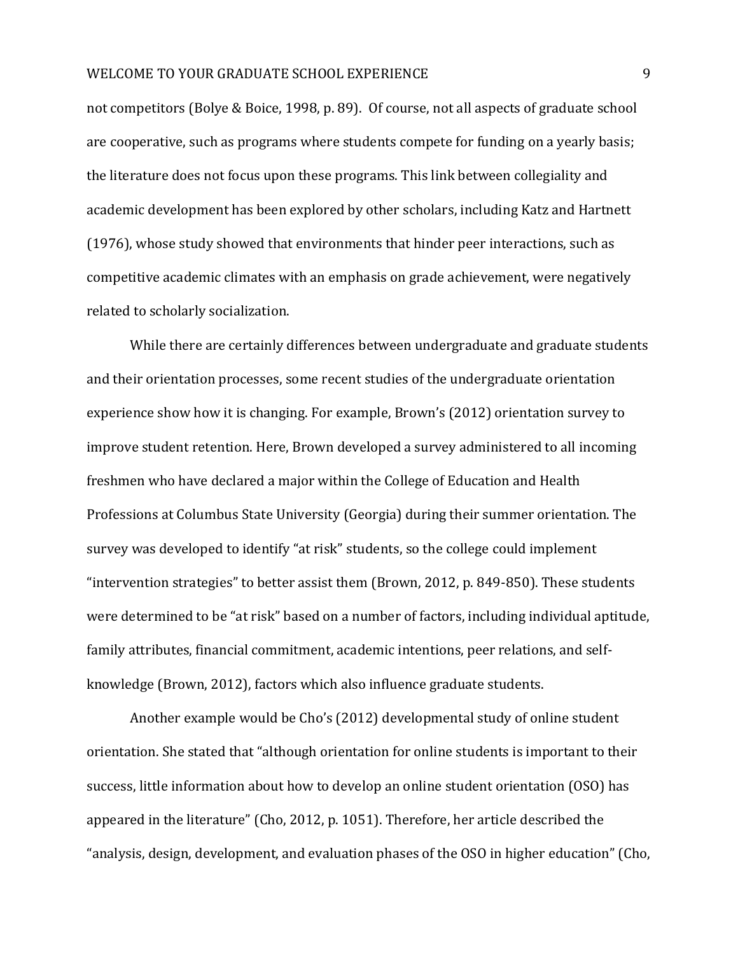not competitors (Bolye & Boice, 1998, p. 89). Of course, not all aspects of graduate school are cooperative, such as programs where students compete for funding on a yearly basis; the literature does not focus upon these programs. This link between collegiality and academic development has been explored by other scholars, including Katz and Hartnett (1976), whose study showed that environments that hinder peer interactions, such as competitive academic climates with an emphasis on grade achievement, were negatively related to scholarly socialization.

While there are certainly differences between undergraduate and graduate students and their orientation processes, some recent studies of the undergraduate orientation experience show how it is changing. For example, Brown's (2012) orientation survey to improve student retention. Here, Brown developed a survey administered to all incoming freshmen who have declared a major within the College of Education and Health Professions at Columbus State University (Georgia) during their summer orientation. The survey was developed to identify "at risk" students, so the college could implement "intervention strategies" to better assist them (Brown, 2012, p. 849-850). These students were determined to be "at risk" based on a number of factors, including individual aptitude, family attributes, financial commitment, academic intentions, peer relations, and selfknowledge (Brown, 2012), factors which also influence graduate students.

Another example would be Cho's (2012) developmental study of online student orientation. She stated that "although orientation for online students is important to their success, little information about how to develop an online student orientation (OSO) has appeared in the literature" (Cho, 2012, p. 1051). Therefore, her article described the "analysis, design, development, and evaluation phases of the OSO in higher education" (Cho,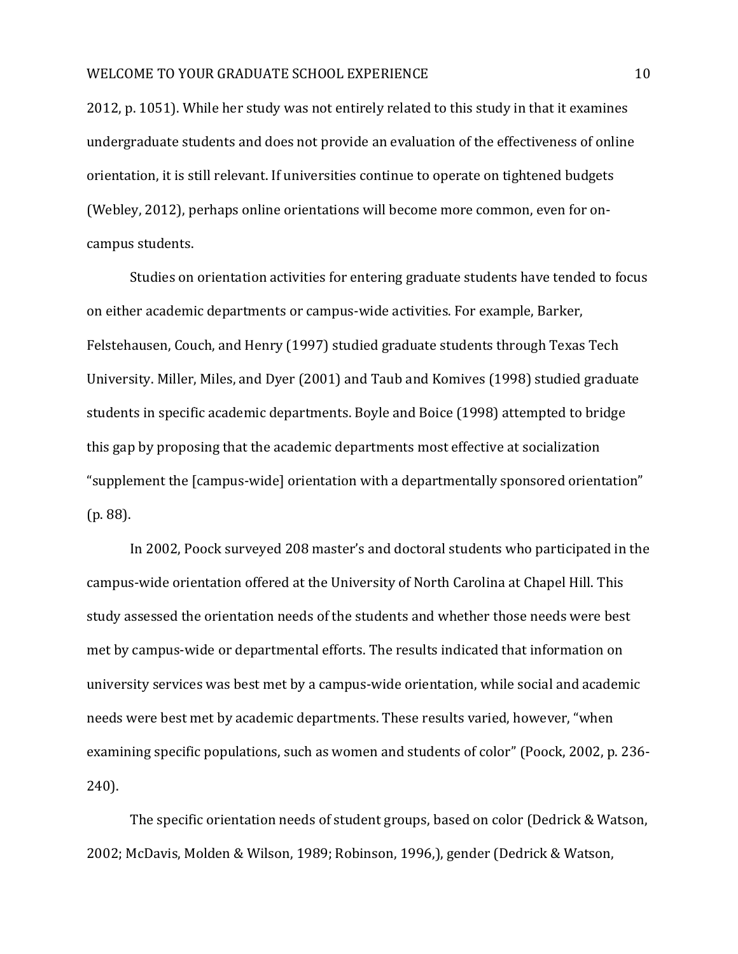2012, p. 1051). While her study was not entirely related to this study in that it examines undergraduate students and does not provide an evaluation of the effectiveness of online orientation, it is still relevant. If universities continue to operate on tightened budgets (Webley, 2012), perhaps online orientations will become more common, even for oncampus students.

Studies on orientation activities for entering graduate students have tended to focus on either academic departments or campus-wide activities. For example, Barker, Felstehausen, Couch, and Henry (1997) studied graduate students through Texas Tech University. Miller, Miles, and Dyer (2001) and Taub and Komives (1998) studied graduate students in specific academic departments. Boyle and Boice (1998) attempted to bridge this gap by proposing that the academic departments most effective at socialization "supplement the [campus-wide] orientation with a departmentally sponsored orientation" (p. 88).

In 2002, Poock surveyed 208 master's and doctoral students who participated in the campus-wide orientation offered at the University of North Carolina at Chapel Hill. This study assessed the orientation needs of the students and whether those needs were best met by campus-wide or departmental efforts. The results indicated that information on university services was best met by a campus-wide orientation, while social and academic needs were best met by academic departments. These results varied, however, "when examining specific populations, such as women and students of color" (Poock, 2002, p. 236- 240).

The specific orientation needs of student groups, based on color (Dedrick & Watson, 2002; McDavis, Molden & Wilson, 1989; Robinson, 1996,), gender (Dedrick & Watson,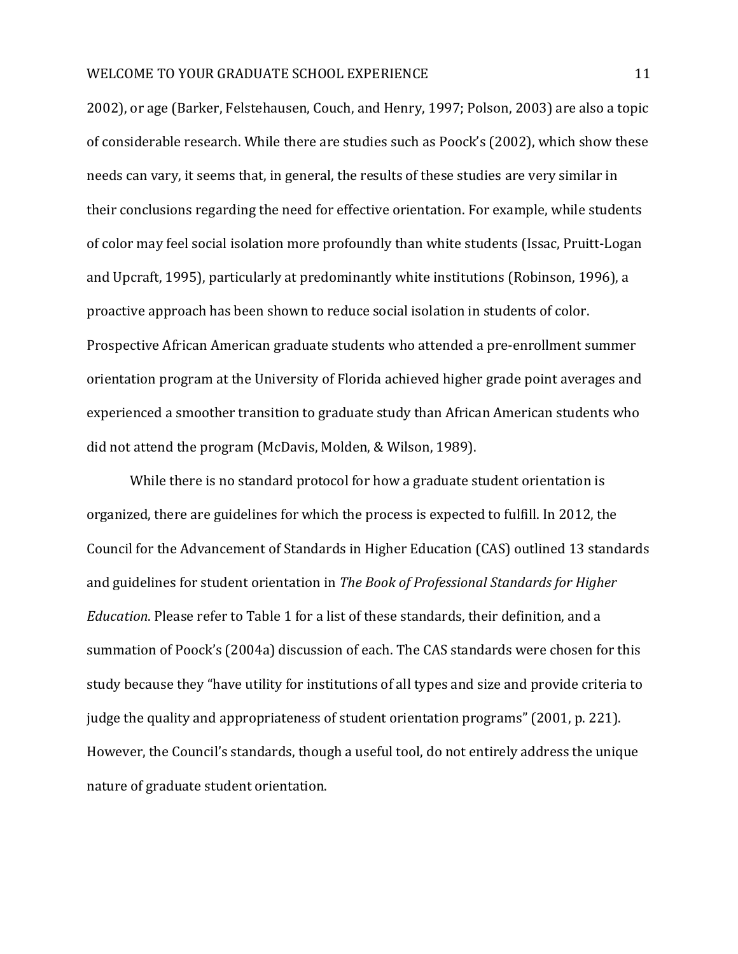2002), or age (Barker, Felstehausen, Couch, and Henry, 1997; Polson, 2003) are also a topic of considerable research. While there are studies such as Poock's (2002), which show these needs can vary, it seems that, in general, the results of these studies are very similar in their conclusions regarding the need for effective orientation. For example, while students of color may feel social isolation more profoundly than white students (Issac, Pruitt-Logan and Upcraft, 1995), particularly at predominantly white institutions (Robinson, 1996), a proactive approach has been shown to reduce social isolation in students of color. Prospective African American graduate students who attended a pre-enrollment summer orientation program at the University of Florida achieved higher grade point averages and experienced a smoother transition to graduate study than African American students who did not attend the program (McDavis, Molden, & Wilson, 1989).

While there is no standard protocol for how a graduate student orientation is organized, there are guidelines for which the process is expected to fulfill. In 2012, the Council for the Advancement of Standards in Higher Education (CAS) outlined 13 standards and guidelines for student orientation in *The Book of Professional Standards for Higher Education*. Please refer to Table 1 for a list of these standards, their definition, and a summation of Poock's (2004a) discussion of each. The CAS standards were chosen for this study because they "have utility for institutions of all types and size and provide criteria to judge the quality and appropriateness of student orientation programs" (2001, p. 221). However, the Council's standards, though a useful tool, do not entirely address the unique nature of graduate student orientation.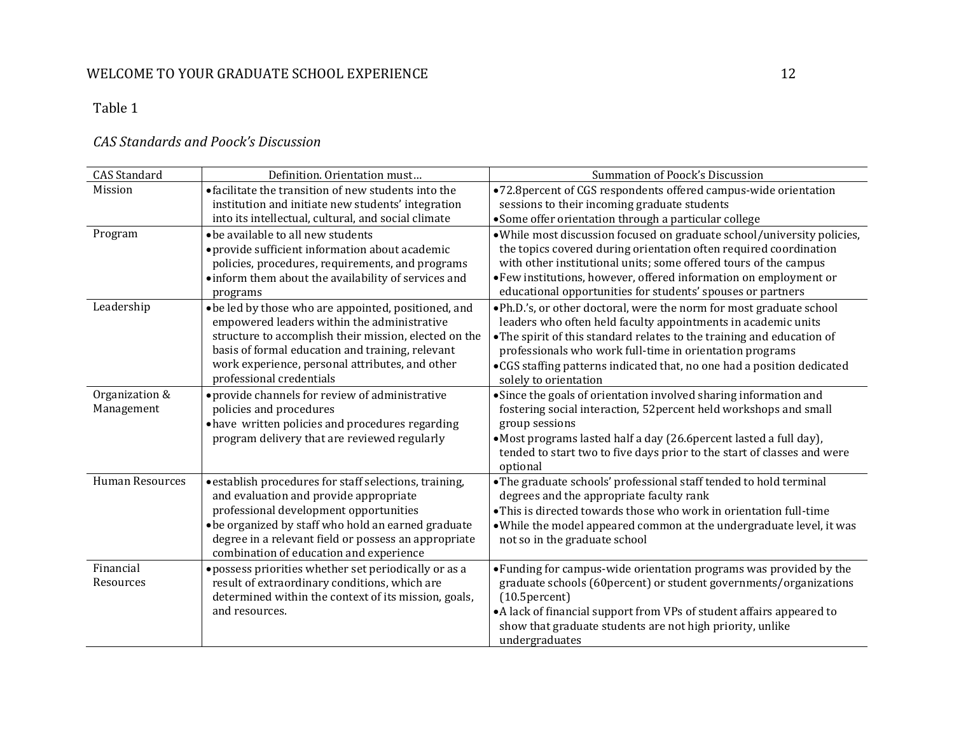# *CAS Standards and Poock's Discussion*

| <b>CAS</b> Standard    | Definition. Orientation must                                                | Summation of Poock's Discussion                                                                                                        |
|------------------------|-----------------------------------------------------------------------------|----------------------------------------------------------------------------------------------------------------------------------------|
| Mission                | • facilitate the transition of new students into the                        | •72.8 percent of CGS respondents offered campus-wide orientation                                                                       |
|                        | institution and initiate new students' integration                          | sessions to their incoming graduate students                                                                                           |
|                        | into its intellectual, cultural, and social climate                         | • Some offer orientation through a particular college                                                                                  |
| Program                | • be available to all new students                                          | • While most discussion focused on graduate school/university policies,                                                                |
|                        | • provide sufficient information about academic                             | the topics covered during orientation often required coordination                                                                      |
|                        | policies, procedures, requirements, and programs                            | with other institutional units; some offered tours of the campus                                                                       |
|                        | · inform them about the availability of services and                        | • Few institutions, however, offered information on employment or                                                                      |
|                        | programs                                                                    | educational opportunities for students' spouses or partners                                                                            |
| Leadership             | • be led by those who are appointed, positioned, and                        | . Ph.D.'s, or other doctoral, were the norm for most graduate school                                                                   |
|                        | empowered leaders within the administrative                                 | leaders who often held faculty appointments in academic units                                                                          |
|                        | structure to accomplish their mission, elected on the                       | • The spirit of this standard relates to the training and education of                                                                 |
|                        | basis of formal education and training, relevant                            | professionals who work full-time in orientation programs                                                                               |
|                        | work experience, personal attributes, and other<br>professional credentials | • CGS staffing patterns indicated that, no one had a position dedicated                                                                |
| Organization &         |                                                                             | solely to orientation                                                                                                                  |
| Management             | • provide channels for review of administrative<br>policies and procedures  | • Since the goals of orientation involved sharing information and<br>fostering social interaction, 52 percent held workshops and small |
|                        | • have written policies and procedures regarding                            | group sessions                                                                                                                         |
|                        | program delivery that are reviewed regularly                                | • Most programs lasted half a day (26.6 percent lasted a full day),                                                                    |
|                        |                                                                             | tended to start two to five days prior to the start of classes and were                                                                |
|                        |                                                                             | optional                                                                                                                               |
| <b>Human Resources</b> | · establish procedures for staff selections, training,                      | • The graduate schools' professional staff tended to hold terminal                                                                     |
|                        | and evaluation and provide appropriate                                      | degrees and the appropriate faculty rank                                                                                               |
|                        | professional development opportunities                                      | • This is directed towards those who work in orientation full-time                                                                     |
|                        | • be organized by staff who hold an earned graduate                         | • While the model appeared common at the undergraduate level, it was                                                                   |
|                        | degree in a relevant field or possess an appropriate                        | not so in the graduate school                                                                                                          |
|                        | combination of education and experience                                     |                                                                                                                                        |
| Financial              | · possess priorities whether set periodically or as a                       | • Funding for campus-wide orientation programs was provided by the                                                                     |
| Resources              | result of extraordinary conditions, which are                               | graduate schools (60percent) or student governments/organizations                                                                      |
|                        | determined within the context of its mission, goals,                        | $(10.5)$ ercent)                                                                                                                       |
|                        | and resources.                                                              | • A lack of financial support from VPs of student affairs appeared to                                                                  |
|                        |                                                                             | show that graduate students are not high priority, unlike                                                                              |
|                        |                                                                             | undergraduates                                                                                                                         |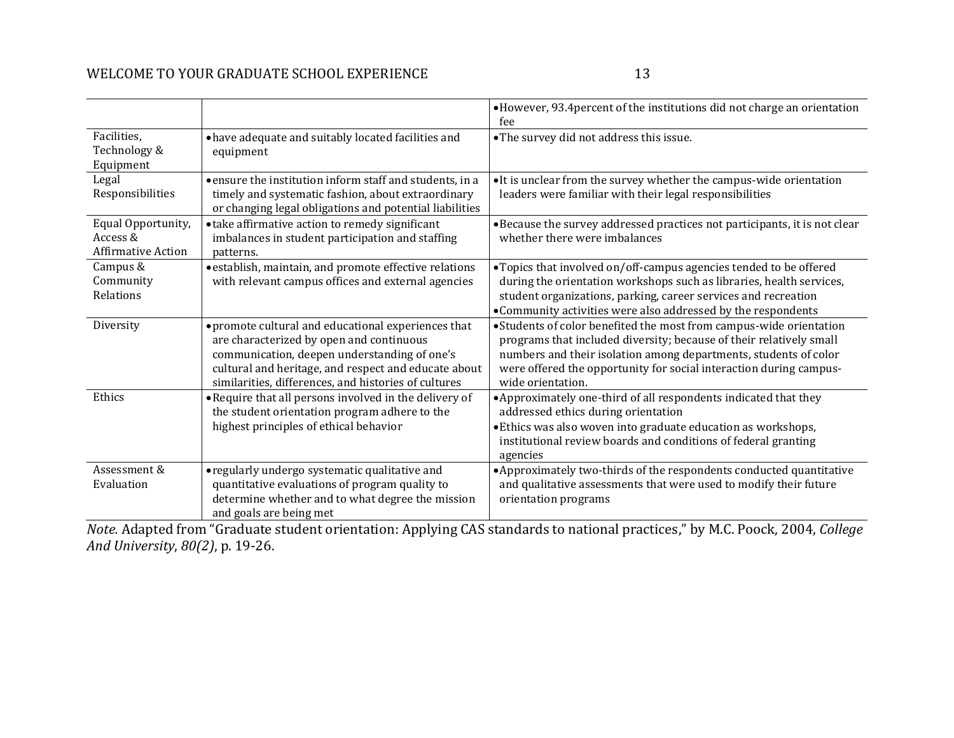|                                                             |                                                                                                                                                                                                                                                                 | • However, 93.4 percent of the institutions did not charge an orientation<br>fee                                                                                                                                                                                                                          |
|-------------------------------------------------------------|-----------------------------------------------------------------------------------------------------------------------------------------------------------------------------------------------------------------------------------------------------------------|-----------------------------------------------------------------------------------------------------------------------------------------------------------------------------------------------------------------------------------------------------------------------------------------------------------|
| Facilities,<br>Technology &<br>Equipment                    | • have adequate and suitably located facilities and<br>equipment                                                                                                                                                                                                | • The survey did not address this issue.                                                                                                                                                                                                                                                                  |
| Legal<br>Responsibilities                                   | • ensure the institution inform staff and students, in a<br>timely and systematic fashion, about extraordinary<br>or changing legal obligations and potential liabilities                                                                                       | • It is unclear from the survey whether the campus-wide orientation<br>leaders were familiar with their legal responsibilities                                                                                                                                                                            |
| Equal Opportunity,<br>Access &<br><b>Affirmative Action</b> | • take affirmative action to remedy significant<br>imbalances in student participation and staffing<br>patterns.                                                                                                                                                | • Because the survey addressed practices not participants, it is not clear<br>whether there were imbalances                                                                                                                                                                                               |
| Campus &<br>Community<br>Relations                          | · establish, maintain, and promote effective relations<br>with relevant campus offices and external agencies                                                                                                                                                    | • Topics that involved on/off-campus agencies tended to be offered<br>during the orientation workshops such as libraries, health services,<br>student organizations, parking, career services and recreation<br>• Community activities were also addressed by the respondents                             |
| Diversity                                                   | • promote cultural and educational experiences that<br>are characterized by open and continuous<br>communication, deepen understanding of one's<br>cultural and heritage, and respect and educate about<br>similarities, differences, and histories of cultures | • Students of color benefited the most from campus-wide orientation<br>programs that included diversity; because of their relatively small<br>numbers and their isolation among departments, students of color<br>were offered the opportunity for social interaction during campus-<br>wide orientation. |
| Ethics                                                      | • Require that all persons involved in the delivery of<br>the student orientation program adhere to the<br>highest principles of ethical behavior                                                                                                               | • Approximately one-third of all respondents indicated that they<br>addressed ethics during orientation<br>• Ethics was also woven into graduate education as workshops,<br>institutional review boards and conditions of federal granting<br>agencies                                                    |
| Assessment &<br>Evaluation                                  | • regularly undergo systematic qualitative and<br>quantitative evaluations of program quality to<br>determine whether and to what degree the mission<br>and goals are being met                                                                                 | • Approximately two-thirds of the respondents conducted quantitative<br>and qualitative assessments that were used to modify their future<br>orientation programs                                                                                                                                         |

*Note.* Adapted from "Graduate student orientation: Applying CAS standards to national practices," by M.C. Poock, 2004, *College And University*, *80(2)*, p. 19-26.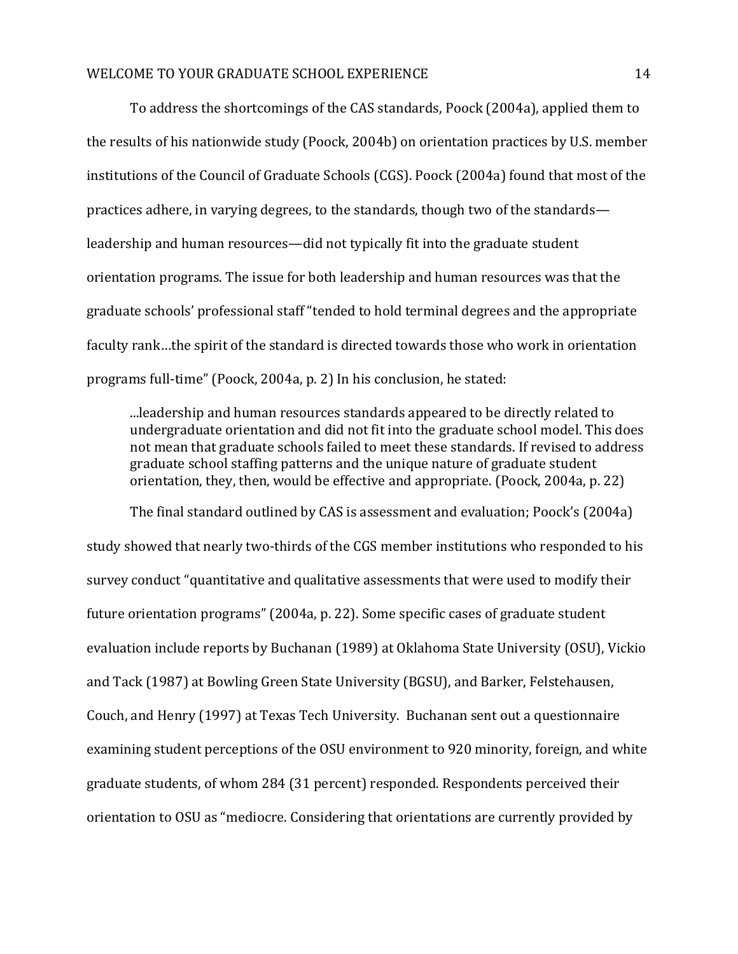To address the shortcomings of the CAS standards, Poock (2004a), applied them to the results of his nationwide study (Poock, 2004b) on orientation practices by U.S. member institutions of the Council of Graduate Schools (CGS). Poock (2004a) found that most of the practices adhere, in varying degrees, to the standards, though two of the standards leadership and human resources—did not typically fit into the graduate student orientation programs. The issue for both leadership and human resources was that the graduate schools' professional staff "tended to hold terminal degrees and the appropriate faculty rank…the spirit of the standard is directed towards those who work in orientation programs full-time" (Poock, 2004a, p. 2) In his conclusion, he stated:

...leadership and human resources standards appeared to be directly related to undergraduate orientation and did not fit into the graduate school model. This does not mean that graduate schools failed to meet these standards. If revised to address graduate school staffing patterns and the unique nature of graduate student orientation, they, then, would be effective and appropriate. (Poock, 2004a, p. 22)

The final standard outlined by CAS is assessment and evaluation; Poock's (2004a) study showed that nearly two-thirds of the CGS member institutions who responded to his survey conduct "quantitative and qualitative assessments that were used to modify their future orientation programs" (2004a, p. 22). Some specific cases of graduate student evaluation include reports by Buchanan (1989) at Oklahoma State University (OSU), Vickio and Tack (1987) at Bowling Green State University (BGSU), and Barker, Felstehausen, Couch, and Henry (1997) at Texas Tech University. Buchanan sent out a questionnaire examining student perceptions of the OSU environment to 920 minority, foreign, and white graduate students, of whom 284 (31 percent) responded. Respondents perceived their orientation to OSU as "mediocre. Considering that orientations are currently provided by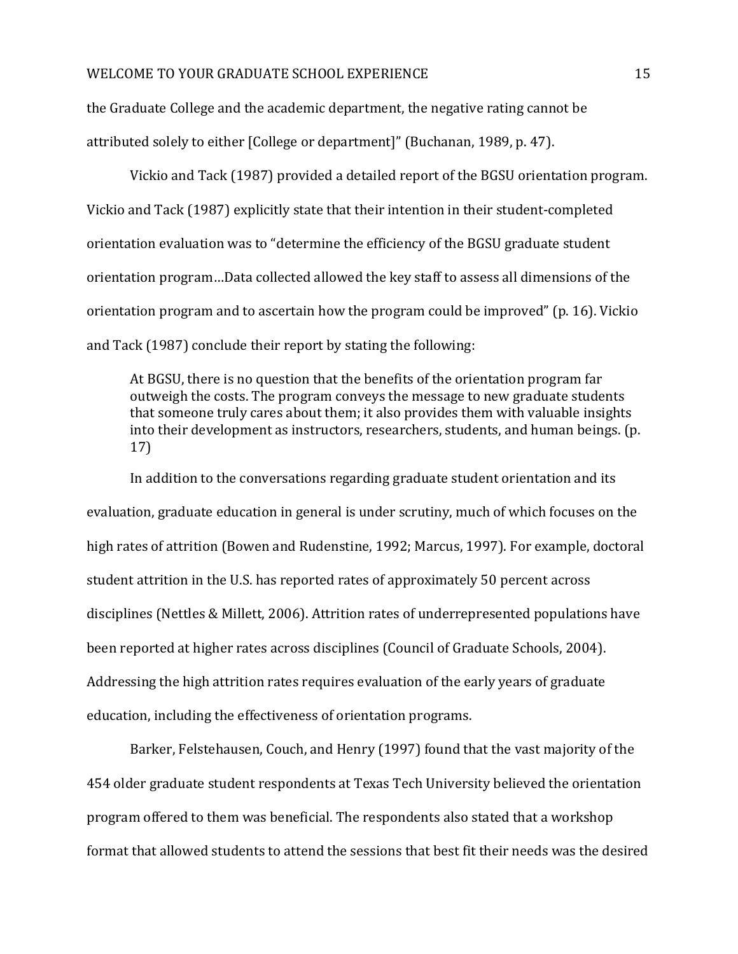the Graduate College and the academic department, the negative rating cannot be attributed solely to either [College or department]" (Buchanan, 1989, p. 47).

Vickio and Tack (1987) provided a detailed report of the BGSU orientation program. Vickio and Tack (1987) explicitly state that their intention in their student-completed orientation evaluation was to "determine the efficiency of the BGSU graduate student orientation program…Data collected allowed the key staff to assess all dimensions of the orientation program and to ascertain how the program could be improved" (p. 16). Vickio and Tack (1987) conclude their report by stating the following:

At BGSU, there is no question that the benefits of the orientation program far outweigh the costs. The program conveys the message to new graduate students that someone truly cares about them; it also provides them with valuable insights into their development as instructors, researchers, students, and human beings. (p. 17)

In addition to the conversations regarding graduate student orientation and its evaluation, graduate education in general is under scrutiny, much of which focuses on the high rates of attrition (Bowen and Rudenstine, 1992; Marcus, 1997). For example, doctoral student attrition in the U.S. has reported rates of approximately 50 percent across disciplines (Nettles & Millett, 2006). Attrition rates of underrepresented populations have been reported at higher rates across disciplines (Council of Graduate Schools, 2004). Addressing the high attrition rates requires evaluation of the early years of graduate education, including the effectiveness of orientation programs.

Barker, Felstehausen, Couch, and Henry (1997) found that the vast majority of the 454 older graduate student respondents at Texas Tech University believed the orientation program offered to them was beneficial. The respondents also stated that a workshop format that allowed students to attend the sessions that best fit their needs was the desired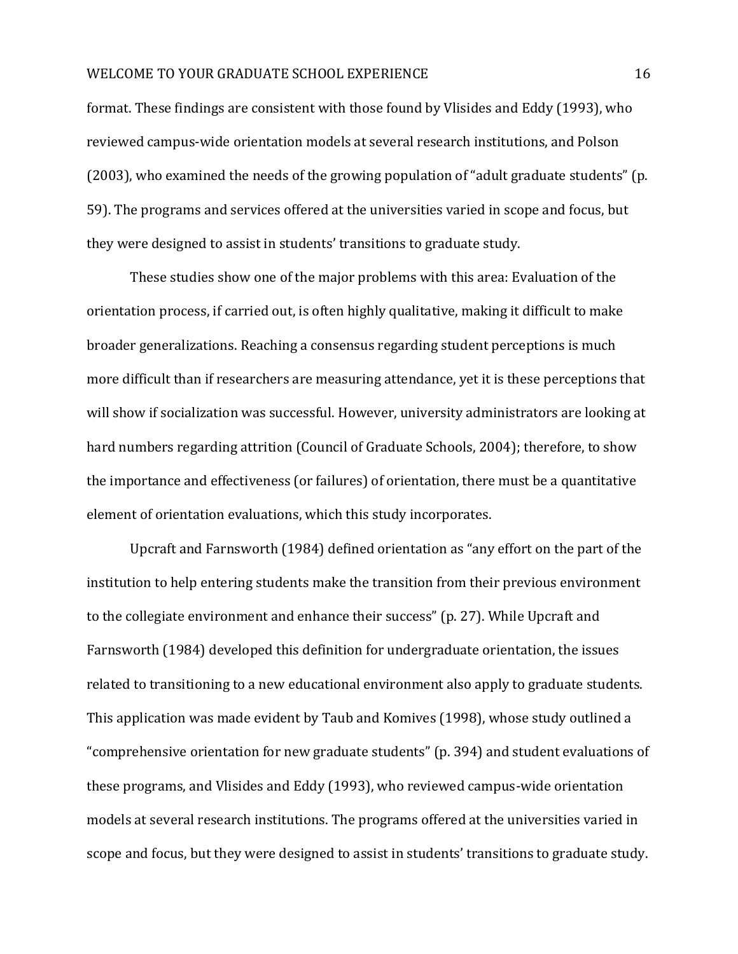format. These findings are consistent with those found by Vlisides and Eddy (1993), who reviewed campus-wide orientation models at several research institutions, and Polson (2003), who examined the needs of the growing population of "adult graduate students" (p. 59). The programs and services offered at the universities varied in scope and focus, but they were designed to assist in students' transitions to graduate study.

These studies show one of the major problems with this area: Evaluation of the orientation process, if carried out, is often highly qualitative, making it difficult to make broader generalizations. Reaching a consensus regarding student perceptions is much more difficult than if researchers are measuring attendance, yet it is these perceptions that will show if socialization was successful. However, university administrators are looking at hard numbers regarding attrition (Council of Graduate Schools, 2004); therefore, to show the importance and effectiveness (or failures) of orientation, there must be a quantitative element of orientation evaluations, which this study incorporates.

Upcraft and Farnsworth (1984) defined orientation as "any effort on the part of the institution to help entering students make the transition from their previous environment to the collegiate environment and enhance their success" (p. 27). While Upcraft and Farnsworth (1984) developed this definition for undergraduate orientation, the issues related to transitioning to a new educational environment also apply to graduate students. This application was made evident by Taub and Komives (1998), whose study outlined a "comprehensive orientation for new graduate students" (p. 394) and student evaluations of these programs, and Vlisides and Eddy (1993), who reviewed campus-wide orientation models at several research institutions. The programs offered at the universities varied in scope and focus, but they were designed to assist in students' transitions to graduate study.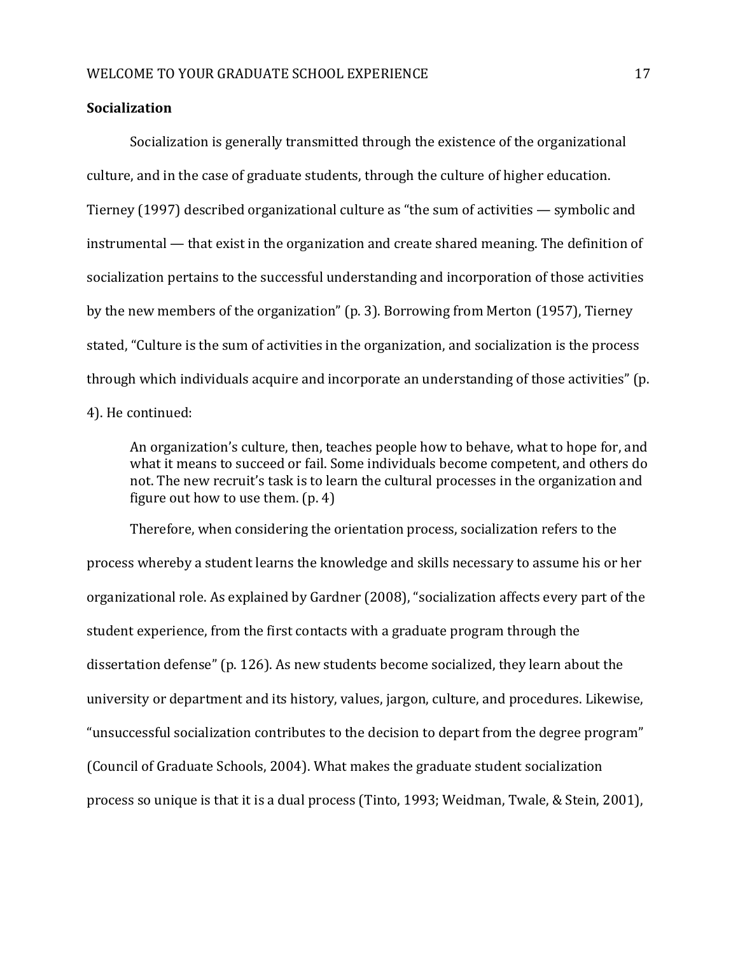#### **Socialization**

Socialization is generally transmitted through the existence of the organizational culture, and in the case of graduate students, through the culture of higher education. Tierney (1997) described organizational culture as "the sum of activities — symbolic and instrumental — that exist in the organization and create shared meaning. The definition of socialization pertains to the successful understanding and incorporation of those activities by the new members of the organization" (p. 3). Borrowing from Merton (1957), Tierney stated, "Culture is the sum of activities in the organization, and socialization is the process through which individuals acquire and incorporate an understanding of those activities" (p. 4). He continued:

An organization's culture, then, teaches people how to behave, what to hope for, and what it means to succeed or fail. Some individuals become competent, and others do not. The new recruit's task is to learn the cultural processes in the organization and figure out how to use them. (p. 4)

Therefore, when considering the orientation process, socialization refers to the process whereby a student learns the knowledge and skills necessary to assume his or her organizational role. As explained by Gardner (2008), "socialization affects every part of the student experience, from the first contacts with a graduate program through the dissertation defense" (p. 126). As new students become socialized, they learn about the university or department and its history, values, jargon, culture, and procedures. Likewise, "unsuccessful socialization contributes to the decision to depart from the degree program" (Council of Graduate Schools, 2004). What makes the graduate student socialization process so unique is that it is a dual process (Tinto, 1993; Weidman, Twale, & Stein, 2001),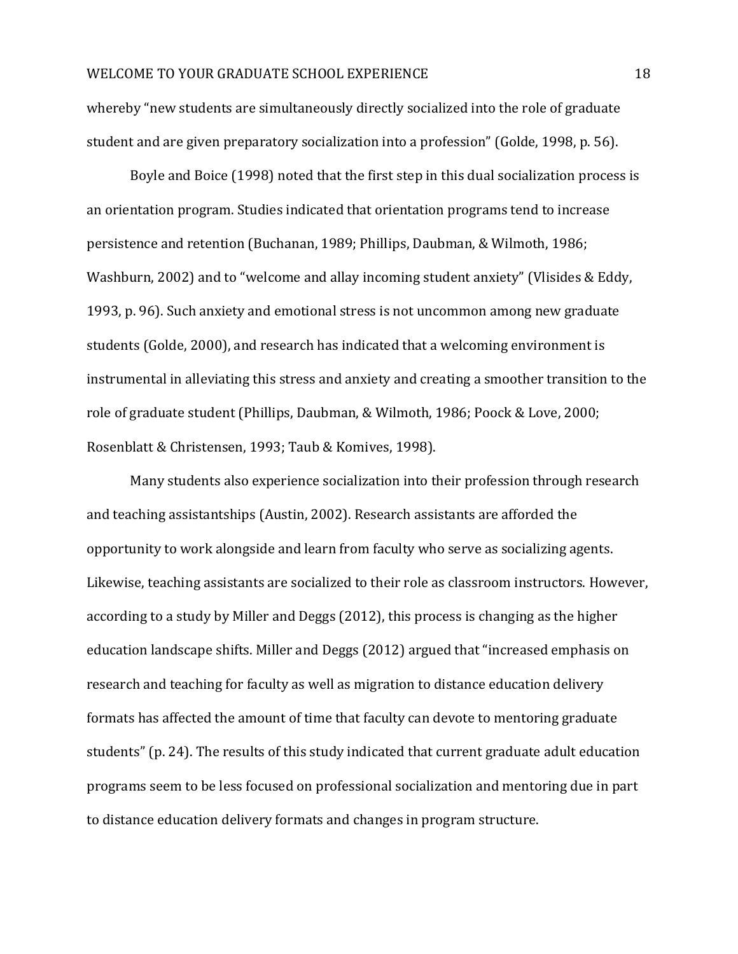whereby "new students are simultaneously directly socialized into the role of graduate student and are given preparatory socialization into a profession" (Golde, 1998, p. 56).

Boyle and Boice (1998) noted that the first step in this dual socialization process is an orientation program. Studies indicated that orientation programs tend to increase persistence and retention (Buchanan, 1989; Phillips, Daubman, & Wilmoth, 1986; Washburn, 2002) and to "welcome and allay incoming student anxiety" (Vlisides & Eddy, 1993, p. 96). Such anxiety and emotional stress is not uncommon among new graduate students (Golde, 2000), and research has indicated that a welcoming environment is instrumental in alleviating this stress and anxiety and creating a smoother transition to the role of graduate student (Phillips, Daubman, & Wilmoth, 1986; Poock & Love, 2000; Rosenblatt & Christensen, 1993; Taub & Komives, 1998).

Many students also experience socialization into their profession through research and teaching assistantships (Austin, 2002). Research assistants are afforded the opportunity to work alongside and learn from faculty who serve as socializing agents. Likewise, teaching assistants are socialized to their role as classroom instructors. However, according to a study by Miller and Deggs (2012), this process is changing as the higher education landscape shifts. Miller and Deggs (2012) argued that "increased emphasis on research and teaching for faculty as well as migration to distance education delivery formats has affected the amount of time that faculty can devote to mentoring graduate students" (p. 24). The results of this study indicated that current graduate adult education programs seem to be less focused on professional socialization and mentoring due in part to distance education delivery formats and changes in program structure.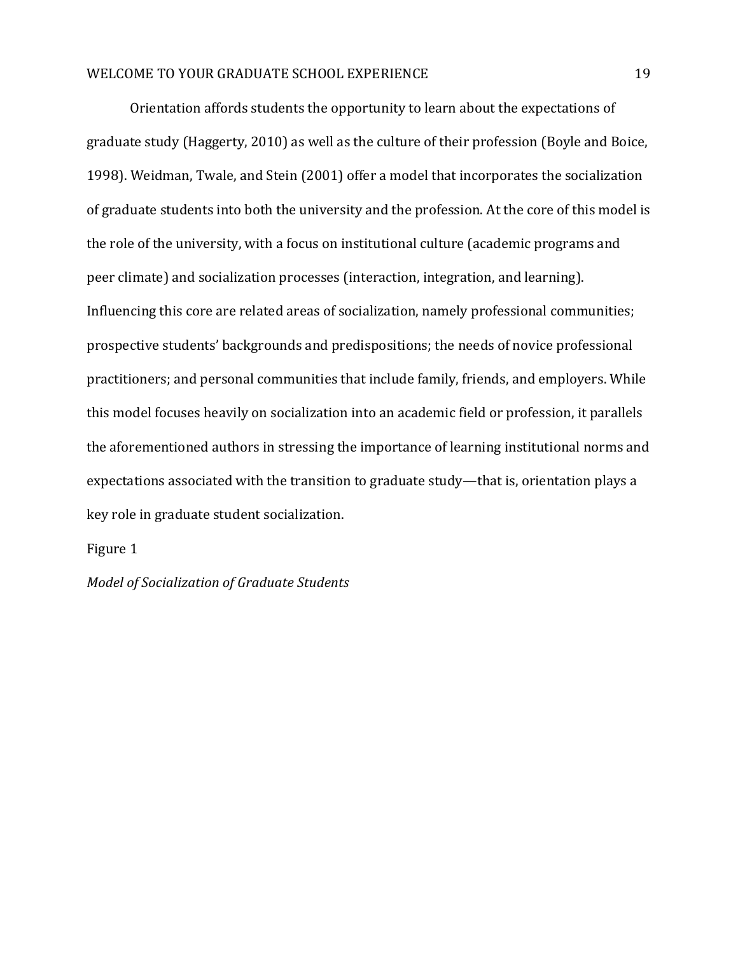Orientation affords students the opportunity to learn about the expectations of graduate study (Haggerty, 2010) as well as the culture of their profession (Boyle and Boice, 1998). Weidman, Twale, and Stein (2001) offer a model that incorporates the socialization of graduate students into both the university and the profession. At the core of this model is the role of the university, with a focus on institutional culture (academic programs and peer climate) and socialization processes (interaction, integration, and learning). Influencing this core are related areas of socialization, namely professional communities; prospective students' backgrounds and predispositions; the needs of novice professional practitioners; and personal communities that include family, friends, and employers. While this model focuses heavily on socialization into an academic field or profession, it parallels the aforementioned authors in stressing the importance of learning institutional norms and expectations associated with the transition to graduate study—that is, orientation plays a key role in graduate student socialization.

#### Figure 1

*Model of Socialization of Graduate Students*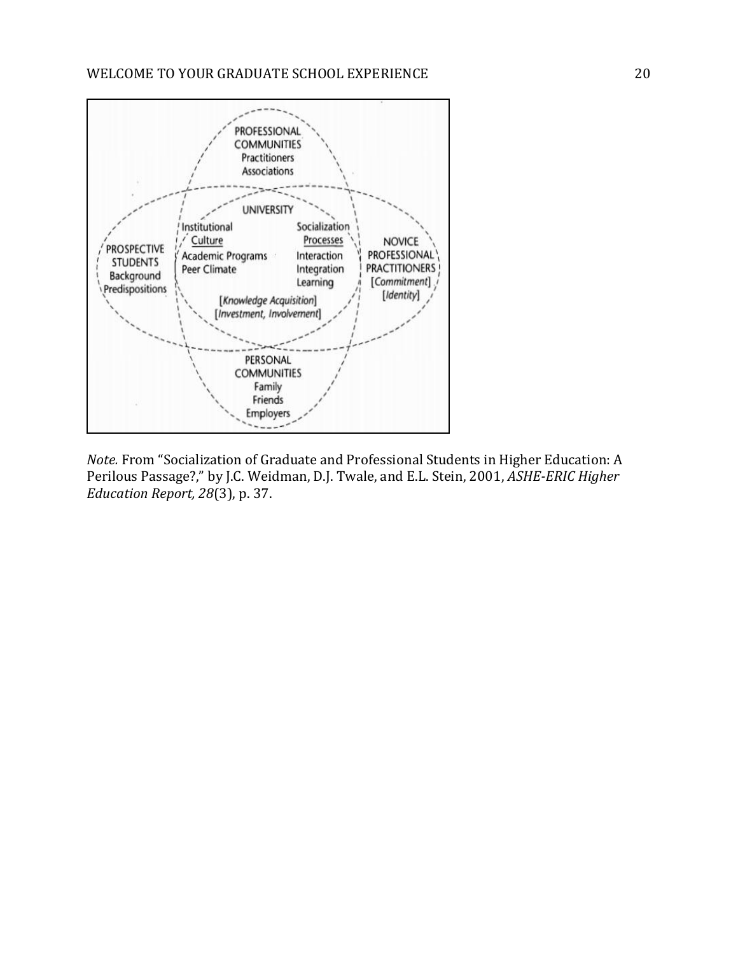

*Note.* From "Socialization of Graduate and Professional Students in Higher Education: A Perilous Passage?," by J.C. Weidman, D.J. Twale, and E.L. Stein, 2001, *ASHE-ERIC Higher Education Report, 28*(3), p. 37.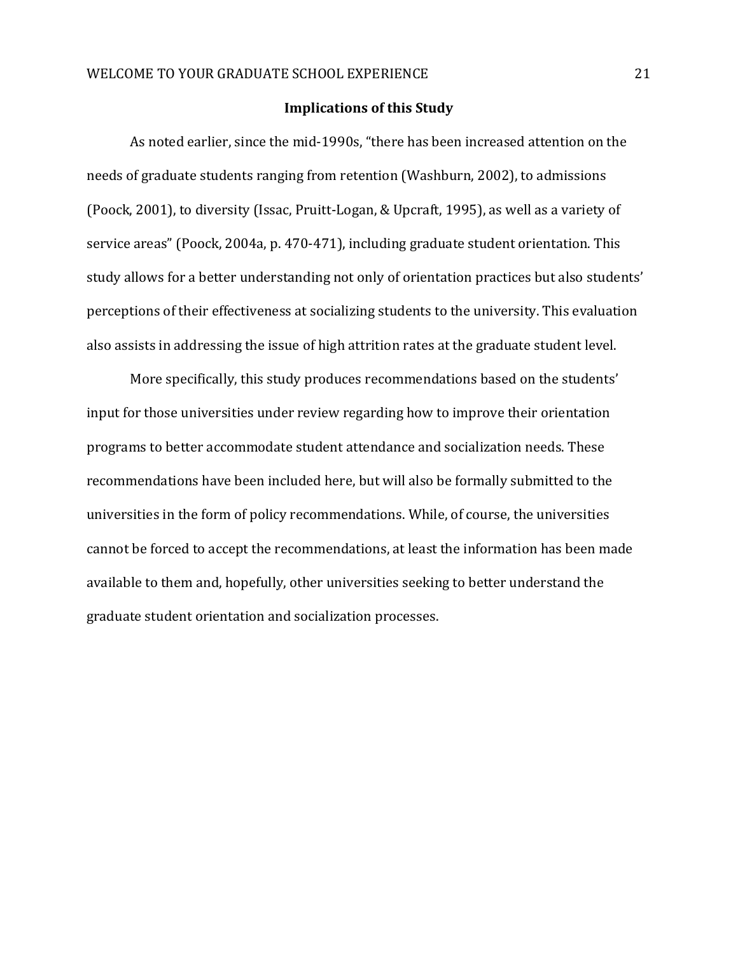#### **Implications of this Study**

As noted earlier, since the mid-1990s, "there has been increased attention on the needs of graduate students ranging from retention (Washburn, 2002), to admissions (Poock, 2001), to diversity (Issac, Pruitt-Logan, & Upcraft, 1995), as well as a variety of service areas" (Poock, 2004a, p. 470-471), including graduate student orientation. This study allows for a better understanding not only of orientation practices but also students' perceptions of their effectiveness at socializing students to the university. This evaluation also assists in addressing the issue of high attrition rates at the graduate student level.

More specifically, this study produces recommendations based on the students' input for those universities under review regarding how to improve their orientation programs to better accommodate student attendance and socialization needs. These recommendations have been included here, but will also be formally submitted to the universities in the form of policy recommendations. While, of course, the universities cannot be forced to accept the recommendations, at least the information has been made available to them and, hopefully, other universities seeking to better understand the graduate student orientation and socialization processes.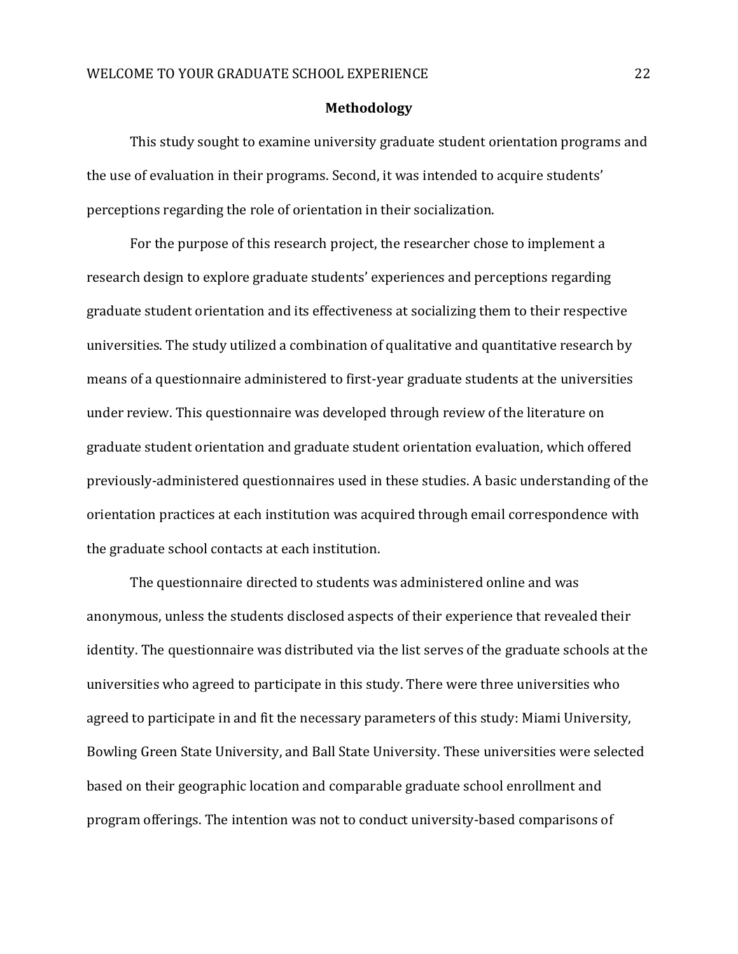#### **Methodology**

This study sought to examine university graduate student orientation programs and the use of evaluation in their programs. Second, it was intended to acquire students' perceptions regarding the role of orientation in their socialization.

For the purpose of this research project, the researcher chose to implement a research design to explore graduate students' experiences and perceptions regarding graduate student orientation and its effectiveness at socializing them to their respective universities. The study utilized a combination of qualitative and quantitative research by means of a questionnaire administered to first-year graduate students at the universities under review. This questionnaire was developed through review of the literature on graduate student orientation and graduate student orientation evaluation, which offered previously-administered questionnaires used in these studies. A basic understanding of the orientation practices at each institution was acquired through email correspondence with the graduate school contacts at each institution.

The questionnaire directed to students was administered online and was anonymous, unless the students disclosed aspects of their experience that revealed their identity. The questionnaire was distributed via the list serves of the graduate schools at the universities who agreed to participate in this study. There were three universities who agreed to participate in and fit the necessary parameters of this study: Miami University, Bowling Green State University, and Ball State University. These universities were selected based on their geographic location and comparable graduate school enrollment and program offerings. The intention was not to conduct university-based comparisons of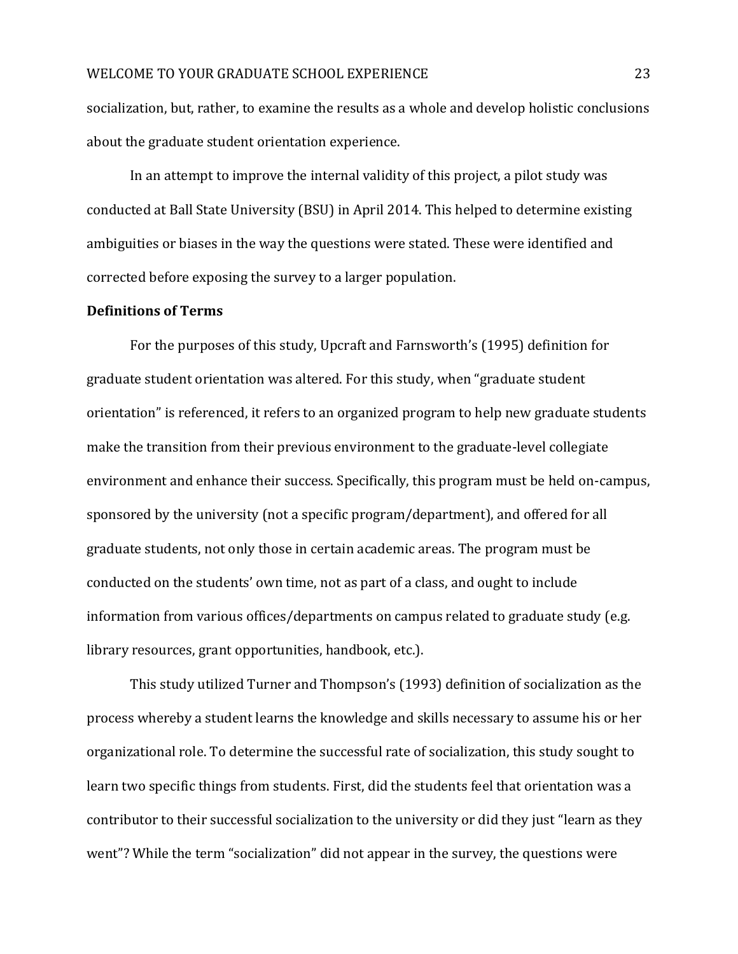socialization, but, rather, to examine the results as a whole and develop holistic conclusions about the graduate student orientation experience.

In an attempt to improve the internal validity of this project, a pilot study was conducted at Ball State University (BSU) in April 2014. This helped to determine existing ambiguities or biases in the way the questions were stated. These were identified and corrected before exposing the survey to a larger population.

#### **Definitions of Terms**

For the purposes of this study, Upcraft and Farnsworth's (1995) definition for graduate student orientation was altered. For this study, when "graduate student orientation" is referenced, it refers to an organized program to help new graduate students make the transition from their previous environment to the graduate-level collegiate environment and enhance their success. Specifically, this program must be held on-campus, sponsored by the university (not a specific program/department), and offered for all graduate students, not only those in certain academic areas. The program must be conducted on the students' own time, not as part of a class, and ought to include information from various offices/departments on campus related to graduate study (e.g. library resources, grant opportunities, handbook, etc.).

This study utilized Turner and Thompson's (1993) definition of socialization as the process whereby a student learns the knowledge and skills necessary to assume his or her organizational role. To determine the successful rate of socialization, this study sought to learn two specific things from students. First, did the students feel that orientation was a contributor to their successful socialization to the university or did they just "learn as they went"? While the term "socialization" did not appear in the survey, the questions were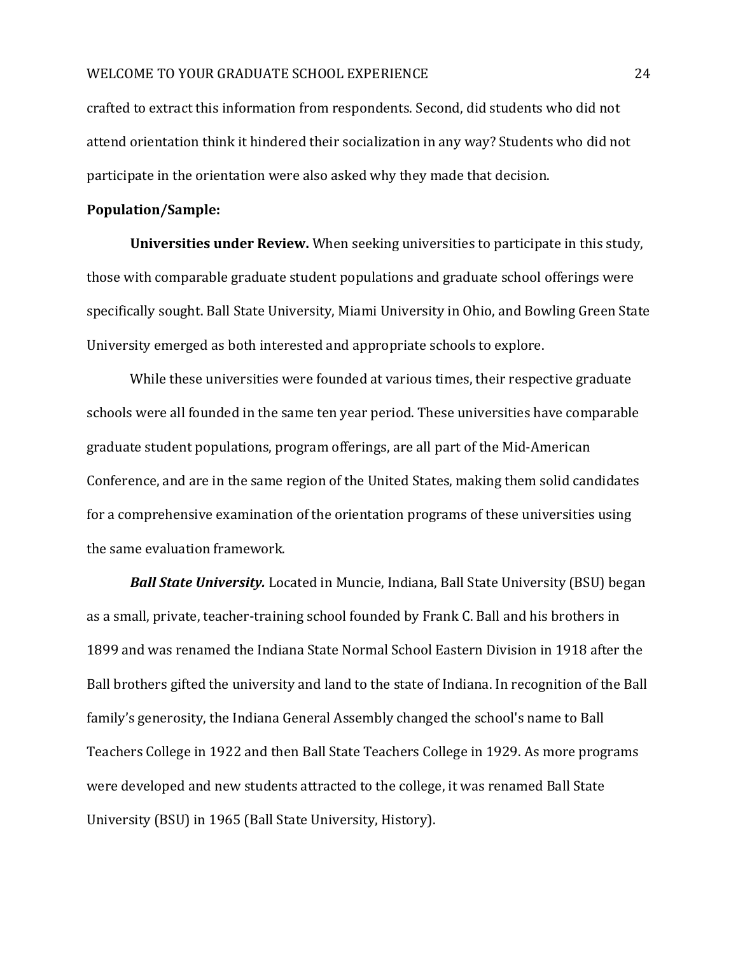crafted to extract this information from respondents. Second, did students who did not attend orientation think it hindered their socialization in any way? Students who did not participate in the orientation were also asked why they made that decision.

#### **Population/Sample:**

**Universities under Review.** When seeking universities to participate in this study, those with comparable graduate student populations and graduate school offerings were specifically sought. Ball State University, Miami University in Ohio, and Bowling Green State University emerged as both interested and appropriate schools to explore.

While these universities were founded at various times, their respective graduate schools were all founded in the same ten year period. These universities have comparable graduate student populations, program offerings, are all part of the Mid-American Conference, and are in the same region of the United States, making them solid candidates for a comprehensive examination of the orientation programs of these universities using the same evaluation framework.

*Ball State University.* Located in Muncie, Indiana, Ball State University (BSU) began as a small, private, teacher-training school founded by Frank C. Ball and his brothers in 1899 and was renamed the Indiana State Normal School Eastern Division in 1918 after the Ball brothers gifted the university and land to the state of Indiana. In recognition of the Ball family's generosity, the Indiana General Assembly changed the school's name to Ball Teachers College in 1922 and then Ball State Teachers College in 1929. As more programs were developed and new students attracted to the college, it was renamed Ball State University (BSU) in 1965 (Ball State University, History).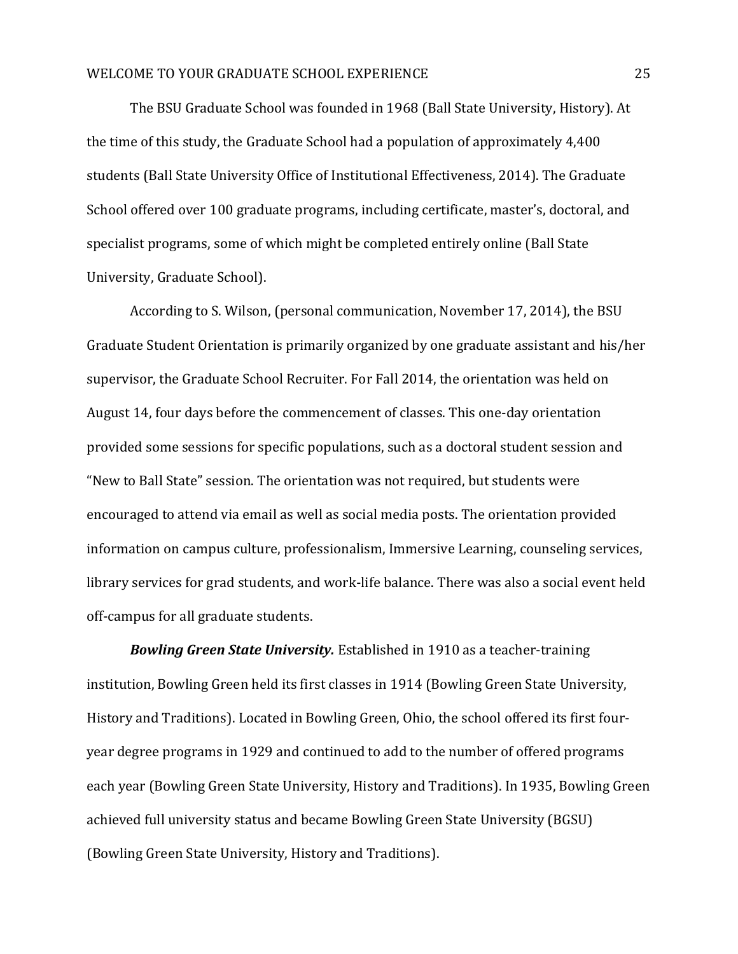The BSU Graduate School was founded in 1968 (Ball State University, History). At the time of this study, the Graduate School had a population of approximately 4,400 students (Ball State University Office of Institutional Effectiveness, 2014). The Graduate School offered over 100 graduate programs, including certificate, master's, doctoral, and specialist programs, some of which might be completed entirely online (Ball State University, Graduate School).

According to S. Wilson, (personal communication, November 17, 2014), the BSU Graduate Student Orientation is primarily organized by one graduate assistant and his/her supervisor, the Graduate School Recruiter. For Fall 2014, the orientation was held on August 14, four days before the commencement of classes. This one-day orientation provided some sessions for specific populations, such as a doctoral student session and "New to Ball State" session. The orientation was not required, but students were encouraged to attend via email as well as social media posts. The orientation provided information on campus culture, professionalism, Immersive Learning, counseling services, library services for grad students, and work-life balance. There was also a social event held off-campus for all graduate students.

*Bowling Green State University.* Established in 1910 as a teacher-training institution, Bowling Green held its first classes in 1914 (Bowling Green State University, History and Traditions). Located in Bowling Green, Ohio, the school offered its first fouryear degree programs in 1929 and continued to add to the number of offered programs each year (Bowling Green State University, History and Traditions). In 1935, Bowling Green achieved full university status and became Bowling Green State University (BGSU) (Bowling Green State University, History and Traditions).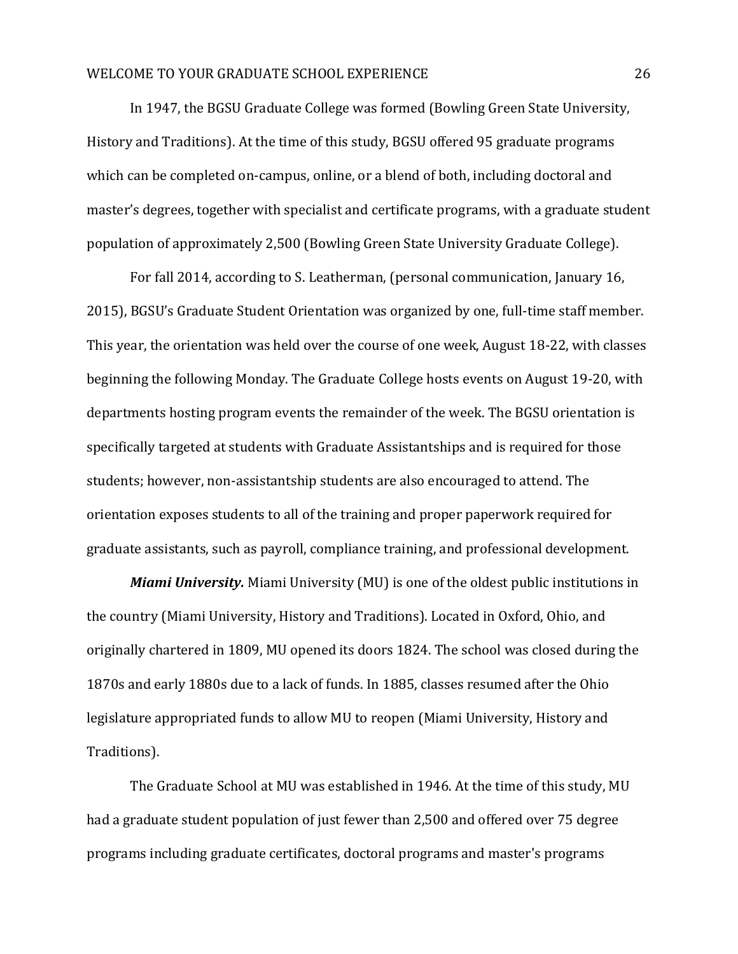In 1947, the BGSU Graduate College was formed (Bowling Green State University, History and Traditions). At the time of this study, BGSU offered 95 graduate programs which can be completed on-campus, online, or a blend of both, including doctoral and master's degrees, together with specialist and certificate programs, with a graduate student population of approximately 2,500 (Bowling Green State University Graduate College).

For fall 2014, according to S. Leatherman, (personal communication, January 16, 2015), BGSU's Graduate Student Orientation was organized by one, full-time staff member. This year, the orientation was held over the course of one week, August 18-22, with classes beginning the following Monday. The Graduate College hosts events on August 19-20, with departments hosting program events the remainder of the week. The BGSU orientation is specifically targeted at students with Graduate Assistantships and is required for those students; however, non-assistantship students are also encouraged to attend. The orientation exposes students to all of the training and proper paperwork required for graduate assistants, such as payroll, compliance training, and professional development.

*Miami University.* Miami University (MU) is one of the oldest public institutions in the country (Miami University, History and Traditions). Located in Oxford, Ohio, and originally chartered in 1809, MU opened its doors 1824. The school was closed during the 1870s and early 1880s due to a lack of funds. In 1885, classes resumed after the Ohio legislature appropriated funds to allow MU to reopen (Miami University, History and Traditions).

The Graduate School at MU was established in 1946. At the time of this study, MU had a graduate student population of just fewer than 2,500 and offered over 75 degree programs including graduate certificates, doctoral programs and master's programs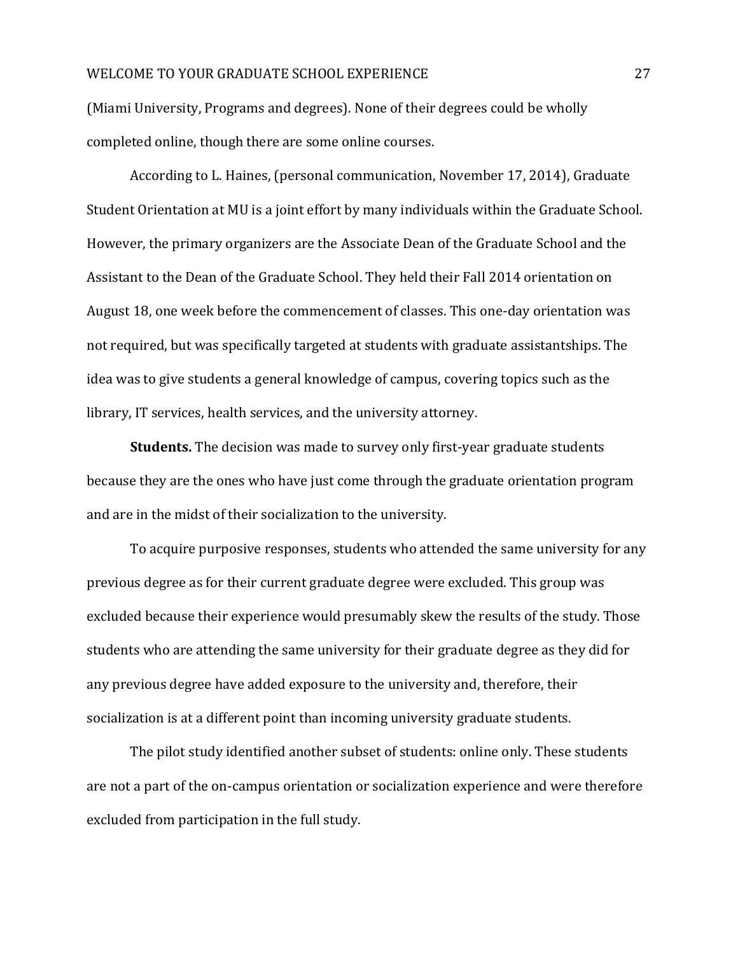(Miami University, Programs and degrees). None of their degrees could be wholly completed online, though there are some online courses.

According to L. Haines, (personal communication, November 17, 2014), Graduate Student Orientation at MU is a joint effort by many individuals within the Graduate School. However, the primary organizers are the Associate Dean of the Graduate School and the Assistant to the Dean of the Graduate School. They held their Fall 2014 orientation on August 18, one week before the commencement of classes. This one-day orientation was not required, but was specifically targeted at students with graduate assistantships. The idea was to give students a general knowledge of campus, covering topics such as the library, IT services, health services, and the university attorney.

**Students.** The decision was made to survey only first-year graduate students because they are the ones who have just come through the graduate orientation program and are in the midst of their socialization to the university.

To acquire purposive responses, students who attended the same university for any previous degree as for their current graduate degree were excluded. This group was excluded because their experience would presumably skew the results of the study. Those students who are attending the same university for their graduate degree as they did for any previous degree have added exposure to the university and, therefore, their socialization is at a different point than incoming university graduate students.

The pilot study identified another subset of students: online only. These students are not a part of the on-campus orientation or socialization experience and were therefore excluded from participation in the full study.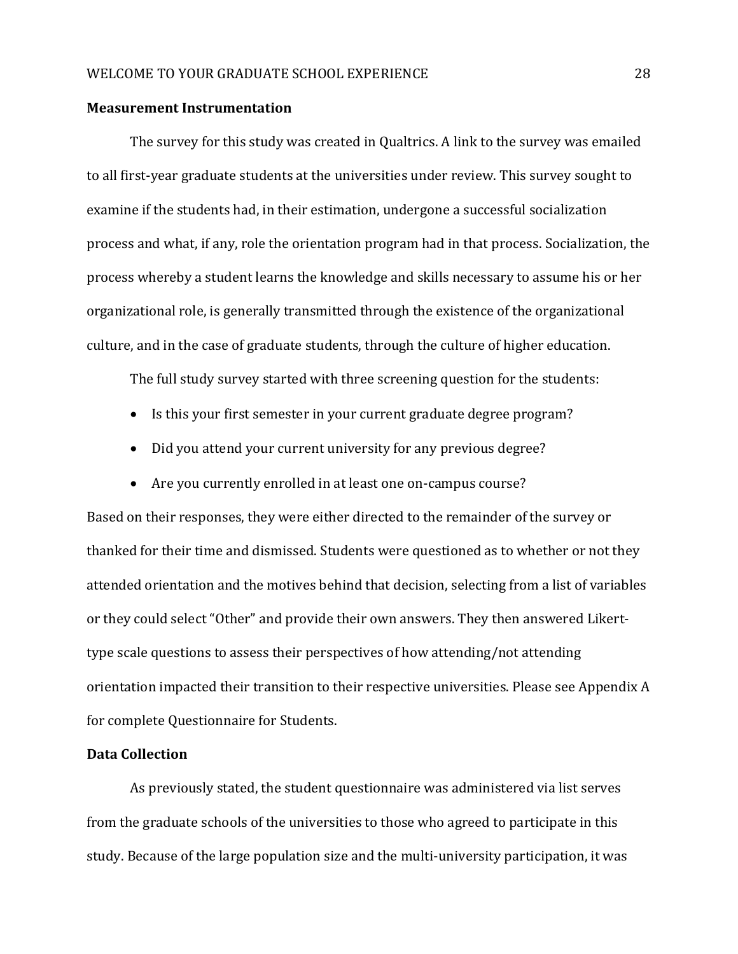#### **Measurement Instrumentation**

The survey for this study was created in Qualtrics. A link to the survey was emailed to all first-year graduate students at the universities under review. This survey sought to examine if the students had, in their estimation, undergone a successful socialization process and what, if any, role the orientation program had in that process. Socialization, the process whereby a student learns the knowledge and skills necessary to assume his or her organizational role, is generally transmitted through the existence of the organizational culture, and in the case of graduate students, through the culture of higher education.

The full study survey started with three screening question for the students:

- Is this your first semester in your current graduate degree program?
- Did you attend your current university for any previous degree?
- Are you currently enrolled in at least one on-campus course?

Based on their responses, they were either directed to the remainder of the survey or thanked for their time and dismissed. Students were questioned as to whether or not they attended orientation and the motives behind that decision, selecting from a list of variables or they could select "Other" and provide their own answers. They then answered Likerttype scale questions to assess their perspectives of how attending/not attending orientation impacted their transition to their respective universities. Please see Appendix A for complete Questionnaire for Students.

#### **Data Collection**

As previously stated, the student questionnaire was administered via list serves from the graduate schools of the universities to those who agreed to participate in this study. Because of the large population size and the multi-university participation, it was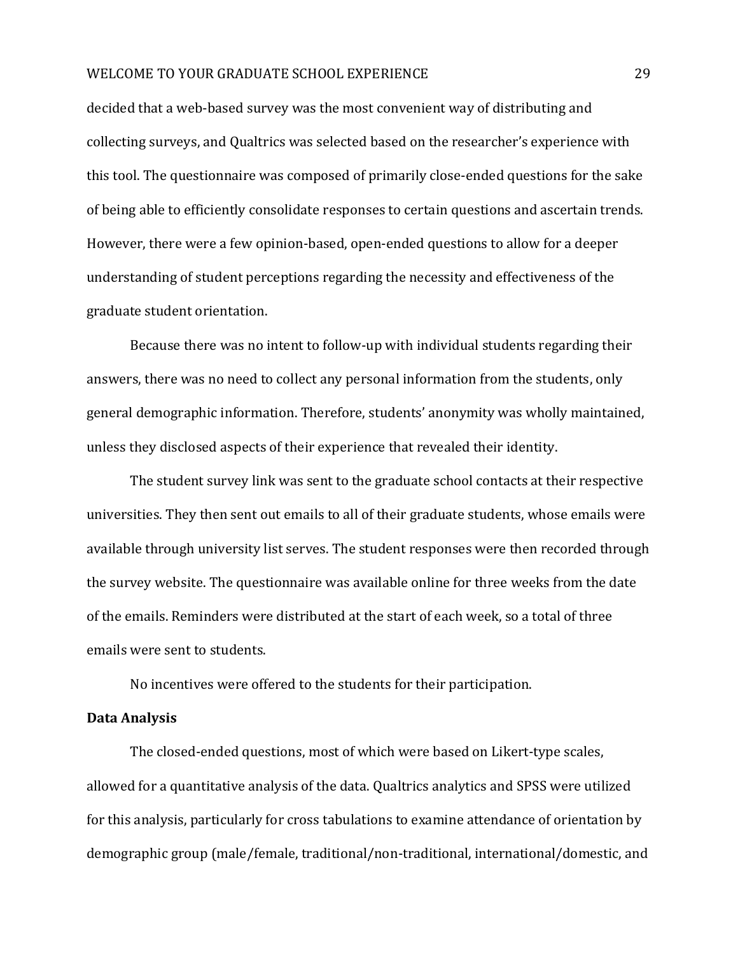decided that a web-based survey was the most convenient way of distributing and collecting surveys, and Qualtrics was selected based on the researcher's experience with this tool. The questionnaire was composed of primarily close-ended questions for the sake of being able to efficiently consolidate responses to certain questions and ascertain trends. However, there were a few opinion-based, open-ended questions to allow for a deeper understanding of student perceptions regarding the necessity and effectiveness of the graduate student orientation.

Because there was no intent to follow-up with individual students regarding their answers, there was no need to collect any personal information from the students, only general demographic information. Therefore, students' anonymity was wholly maintained, unless they disclosed aspects of their experience that revealed their identity.

The student survey link was sent to the graduate school contacts at their respective universities. They then sent out emails to all of their graduate students, whose emails were available through university list serves. The student responses were then recorded through the survey website. The questionnaire was available online for three weeks from the date of the emails. Reminders were distributed at the start of each week, so a total of three emails were sent to students.

No incentives were offered to the students for their participation.

#### **Data Analysis**

The closed-ended questions, most of which were based on Likert-type scales, allowed for a quantitative analysis of the data. Qualtrics analytics and SPSS were utilized for this analysis, particularly for cross tabulations to examine attendance of orientation by demographic group (male/female, traditional/non-traditional, international/domestic, and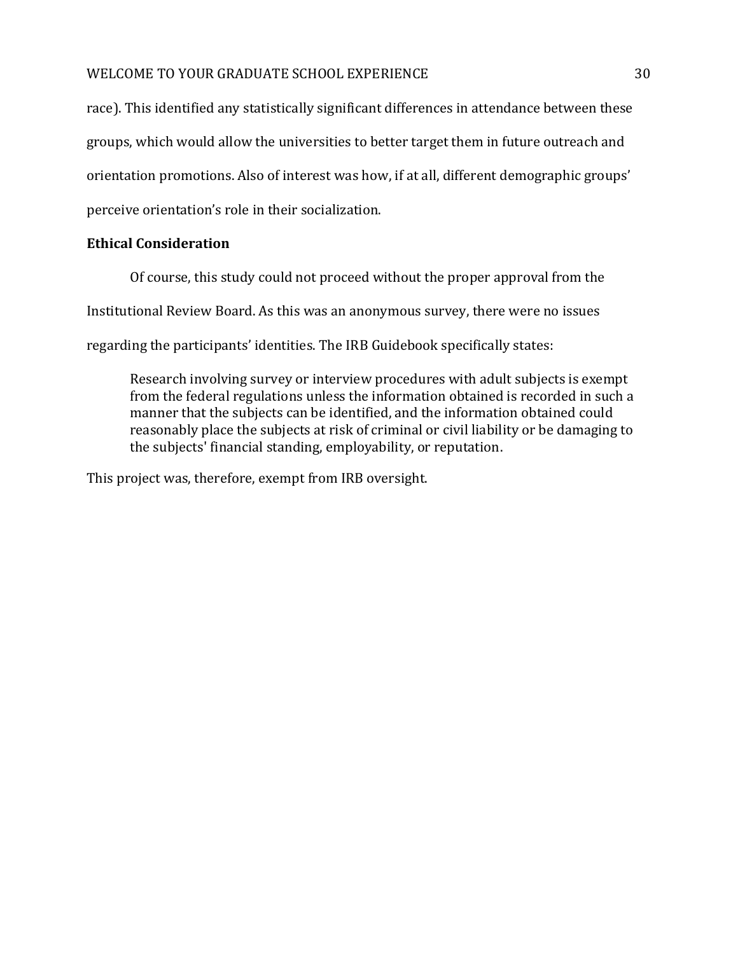### WELCOME TO YOUR GRADUATE SCHOOL EXPERIENCE  $\qquad \qquad 30$

race). This identified any statistically significant differences in attendance between these groups, which would allow the universities to better target them in future outreach and orientation promotions. Also of interest was how, if at all, different demographic groups' perceive orientation's role in their socialization.

# **Ethical Consideration**

Of course, this study could not proceed without the proper approval from the

Institutional Review Board. As this was an anonymous survey, there were no issues

regarding the participants' identities. The IRB Guidebook specifically states:

Research involving survey or interview procedures with adult subjects is exempt from the federal regulations unless the information obtained is recorded in such a manner that the subjects can be identified, and the information obtained could reasonably place the subjects at risk of criminal or civil liability or be damaging to the subjects' financial standing, employability, or reputation.

This project was, therefore, exempt from IRB oversight.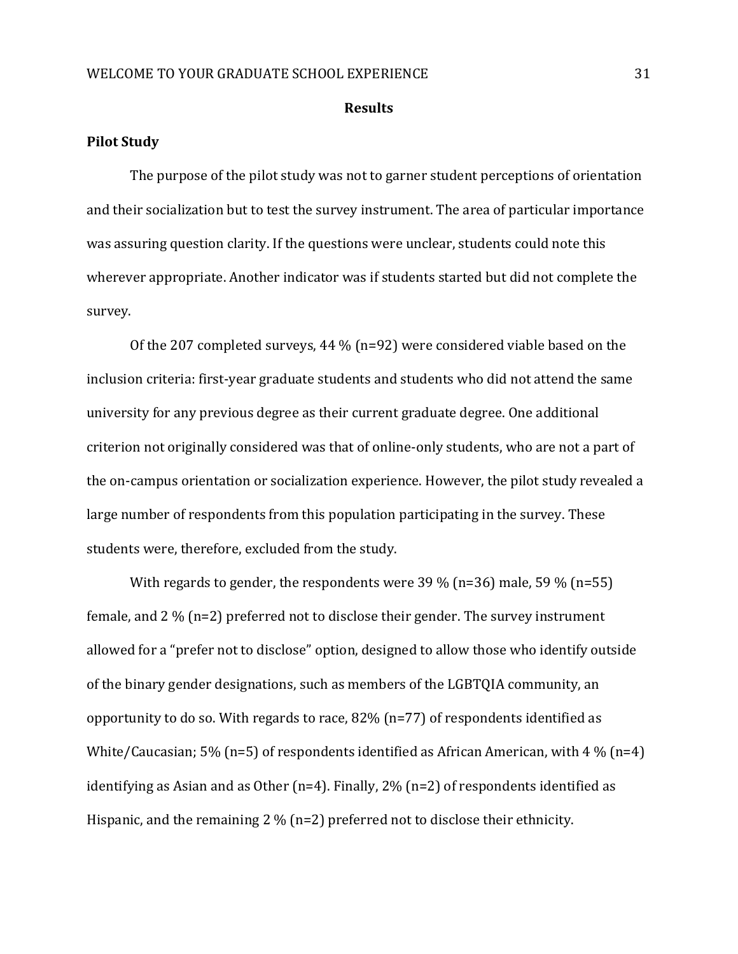#### **Results**

#### **Pilot Study**

The purpose of the pilot study was not to garner student perceptions of orientation and their socialization but to test the survey instrument. The area of particular importance was assuring question clarity. If the questions were unclear, students could note this wherever appropriate. Another indicator was if students started but did not complete the survey.

Of the 207 completed surveys, 44 % (n=92) were considered viable based on the inclusion criteria: first-year graduate students and students who did not attend the same university for any previous degree as their current graduate degree. One additional criterion not originally considered was that of online-only students, who are not a part of the on-campus orientation or socialization experience. However, the pilot study revealed a large number of respondents from this population participating in the survey. These students were, therefore, excluded from the study.

With regards to gender, the respondents were 39 % (n=36) male, 59 % (n=55) female, and 2 % (n=2) preferred not to disclose their gender. The survey instrument allowed for a "prefer not to disclose" option, designed to allow those who identify outside of the binary gender designations, such as members of the LGBTQIA community, an opportunity to do so. With regards to race, 82% (n=77) of respondents identified as White/Caucasian; 5% (n=5) of respondents identified as African American, with 4 % (n=4) identifying as Asian and as Other (n=4). Finally,  $2\%$  (n=2) of respondents identified as Hispanic, and the remaining 2 % (n=2) preferred not to disclose their ethnicity.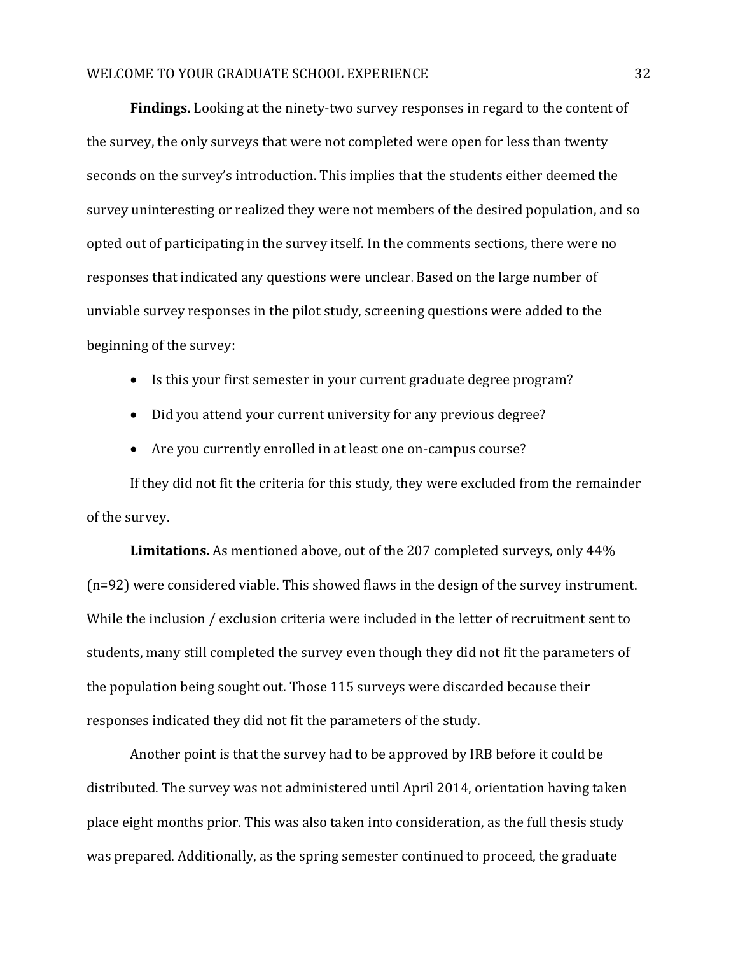**Findings.** Looking at the ninety-two survey responses in regard to the content of the survey, the only surveys that were not completed were open for less than twenty seconds on the survey's introduction. This implies that the students either deemed the survey uninteresting or realized they were not members of the desired population, and so opted out of participating in the survey itself. In the comments sections, there were no responses that indicated any questions were unclear. Based on the large number of unviable survey responses in the pilot study, screening questions were added to the beginning of the survey:

- Is this your first semester in your current graduate degree program?
- Did you attend your current university for any previous degree?
- Are you currently enrolled in at least one on-campus course?

If they did not fit the criteria for this study, they were excluded from the remainder of the survey.

**Limitations.** As mentioned above, out of the 207 completed surveys, only 44% (n=92) were considered viable. This showed flaws in the design of the survey instrument. While the inclusion / exclusion criteria were included in the letter of recruitment sent to students, many still completed the survey even though they did not fit the parameters of the population being sought out. Those 115 surveys were discarded because their responses indicated they did not fit the parameters of the study.

Another point is that the survey had to be approved by IRB before it could be distributed. The survey was not administered until April 2014, orientation having taken place eight months prior. This was also taken into consideration, as the full thesis study was prepared. Additionally, as the spring semester continued to proceed, the graduate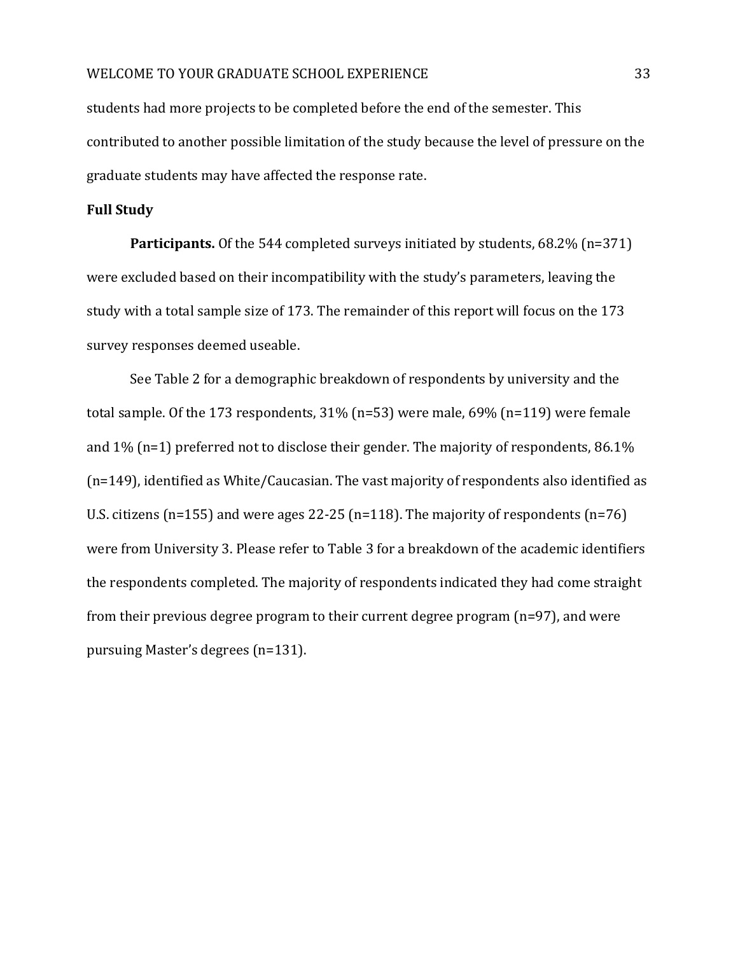students had more projects to be completed before the end of the semester. This contributed to another possible limitation of the study because the level of pressure on the graduate students may have affected the response rate.

#### **Full Study**

**Participants.** Of the 544 completed surveys initiated by students, 68.2% (n=371) were excluded based on their incompatibility with the study's parameters, leaving the study with a total sample size of 173. The remainder of this report will focus on the 173 survey responses deemed useable.

See Table 2 for a demographic breakdown of respondents by university and the total sample. Of the 173 respondents, 31% (n=53) were male, 69% (n=119) were female and 1% (n=1) preferred not to disclose their gender. The majority of respondents, 86.1% (n=149), identified as White/Caucasian. The vast majority of respondents also identified as U.S. citizens (n=155) and were ages 22-25 (n=118). The majority of respondents (n=76) were from University 3. Please refer to Table 3 for a breakdown of the academic identifiers the respondents completed. The majority of respondents indicated they had come straight from their previous degree program to their current degree program (n=97), and were pursuing Master's degrees (n=131).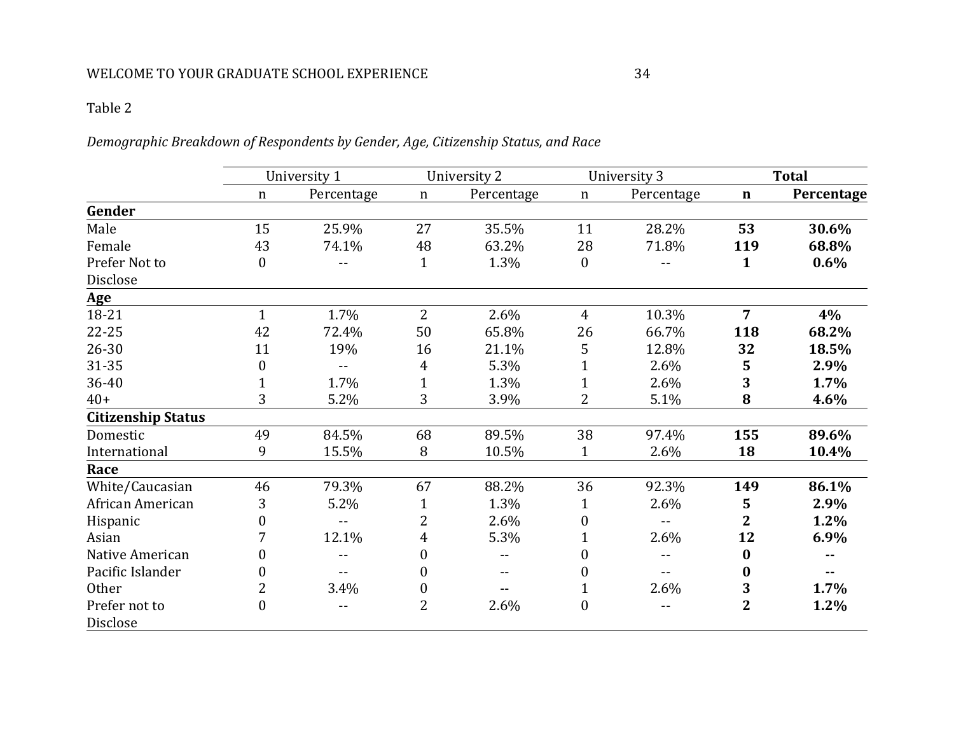# *Demographic Breakdown of Respondents by Gender, Age, Citizenship Status, and Race*

|                           | University 1 |            | University 2     |            | University 3     |            | <b>Total</b>            |            |
|---------------------------|--------------|------------|------------------|------------|------------------|------------|-------------------------|------------|
|                           | n            | Percentage | $\mathbf n$      | Percentage | $\mathbf n$      | Percentage | $\mathbf n$             | Percentage |
| Gender                    |              |            |                  |            |                  |            |                         |            |
| Male                      | 15           | 25.9%      | 27               | 35.5%      | 11               | 28.2%      | 53                      | 30.6%      |
| Female                    | 43           | 74.1%      | 48               | 63.2%      | 28               | 71.8%      | 119                     | 68.8%      |
| Prefer Not to             | 0            |            | $\mathbf{1}$     | 1.3%       | $\boldsymbol{0}$ |            | 1                       | $0.6\%$    |
| Disclose                  |              |            |                  |            |                  |            |                         |            |
| <b>Age</b>                |              |            |                  |            |                  |            |                         |            |
| 18-21                     | $\mathbf{1}$ | 1.7%       | $\overline{2}$   | 2.6%       | $\overline{4}$   | 10.3%      | $\overline{7}$          | 4%         |
| $22 - 25$                 | 42           | 72.4%      | 50               | 65.8%      | 26               | 66.7%      | 118                     | 68.2%      |
| $26 - 30$                 | 11           | 19%        | 16               | 21.1%      | 5                | 12.8%      | 32                      | 18.5%      |
| 31-35                     | 0            | --         | 4                | 5.3%       |                  | 2.6%       | 5                       | 2.9%       |
| 36-40                     |              | 1.7%       | $\mathbf{1}$     | 1.3%       |                  | 2.6%       | 3                       | 1.7%       |
| $40+$                     | 3            | 5.2%       | 3                | 3.9%       | 2                | 5.1%       | 8                       | 4.6%       |
| <b>Citizenship Status</b> |              |            |                  |            |                  |            |                         |            |
| Domestic                  | 49           | 84.5%      | 68               | 89.5%      | 38               | 97.4%      | 155                     | 89.6%      |
| International             | 9            | 15.5%      | 8                | 10.5%      | 1                | 2.6%       | 18                      | 10.4%      |
| Race                      |              |            |                  |            |                  |            |                         |            |
| White/Caucasian           | 46           | 79.3%      | 67               | 88.2%      | 36               | 92.3%      | 149                     | 86.1%      |
| African American          | 3            | 5.2%       | 1                | 1.3%       | 1                | 2.6%       | 5                       | 2.9%       |
| Hispanic                  |              | --         | 2                | 2.6%       | 0                |            | $\overline{\mathbf{2}}$ | 1.2%       |
| Asian                     |              | 12.1%      | 4                | 5.3%       |                  | 2.6%       | 12                      | 6.9%       |
| Native American           |              | --         | $\boldsymbol{0}$ |            |                  |            | $\bf{0}$                |            |
| Pacific Islander          | 0            |            | $\boldsymbol{0}$ | --         | 0                |            | 0                       |            |
| Other                     | 2            | 3.4%       | $\boldsymbol{0}$ |            |                  | 2.6%       | 3                       | 1.7%       |
| Prefer not to             | 0            | $-$        | $\overline{2}$   | 2.6%       | $\overline{0}$   | $- -$      | $\overline{2}$          | 1.2%       |
| Disclose                  |              |            |                  |            |                  |            |                         |            |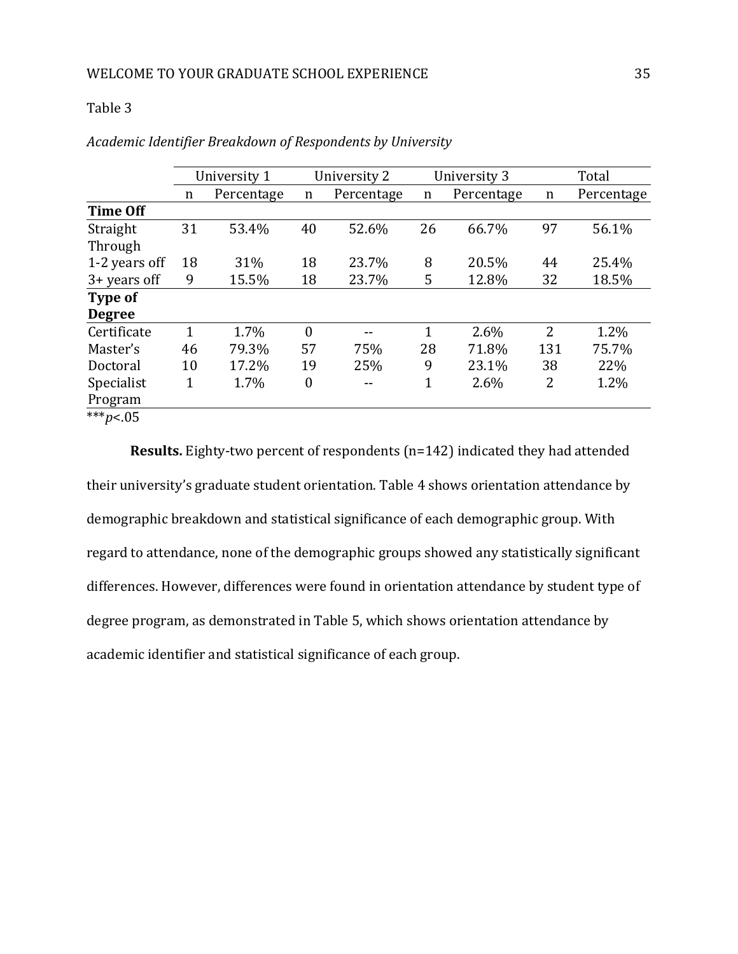|                   | University 1 |            |                  | University 2 |                 | University 3 | Total          |            |  |
|-------------------|--------------|------------|------------------|--------------|-----------------|--------------|----------------|------------|--|
|                   | n            | Percentage | n                | Percentage   | Percentage<br>n |              | n              | Percentage |  |
| <b>Time Off</b>   |              |            |                  |              |                 |              |                |            |  |
| Straight          | 31           | 53.4%      | 40               | 52.6%        | 26              | 66.7%        | 97             | 56.1%      |  |
| Through           |              |            |                  |              |                 |              |                |            |  |
| 1-2 years off     | 18           | 31%        | 18               | 23.7%        | 8               | 20.5%        | 44             | 25.4%      |  |
| $3 + years$ off   | 9            | 15.5%      | 18               | 23.7%        | 5               | 12.8%        | 32             | 18.5%      |  |
| Type of           |              |            |                  |              |                 |              |                |            |  |
| <b>Degree</b>     |              |            |                  |              |                 |              |                |            |  |
| Certificate       | 1            | 1.7%       | $\theta$         | --           | 1               | 2.6%         | $\overline{2}$ | 1.2%       |  |
| Master's          | 46           | 79.3%      | 57               | 75%          | 28              | 71.8%        | 131            | 75.7%      |  |
| Doctoral          | 10           | 17.2%      | 19               | 25%          | 9               | 23.1%        | 38             | 22%        |  |
| Specialist        | 1            | 1.7%       | $\boldsymbol{0}$ | --           | 1               | 2.6%         | 2              | 1.2%       |  |
| Program           |              |            |                  |              |                 |              |                |            |  |
| *** <i>p</i> <.05 |              |            |                  |              |                 |              |                |            |  |

| Academic Identifier Breakdown of Respondents by University |  |
|------------------------------------------------------------|--|
|                                                            |  |

**Results.** Eighty-two percent of respondents (n=142) indicated they had attended their university's graduate student orientation. Table 4 shows orientation attendance by demographic breakdown and statistical significance of each demographic group. With regard to attendance, none of the demographic groups showed any statistically significant differences. However, differences were found in orientation attendance by student type of degree program, as demonstrated in Table 5, which shows orientation attendance by academic identifier and statistical significance of each group.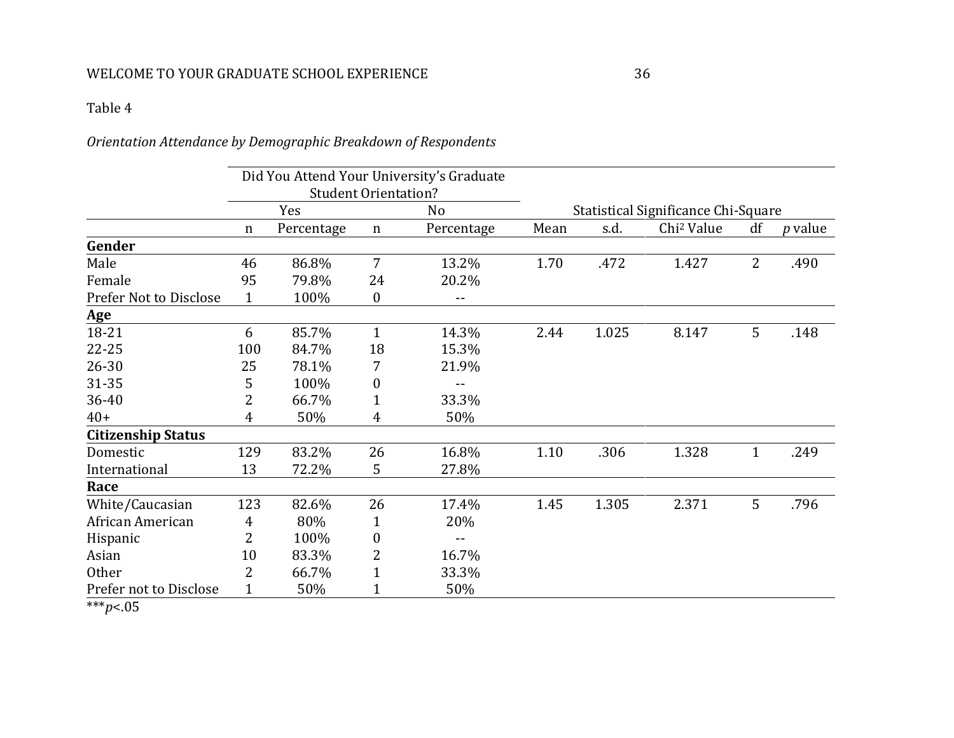# *Orientation Attendance by Demographic Breakdown of Respondents*

|                           |                             |            |                  | Did You Attend Your University's Graduate |      |                                     |                        |                |                |  |
|---------------------------|-----------------------------|------------|------------------|-------------------------------------------|------|-------------------------------------|------------------------|----------------|----------------|--|
|                           | <b>Student Orientation?</b> |            |                  |                                           |      |                                     |                        |                |                |  |
|                           |                             | Yes        | N <sub>o</sub>   |                                           |      | Statistical Significance Chi-Square |                        |                |                |  |
|                           | $\mathbf n$                 | Percentage | n                | Percentage                                | Mean | s.d.                                | Chi <sup>2</sup> Value | df             | <i>p</i> value |  |
| Gender                    |                             |            |                  |                                           |      |                                     |                        |                |                |  |
| Male                      | 46                          | 86.8%      | 7                | 13.2%                                     | 1.70 | .472                                | 1.427                  | $\overline{2}$ | .490           |  |
| Female                    | 95                          | 79.8%      | 24               | 20.2%                                     |      |                                     |                        |                |                |  |
| Prefer Not to Disclose    | $\mathbf{1}$                | 100%       | $\boldsymbol{0}$ | --                                        |      |                                     |                        |                |                |  |
| <b>Age</b>                |                             |            |                  |                                           |      |                                     |                        |                |                |  |
| 18-21                     | 6                           | 85.7%      | $\mathbf{1}$     | 14.3%                                     | 2.44 | 1.025                               | 8.147                  | 5              | .148           |  |
| 22-25                     | 100                         | 84.7%      | 18               | 15.3%                                     |      |                                     |                        |                |                |  |
| $26 - 30$                 | 25                          | 78.1%      | 7                | 21.9%                                     |      |                                     |                        |                |                |  |
| 31-35                     | 5                           | 100%       | 0                | --                                        |      |                                     |                        |                |                |  |
| 36-40                     | 2                           | 66.7%      | $\mathbf{1}$     | 33.3%                                     |      |                                     |                        |                |                |  |
| $40+$                     | 4                           | 50%        | 4                | 50%                                       |      |                                     |                        |                |                |  |
| <b>Citizenship Status</b> |                             |            |                  |                                           |      |                                     |                        |                |                |  |
| Domestic                  | 129                         | 83.2%      | 26               | 16.8%                                     | 1.10 | .306                                | 1.328                  | $\mathbf{1}$   | .249           |  |
| International             | 13                          | 72.2%      | 5                | 27.8%                                     |      |                                     |                        |                |                |  |
| Race                      |                             |            |                  |                                           |      |                                     |                        |                |                |  |
| White/Caucasian           | 123                         | 82.6%      | 26               | 17.4%                                     | 1.45 | 1.305                               | 2.371                  | 5              | .796           |  |
| African American          | 4                           | 80%        | 1                | 20%                                       |      |                                     |                        |                |                |  |
| Hispanic                  | 2                           | 100%       | 0                | --                                        |      |                                     |                        |                |                |  |
| Asian                     | 10                          | 83.3%      | 2                | 16.7%                                     |      |                                     |                        |                |                |  |
| Other                     | 2                           | 66.7%      | 1                | 33.3%                                     |      |                                     |                        |                |                |  |
| Prefer not to Disclose    | 1                           | 50%        |                  | 50%                                       |      |                                     |                        |                |                |  |

\*\*\**p*<.05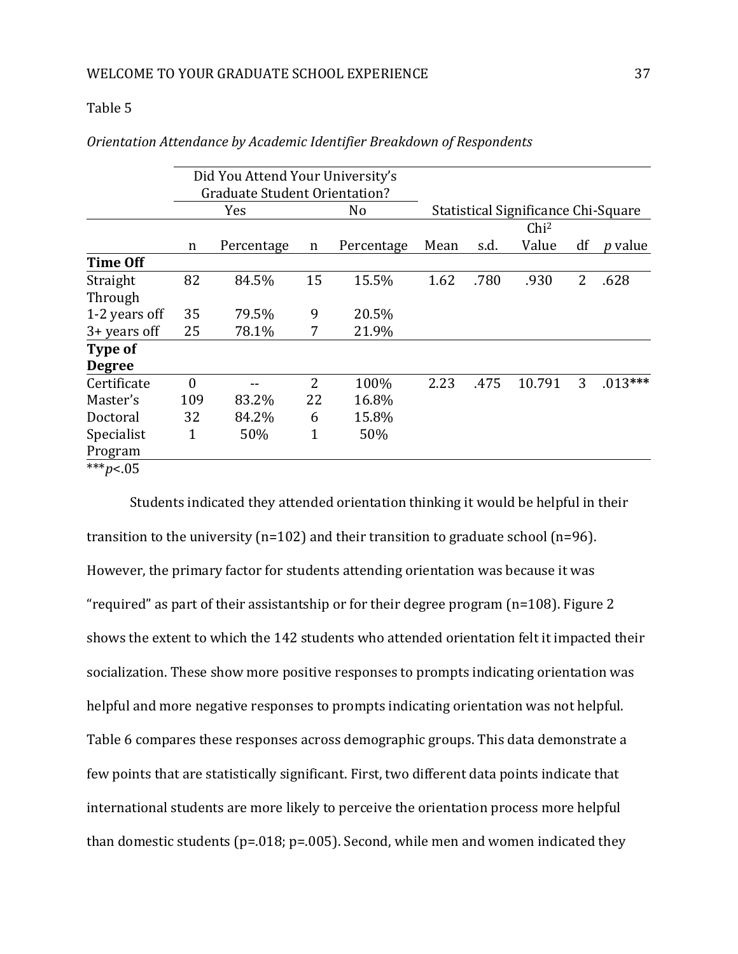|                   |                | Did You Attend Your University's     |    |            |      |      |                                     |                |                |
|-------------------|----------------|--------------------------------------|----|------------|------|------|-------------------------------------|----------------|----------------|
|                   |                | <b>Graduate Student Orientation?</b> |    |            |      |      |                                     |                |                |
|                   |                | Yes<br>No                            |    |            |      |      | Statistical Significance Chi-Square |                |                |
|                   |                |                                      |    |            |      |      | Chi <sup>2</sup>                    |                |                |
|                   | n              | Percentage                           | n  | Percentage | Mean | s.d. | Value                               | df             | <i>p</i> value |
| <b>Time Off</b>   |                |                                      |    |            |      |      |                                     |                |                |
| Straight          | 82             | 84.5%                                | 15 | 15.5%      | 1.62 | .780 | .930                                | $\overline{2}$ | .628           |
| Through           |                |                                      |    |            |      |      |                                     |                |                |
| 1-2 years off     | 35             | 79.5%                                | 9  | 20.5%      |      |      |                                     |                |                |
| $3 + years$ off   | 25             | 78.1%                                | 7  | 21.9%      |      |      |                                     |                |                |
| Type of           |                |                                      |    |            |      |      |                                     |                |                |
| <b>Degree</b>     |                |                                      |    |            |      |      |                                     |                |                |
| Certificate       | $\overline{0}$ |                                      | 2  | 100%       | 2.23 | .475 | 10.791                              | 3              | $.013***$      |
| Master's          | 109            | 83.2%                                | 22 | 16.8%      |      |      |                                     |                |                |
| Doctoral          | 32             | 84.2%                                | 6  | 15.8%      |      |      |                                     |                |                |
| Specialist        | 1              | 50%                                  | 1  | 50%        |      |      |                                     |                |                |
| Program           |                |                                      |    |            |      |      |                                     |                |                |
| *** <i>p</i> <.05 |                |                                      |    |            |      |      |                                     |                |                |
|                   |                |                                      |    |            |      |      |                                     |                |                |

*Orientation Attendance by Academic Identifier Breakdown of Respondents*

Students indicated they attended orientation thinking it would be helpful in their transition to the university (n=102) and their transition to graduate school (n=96). However, the primary factor for students attending orientation was because it was "required" as part of their assistantship or for their degree program (n=108). Figure 2 shows the extent to which the 142 students who attended orientation felt it impacted their socialization. These show more positive responses to prompts indicating orientation was helpful and more negative responses to prompts indicating orientation was not helpful. Table 6 compares these responses across demographic groups. This data demonstrate a few points that are statistically significant. First, two different data points indicate that international students are more likely to perceive the orientation process more helpful than domestic students ( $p=.018$ ;  $p=.005$ ). Second, while men and women indicated they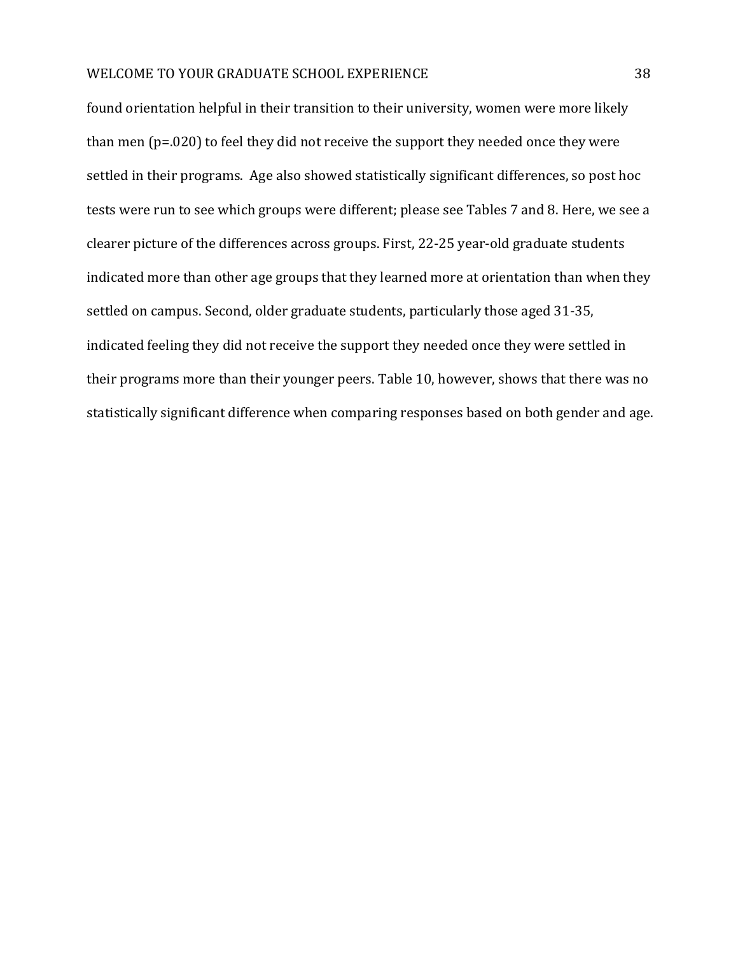found orientation helpful in their transition to their university, women were more likely than men (p=.020) to feel they did not receive the support they needed once they were settled in their programs. Age also showed statistically significant differences, so post hoc tests were run to see which groups were different; please see Tables 7 and 8. Here, we see a clearer picture of the differences across groups. First, 22-25 year-old graduate students indicated more than other age groups that they learned more at orientation than when they settled on campus. Second, older graduate students, particularly those aged 31-35, indicated feeling they did not receive the support they needed once they were settled in their programs more than their younger peers. Table 10, however, shows that there was no statistically significant difference when comparing responses based on both gender and age.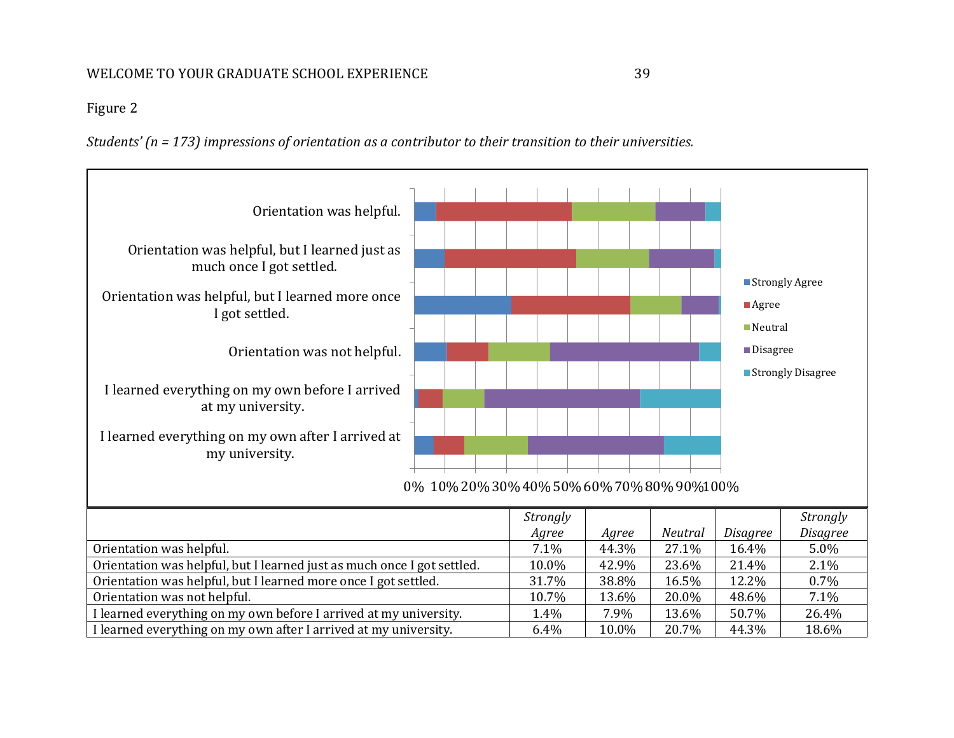# Figure 2

*Students' (n = 173) impressions of orientation as a contributor to their transition to their universities.*

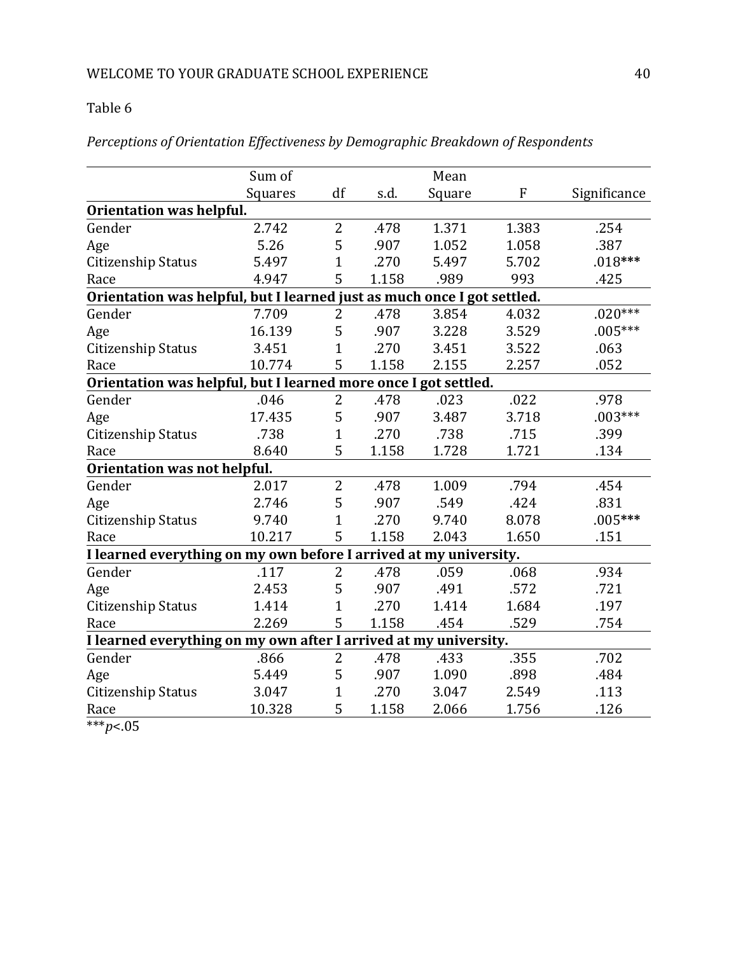*Perceptions of Orientation Effectiveness by Demographic Breakdown of Respondents*

|                                                                         | Sum of  |                |       | Mean   |              |              |  |  |  |  |
|-------------------------------------------------------------------------|---------|----------------|-------|--------|--------------|--------------|--|--|--|--|
|                                                                         | Squares | df             | s.d.  | Square | $\mathbf{F}$ | Significance |  |  |  |  |
| Orientation was helpful.                                                |         |                |       |        |              |              |  |  |  |  |
| Gender                                                                  | 2.742   | $\overline{2}$ | .478  | 1.371  | 1.383        | .254         |  |  |  |  |
| Age                                                                     | 5.26    | 5              | .907  | 1.052  | 1.058        | .387         |  |  |  |  |
| <b>Citizenship Status</b>                                               | 5.497   | $\mathbf{1}$   | .270  | 5.497  | 5.702        | $.018***$    |  |  |  |  |
| Race                                                                    | 4.947   | 5              | 1.158 | .989   | 993          | .425         |  |  |  |  |
| Orientation was helpful, but I learned just as much once I got settled. |         |                |       |        |              |              |  |  |  |  |
| Gender                                                                  | 7.709   | $\overline{2}$ | .478  | 3.854  | 4.032        | $.020***$    |  |  |  |  |
| Age                                                                     | 16.139  | 5              | .907  | 3.228  | 3.529        | $.005***$    |  |  |  |  |
| Citizenship Status                                                      | 3.451   | $\mathbf{1}$   | .270  | 3.451  | 3.522        | .063         |  |  |  |  |
| Race                                                                    | 10.774  | 5              | 1.158 | 2.155  | 2.257        | .052         |  |  |  |  |
| Orientation was helpful, but I learned more once I got settled.         |         |                |       |        |              |              |  |  |  |  |
| Gender                                                                  | .046    | 2              | .478  | .023   | .022         | .978         |  |  |  |  |
| Age                                                                     | 17.435  | 5              | .907  | 3.487  | 3.718        | $.003***$    |  |  |  |  |
| <b>Citizenship Status</b>                                               | .738    | $\mathbf{1}$   | .270  | .738   | .715         | .399         |  |  |  |  |
| Race                                                                    | 8.640   | 5              | 1.158 | 1.728  | 1.721        | .134         |  |  |  |  |
| Orientation was not helpful.                                            |         |                |       |        |              |              |  |  |  |  |
| Gender                                                                  | 2.017   | 2              | .478  | 1.009  | .794         | .454         |  |  |  |  |
| Age                                                                     | 2.746   | 5              | .907  | .549   | .424         | .831         |  |  |  |  |
| Citizenship Status                                                      | 9.740   | $\overline{1}$ | .270  | 9.740  | 8.078        | $.005***$    |  |  |  |  |
| Race                                                                    | 10.217  | 5              | 1.158 | 2.043  | 1.650        | .151         |  |  |  |  |
| I learned everything on my own before I arrived at my university.       |         |                |       |        |              |              |  |  |  |  |
| Gender                                                                  | .117    | 2              | .478  | .059   | .068         | .934         |  |  |  |  |
| Age                                                                     | 2.453   | 5              | .907  | .491   | .572         | .721         |  |  |  |  |
| Citizenship Status                                                      | 1.414   | 1              | .270  | 1.414  | 1.684        | .197         |  |  |  |  |
| Race                                                                    | 2.269   | 5              | 1.158 | .454   | .529         | .754         |  |  |  |  |
| I learned everything on my own after I arrived at my university.        |         |                |       |        |              |              |  |  |  |  |
| Gender                                                                  | .866    | $\overline{2}$ | .478  | .433   | .355         | .702         |  |  |  |  |
| Age                                                                     | 5.449   | 5              | .907  | 1.090  | .898         | .484         |  |  |  |  |
| Citizenship Status                                                      | 3.047   | 1              | .270  | 3.047  | 2.549        | .113         |  |  |  |  |
| Race                                                                    | 10.328  | 5              | 1.158 | 2.066  | 1.756        | .126         |  |  |  |  |

\*\*\**p*<.05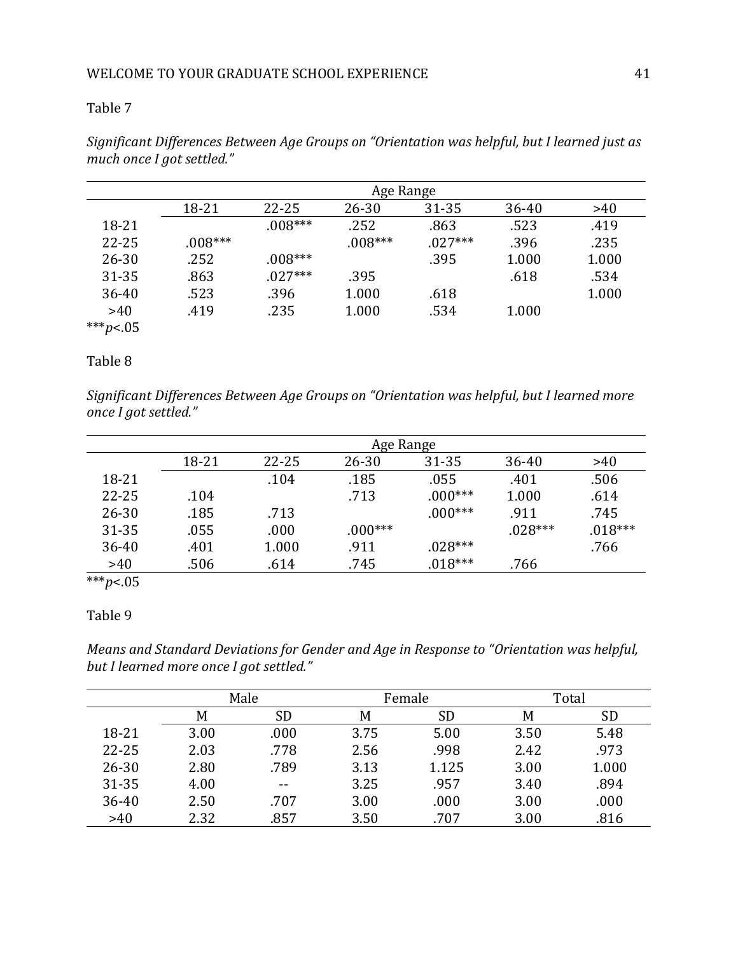|             | Age Range |           |           |           |           |       |  |
|-------------|-----------|-----------|-----------|-----------|-----------|-------|--|
|             | 18-21     | $22 - 25$ | $26 - 30$ | $31 - 35$ | $36 - 40$ | >40   |  |
| 18-21       |           | $.008***$ | .252      | .863      | .523      | .419  |  |
| $22 - 25$   | $.008***$ |           | $.008***$ | $.027***$ | .396      | .235  |  |
| $26 - 30$   | .252      | $.008***$ |           | .395      | 1.000     | 1.000 |  |
| 31-35       | .863      | $.027***$ | .395      |           | .618      | .534  |  |
| $36 - 40$   | .523      | .396      | 1.000     | .618      |           | 1.000 |  |
| >40         | .419      | .235      | 1.000     | .534      | 1.000     |       |  |
| *** $p<.05$ |           |           |           |           |           |       |  |

*Significant Differences Between Age Groups on "Orientation was helpful, but I learned just as much once I got settled."*

# Table 8

*Significant Differences Between Age Groups on "Orientation was helpful, but I learned more once I got settled."*

|           | Age Range |           |           |           |           |           |  |
|-----------|-----------|-----------|-----------|-----------|-----------|-----------|--|
|           | 18-21     | $22 - 25$ | $26 - 30$ | 31-35     | $36 - 40$ | >40       |  |
| 18-21     |           | .104      | .185      | .055      | .401      | .506      |  |
| $22 - 25$ | .104      |           | .713      | $.000***$ | 1.000     | .614      |  |
| $26 - 30$ | .185      | .713      |           | $.000***$ | .911      | .745      |  |
| 31-35     | .055      | .000      | $.000***$ |           | $028***$  | $.018***$ |  |
| 36-40     | .401      | 1.000     | .911      | $.028***$ |           | .766      |  |
| >40       | .506      | .614      | .745      | $.018***$ | .766      |           |  |

\*\*\**p*<.05

# Table 9

*Means and Standard Deviations for Gender and Age in Response to "Orientation was helpful, but I learned more once I got settled."*

|           | Male |       |      | Female    | Total |           |  |
|-----------|------|-------|------|-----------|-------|-----------|--|
|           | M    | SD    | M    | <b>SD</b> | M     | <b>SD</b> |  |
| 18-21     | 3.00 | .000  | 3.75 | 5.00      | 3.50  | 5.48      |  |
| 22-25     | 2.03 | .778  | 2.56 | .998      | 2.42  | .973      |  |
| $26 - 30$ | 2.80 | .789  | 3.13 | 1.125     | 3.00  | 1.000     |  |
| 31-35     | 4.00 | $- -$ | 3.25 | .957      | 3.40  | .894      |  |
| 36-40     | 2.50 | .707  | 3.00 | .000      | 3.00  | .000      |  |
| >40       | 2.32 | .857  | 3.50 | .707      | 3.00  | .816      |  |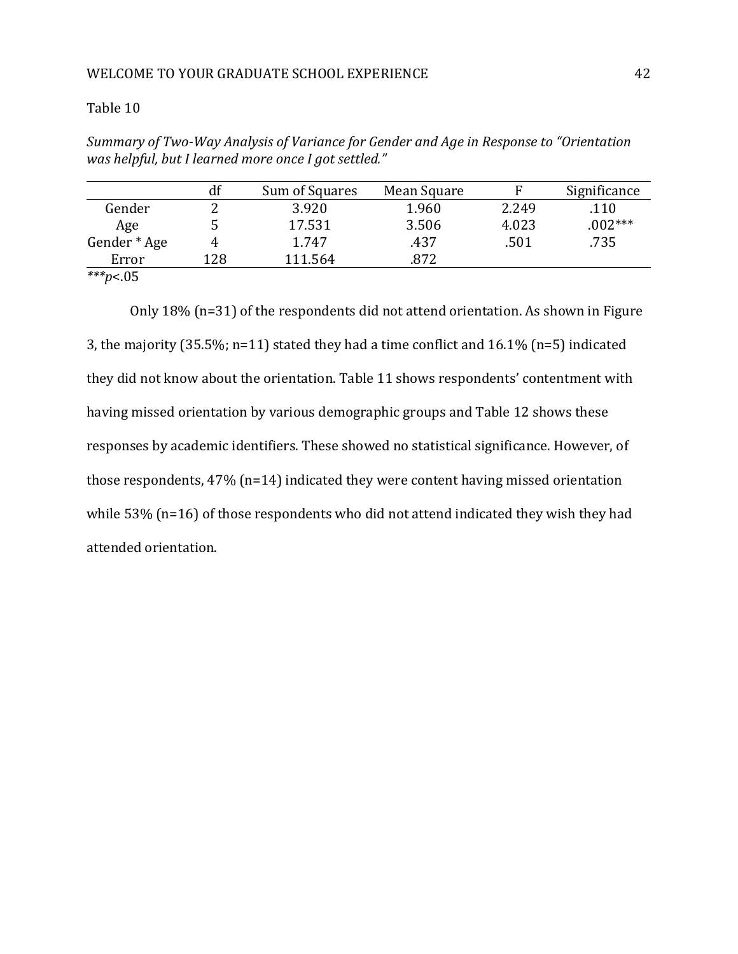*Summary of Two-Way Analysis of Variance for Gender and Age in Response to "Orientation was helpful, but I learned more once I got settled."*

|                           | df  | Sum of Squares | Mean Square |       | Significance |
|---------------------------|-----|----------------|-------------|-------|--------------|
| Gender                    |     | 3.920          | 1.960       | 2.249 | .110         |
| Age                       |     | 17.531         | 3.506       | 4.023 | $.002***$    |
| Gender * Age              |     | 1.747          | .437        | .501  | .735         |
| Error                     | 128 | 111.564        | 872.        |       |              |
| als als als<br>$\sim$ $-$ |     |                |             |       |              |

*\*\*\*p*<.05

Only 18% (n=31) of the respondents did not attend orientation. As shown in Figure 3, the majority (35.5%; n=11) stated they had a time conflict and 16.1% (n=5) indicated they did not know about the orientation. Table 11 shows respondents' contentment with having missed orientation by various demographic groups and Table 12 shows these responses by academic identifiers. These showed no statistical significance. However, of those respondents, 47% (n=14) indicated they were content having missed orientation while 53% (n=16) of those respondents who did not attend indicated they wish they had attended orientation.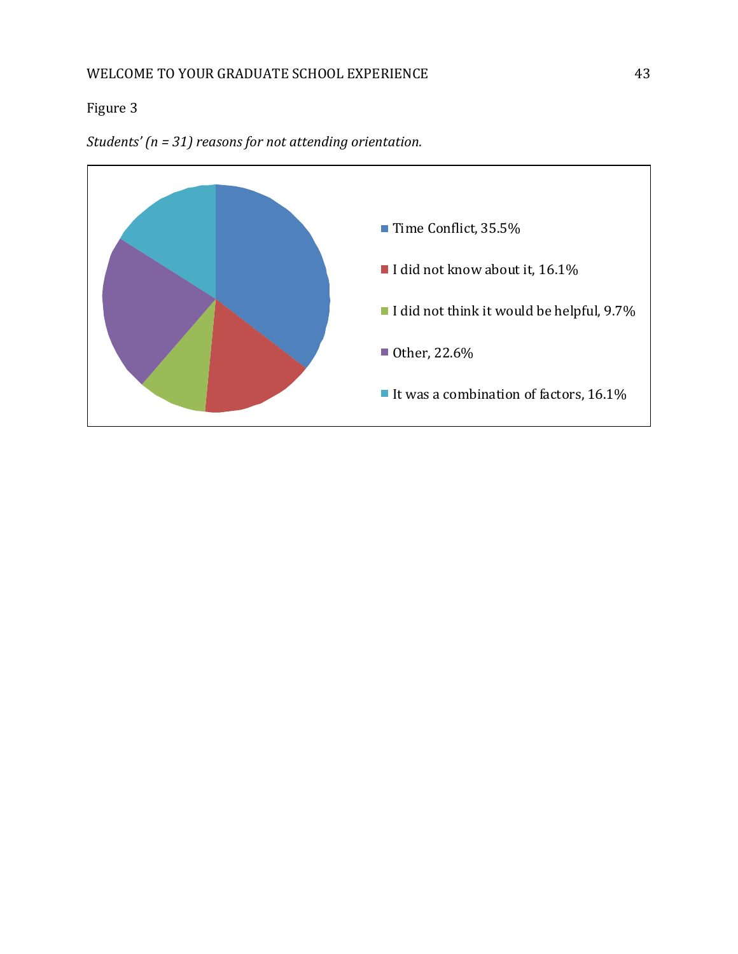# Figure 3



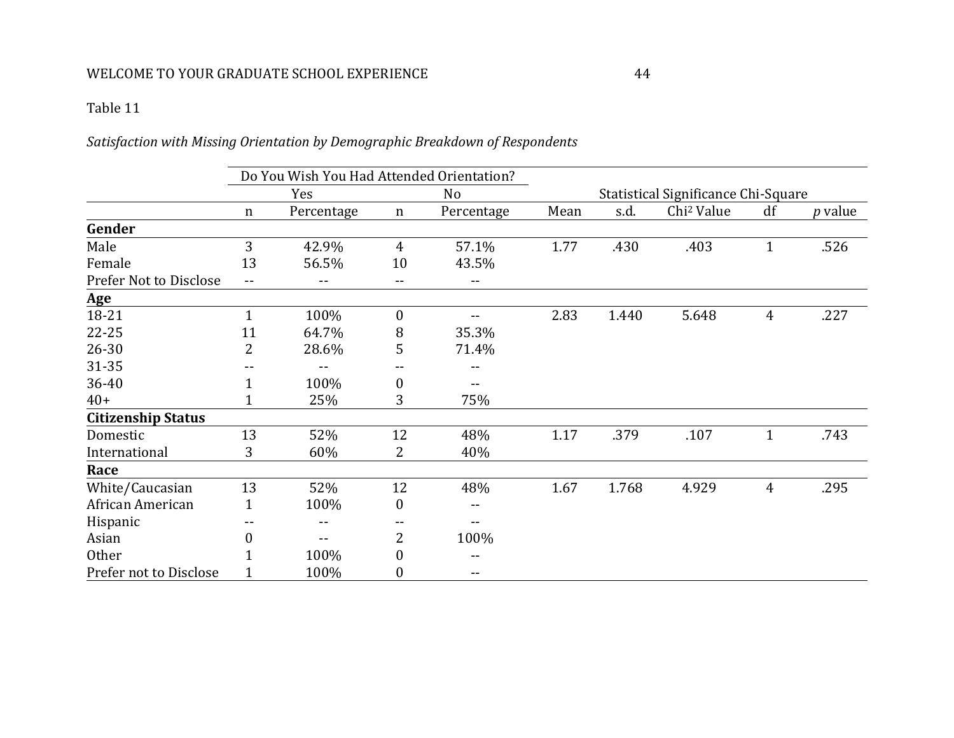# Table 11

# *Satisfaction with Missing Orientation by Demographic Breakdown of Respondents*

|                           | Do You Wish You Had Attended Orientation? |            |                  |                   |                                     |       |                        |                |                |
|---------------------------|-------------------------------------------|------------|------------------|-------------------|-------------------------------------|-------|------------------------|----------------|----------------|
|                           |                                           | Yes        |                  | N <sub>o</sub>    | Statistical Significance Chi-Square |       |                        |                |                |
|                           | $\mathbf n$                               | Percentage | $\mathbf n$      | Percentage        | Mean                                | s.d.  | Chi <sup>2</sup> Value | df             | <i>p</i> value |
| Gender                    |                                           |            |                  |                   |                                     |       |                        |                |                |
| Male                      | 3                                         | 42.9%      | $\overline{4}$   | 57.1%             | 1.77                                | .430  | .403                   | $\mathbf{1}$   | .526           |
| Female                    | 13                                        | 56.5%      | 10               | 43.5%             |                                     |       |                        |                |                |
| Prefer Not to Disclose    | $- -$                                     |            | $- -$            | $\qquad \qquad -$ |                                     |       |                        |                |                |
| <b>Age</b>                |                                           |            |                  |                   |                                     |       |                        |                |                |
| 18-21                     | $\mathbf{1}$                              | 100%       | $\boldsymbol{0}$ |                   | 2.83                                | 1.440 | 5.648                  | $\overline{4}$ | .227           |
| $22 - 25$                 | 11                                        | 64.7%      | 8                | 35.3%             |                                     |       |                        |                |                |
| 26-30                     | 2                                         | 28.6%      | 5                | 71.4%             |                                     |       |                        |                |                |
| 31-35                     |                                           |            |                  | --                |                                     |       |                        |                |                |
| 36-40                     |                                           | 100%       | $\boldsymbol{0}$ | $- -$             |                                     |       |                        |                |                |
| $40+$                     |                                           | 25%        | 3                | 75%               |                                     |       |                        |                |                |
| <b>Citizenship Status</b> |                                           |            |                  |                   |                                     |       |                        |                |                |
| Domestic                  | 13                                        | 52%        | 12               | 48%               | 1.17                                | .379  | .107                   | $\mathbf{1}$   | .743           |
| International             | 3                                         | 60%        | 2                | 40%               |                                     |       |                        |                |                |
| Race                      |                                           |            |                  |                   |                                     |       |                        |                |                |
| White/Caucasian           | 13                                        | 52%        | 12               | 48%               | 1.67                                | 1.768 | 4.929                  | $\overline{4}$ | .295           |
| African American          | 1                                         | 100%       | $\boldsymbol{0}$ |                   |                                     |       |                        |                |                |
| Hispanic                  |                                           | --         | --               | $-$               |                                     |       |                        |                |                |
| Asian                     | $\theta$                                  |            | $\overline{2}$   | 100%              |                                     |       |                        |                |                |
| <b>Other</b>              |                                           | 100%       | $\boldsymbol{0}$ |                   |                                     |       |                        |                |                |
| Prefer not to Disclose    |                                           | 100%       | $\boldsymbol{0}$ | $\qquad \qquad -$ |                                     |       |                        |                |                |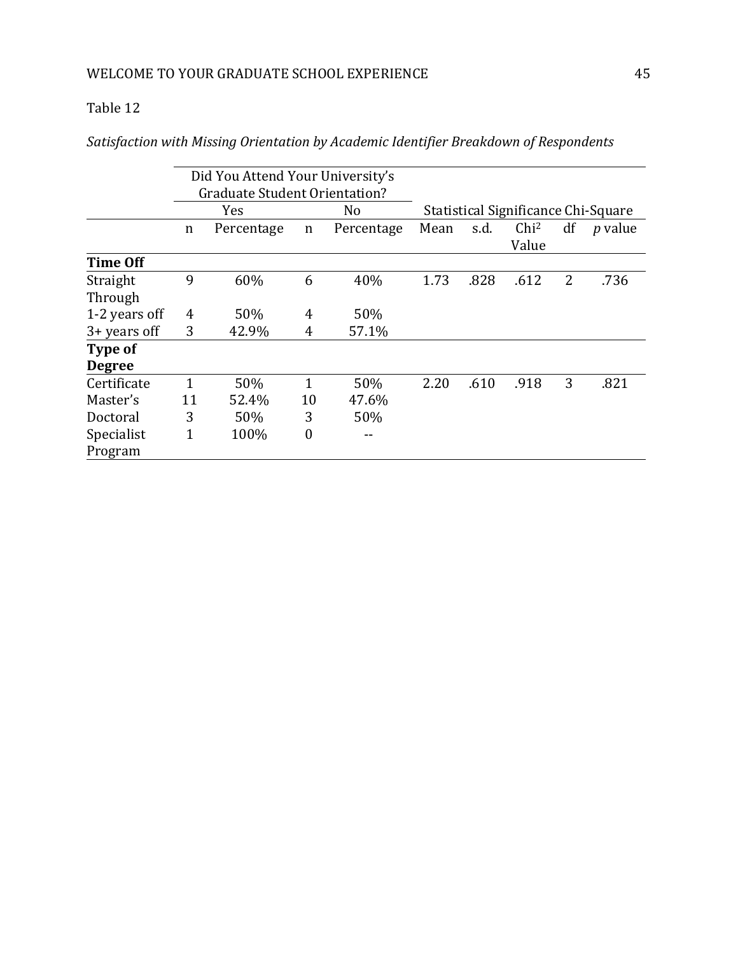*Satisfaction with Missing Orientation by Academic Identifier Breakdown of Respondents*

|                 |                                      | Did You Attend Your University's |                |            |                                     |      |                           |    |                |
|-----------------|--------------------------------------|----------------------------------|----------------|------------|-------------------------------------|------|---------------------------|----|----------------|
|                 | <b>Graduate Student Orientation?</b> |                                  |                |            |                                     |      |                           |    |                |
|                 |                                      | Yes                              |                | No         | Statistical Significance Chi-Square |      |                           |    |                |
|                 | n                                    | Percentage                       | n              | Percentage | Mean                                | s.d. | Chi <sup>2</sup><br>Value | df | <i>p</i> value |
| <b>Time Off</b> |                                      |                                  |                |            |                                     |      |                           |    |                |
| Straight        | 9                                    | 60%                              | 6              | 40%        | 1.73                                | .828 | .612                      | 2  | .736           |
| Through         |                                      |                                  |                |            |                                     |      |                           |    |                |
| 1-2 years off   | 4                                    | 50%                              | 4              | 50%        |                                     |      |                           |    |                |
| $3 + years$ off | 3                                    | 42.9%                            | 4              | 57.1%      |                                     |      |                           |    |                |
| Type of         |                                      |                                  |                |            |                                     |      |                           |    |                |
| <b>Degree</b>   |                                      |                                  |                |            |                                     |      |                           |    |                |
| Certificate     |                                      | 50%                              | 1              | 50%        | 2.20                                | .610 | .918                      | 3  | .821           |
| Master's        | 11                                   | 52.4%                            | 10             | 47.6%      |                                     |      |                           |    |                |
| Doctoral        | 3                                    | 50%                              | 3              | 50%        |                                     |      |                           |    |                |
| Specialist      | $\mathbf{1}$                         | 100%                             | $\overline{0}$ |            |                                     |      |                           |    |                |
| Program         |                                      |                                  |                |            |                                     |      |                           |    |                |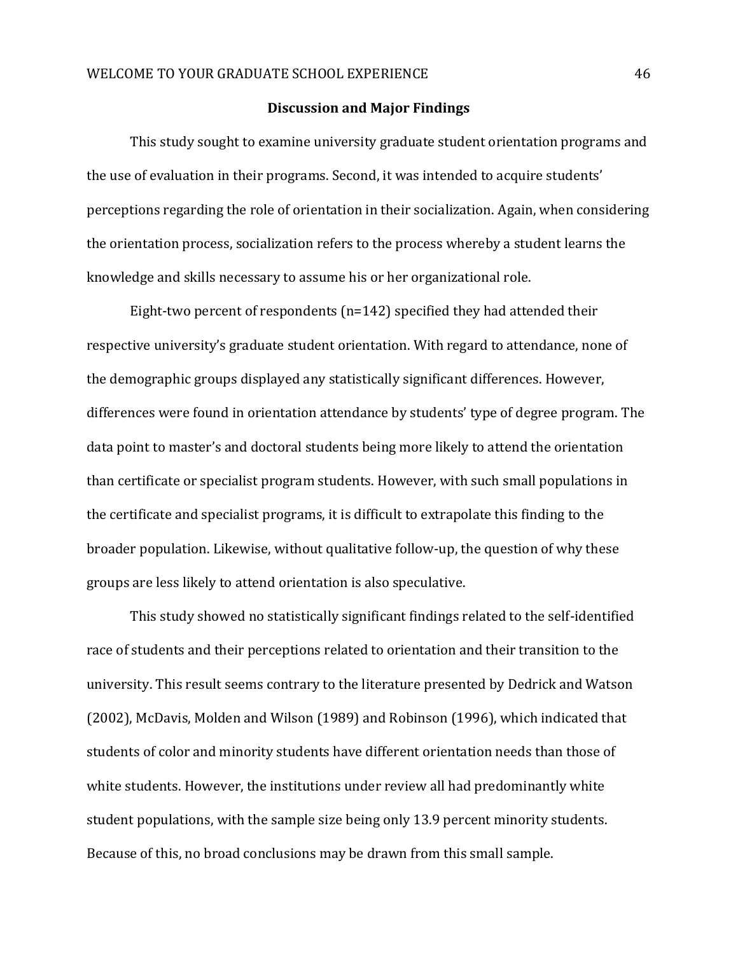#### **Discussion and Major Findings**

This study sought to examine university graduate student orientation programs and the use of evaluation in their programs. Second, it was intended to acquire students' perceptions regarding the role of orientation in their socialization. Again, when considering the orientation process, socialization refers to the process whereby a student learns the knowledge and skills necessary to assume his or her organizational role.

Eight-two percent of respondents (n=142) specified they had attended their respective university's graduate student orientation. With regard to attendance, none of the demographic groups displayed any statistically significant differences. However, differences were found in orientation attendance by students' type of degree program. The data point to master's and doctoral students being more likely to attend the orientation than certificate or specialist program students. However, with such small populations in the certificate and specialist programs, it is difficult to extrapolate this finding to the broader population. Likewise, without qualitative follow-up, the question of why these groups are less likely to attend orientation is also speculative.

This study showed no statistically significant findings related to the self-identified race of students and their perceptions related to orientation and their transition to the university. This result seems contrary to the literature presented by Dedrick and Watson (2002), McDavis, Molden and Wilson (1989) and Robinson (1996), which indicated that students of color and minority students have different orientation needs than those of white students. However, the institutions under review all had predominantly white student populations, with the sample size being only 13.9 percent minority students. Because of this, no broad conclusions may be drawn from this small sample.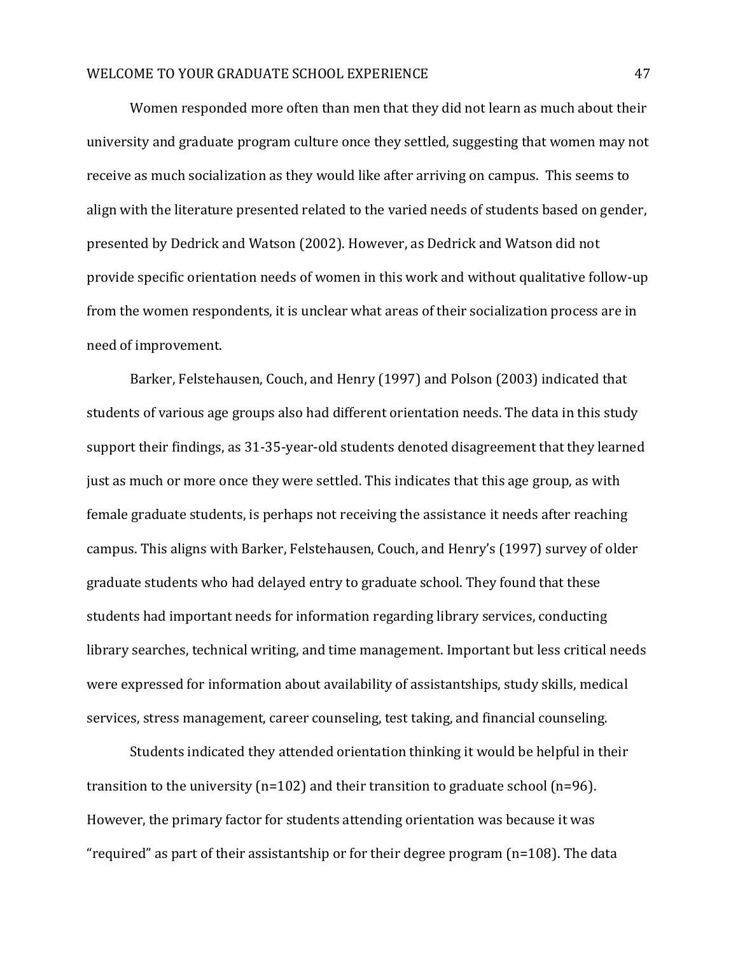Women responded more often than men that they did not learn as much about their university and graduate program culture once they settled, suggesting that women may not receive as much socialization as they would like after arriving on campus. This seems to align with the literature presented related to the varied needs of students based on gender, presented by Dedrick and Watson (2002). However, as Dedrick and Watson did not provide specific orientation needs of women in this work and without qualitative follow-up from the women respondents, it is unclear what areas of their socialization process are in need of improvement.

Barker, Felstehausen, Couch, and Henry (1997) and Polson (2003) indicated that students of various age groups also had different orientation needs. The data in this study support their findings, as 31-35-year-old students denoted disagreement that they learned just as much or more once they were settled. This indicates that this age group, as with female graduate students, is perhaps not receiving the assistance it needs after reaching campus. This aligns with Barker, Felstehausen, Couch, and Henry's (1997) survey of older graduate students who had delayed entry to graduate school. They found that these students had important needs for information regarding library services, conducting library searches, technical writing, and time management. Important but less critical needs were expressed for information about availability of assistantships, study skills, medical services, stress management, career counseling, test taking, and financial counseling.

Students indicated they attended orientation thinking it would be helpful in their transition to the university (n=102) and their transition to graduate school (n=96). However, the primary factor for students attending orientation was because it was "required" as part of their assistantship or for their degree program (n=108). The data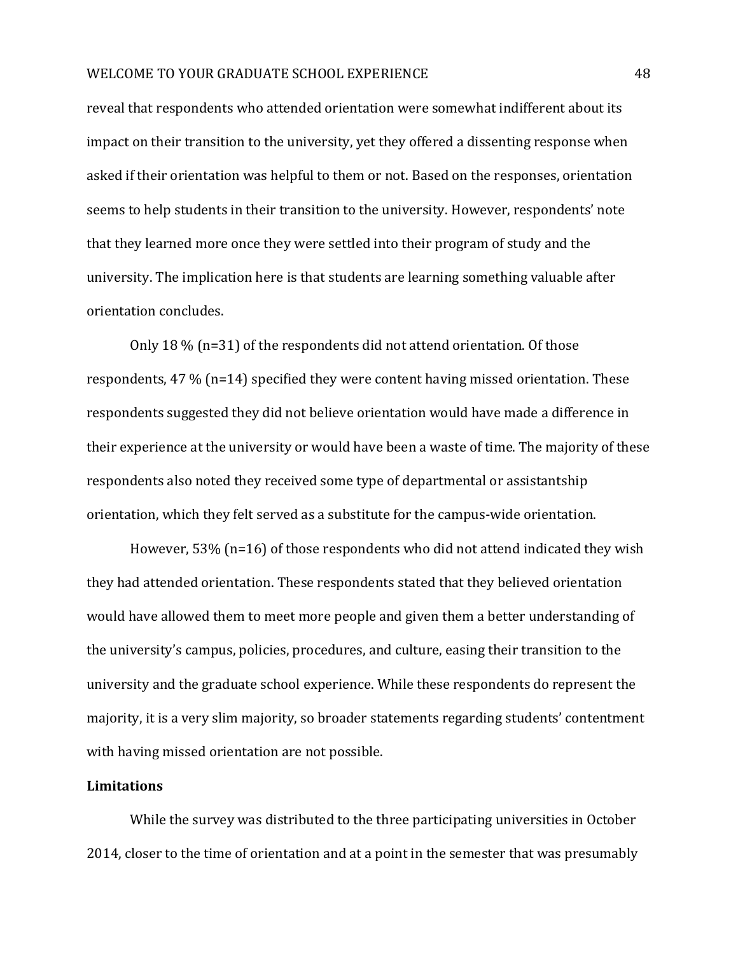reveal that respondents who attended orientation were somewhat indifferent about its impact on their transition to the university, yet they offered a dissenting response when asked if their orientation was helpful to them or not. Based on the responses, orientation seems to help students in their transition to the university. However, respondents' note that they learned more once they were settled into their program of study and the university. The implication here is that students are learning something valuable after orientation concludes.

Only 18 % (n=31) of the respondents did not attend orientation. Of those respondents, 47 % (n=14) specified they were content having missed orientation. These respondents suggested they did not believe orientation would have made a difference in their experience at the university or would have been a waste of time. The majority of these respondents also noted they received some type of departmental or assistantship orientation, which they felt served as a substitute for the campus-wide orientation.

However, 53% (n=16) of those respondents who did not attend indicated they wish they had attended orientation. These respondents stated that they believed orientation would have allowed them to meet more people and given them a better understanding of the university's campus, policies, procedures, and culture, easing their transition to the university and the graduate school experience. While these respondents do represent the majority, it is a very slim majority, so broader statements regarding students' contentment with having missed orientation are not possible.

#### **Limitations**

While the survey was distributed to the three participating universities in October 2014, closer to the time of orientation and at a point in the semester that was presumably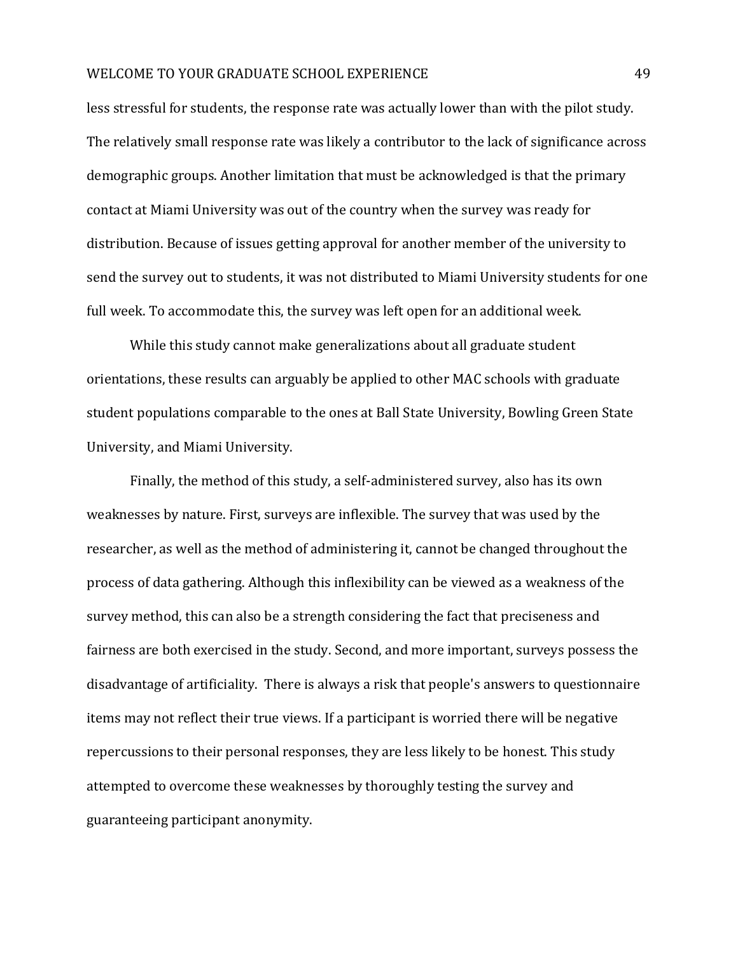less stressful for students, the response rate was actually lower than with the pilot study. The relatively small response rate was likely a contributor to the lack of significance across demographic groups. Another limitation that must be acknowledged is that the primary contact at Miami University was out of the country when the survey was ready for distribution. Because of issues getting approval for another member of the university to send the survey out to students, it was not distributed to Miami University students for one full week. To accommodate this, the survey was left open for an additional week.

While this study cannot make generalizations about all graduate student orientations, these results can arguably be applied to other MAC schools with graduate student populations comparable to the ones at Ball State University, Bowling Green State University, and Miami University.

Finally, the method of this study, a self-administered survey, also has its own weaknesses by nature. First, surveys are inflexible. The survey that was used by the researcher, as well as the method of administering it, cannot be changed throughout the process of data gathering. Although this inflexibility can be viewed as a weakness of the survey method, this can also be a strength considering the fact that preciseness and fairness are both exercised in the study. Second, and more important, surveys possess the disadvantage of artificiality. There is always a risk that people's answers to questionnaire items may not reflect their true views. If a participant is worried there will be negative repercussions to their personal responses, they are less likely to be honest. This study attempted to overcome these weaknesses by thoroughly testing the survey and guaranteeing participant anonymity.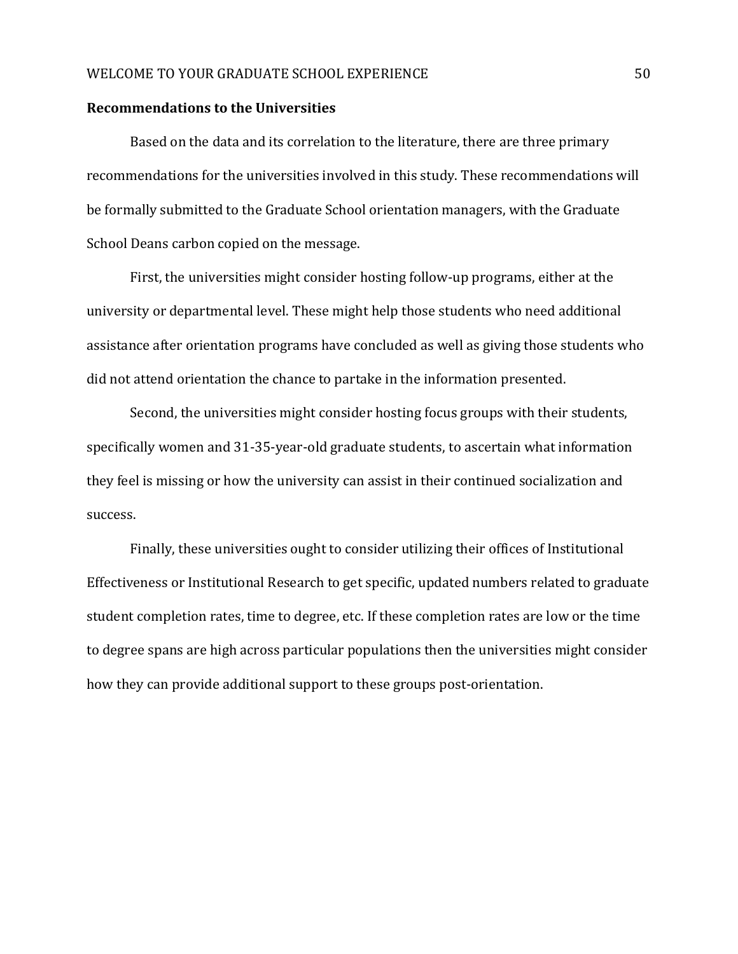#### **Recommendations to the Universities**

Based on the data and its correlation to the literature, there are three primary recommendations for the universities involved in this study. These recommendations will be formally submitted to the Graduate School orientation managers, with the Graduate School Deans carbon copied on the message.

First, the universities might consider hosting follow-up programs, either at the university or departmental level. These might help those students who need additional assistance after orientation programs have concluded as well as giving those students who did not attend orientation the chance to partake in the information presented.

Second, the universities might consider hosting focus groups with their students, specifically women and 31-35-year-old graduate students, to ascertain what information they feel is missing or how the university can assist in their continued socialization and success.

Finally, these universities ought to consider utilizing their offices of Institutional Effectiveness or Institutional Research to get specific, updated numbers related to graduate student completion rates, time to degree, etc. If these completion rates are low or the time to degree spans are high across particular populations then the universities might consider how they can provide additional support to these groups post-orientation.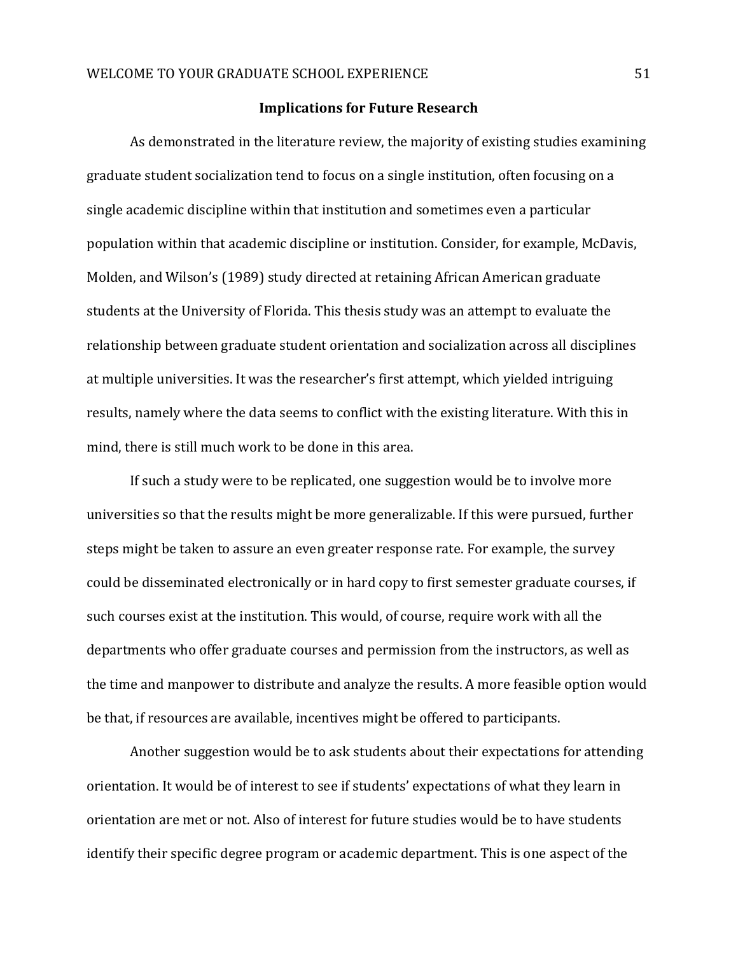#### **Implications for Future Research**

As demonstrated in the literature review, the majority of existing studies examining graduate student socialization tend to focus on a single institution, often focusing on a single academic discipline within that institution and sometimes even a particular population within that academic discipline or institution. Consider, for example, McDavis, Molden, and Wilson's (1989) study directed at retaining African American graduate students at the University of Florida. This thesis study was an attempt to evaluate the relationship between graduate student orientation and socialization across all disciplines at multiple universities. It was the researcher's first attempt, which yielded intriguing results, namely where the data seems to conflict with the existing literature. With this in mind, there is still much work to be done in this area.

If such a study were to be replicated, one suggestion would be to involve more universities so that the results might be more generalizable. If this were pursued, further steps might be taken to assure an even greater response rate. For example, the survey could be disseminated electronically or in hard copy to first semester graduate courses, if such courses exist at the institution. This would, of course, require work with all the departments who offer graduate courses and permission from the instructors, as well as the time and manpower to distribute and analyze the results. A more feasible option would be that, if resources are available, incentives might be offered to participants.

Another suggestion would be to ask students about their expectations for attending orientation. It would be of interest to see if students' expectations of what they learn in orientation are met or not. Also of interest for future studies would be to have students identify their specific degree program or academic department. This is one aspect of the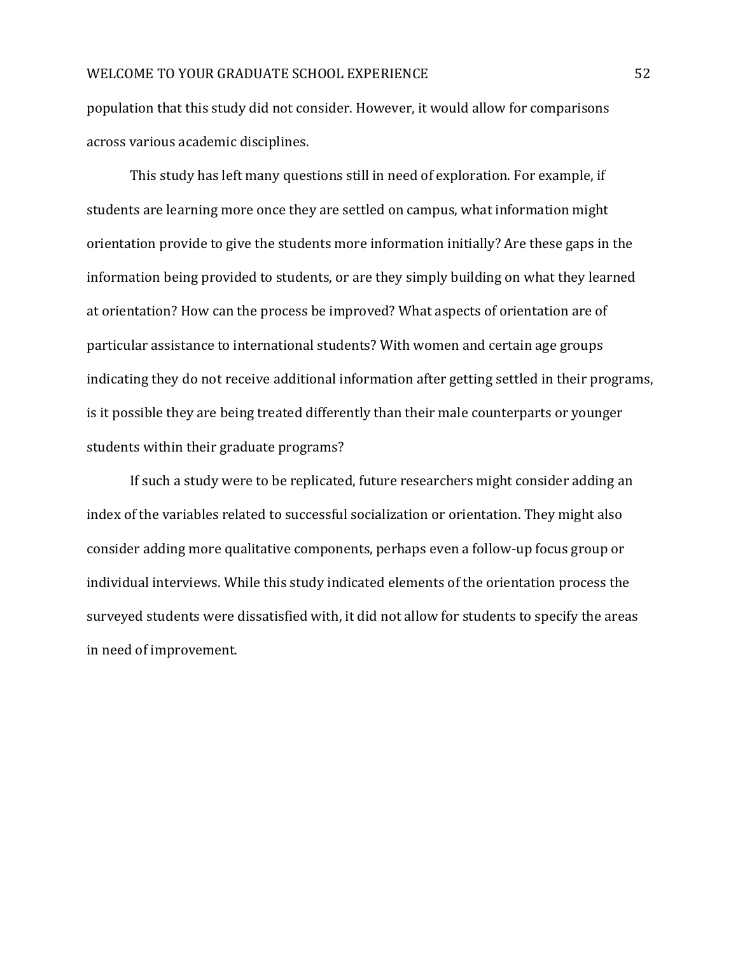population that this study did not consider. However, it would allow for comparisons across various academic disciplines.

This study has left many questions still in need of exploration. For example, if students are learning more once they are settled on campus, what information might orientation provide to give the students more information initially? Are these gaps in the information being provided to students, or are they simply building on what they learned at orientation? How can the process be improved? What aspects of orientation are of particular assistance to international students? With women and certain age groups indicating they do not receive additional information after getting settled in their programs, is it possible they are being treated differently than their male counterparts or younger students within their graduate programs?

If such a study were to be replicated, future researchers might consider adding an index of the variables related to successful socialization or orientation. They might also consider adding more qualitative components, perhaps even a follow-up focus group or individual interviews. While this study indicated elements of the orientation process the surveyed students were dissatisfied with, it did not allow for students to specify the areas in need of improvement.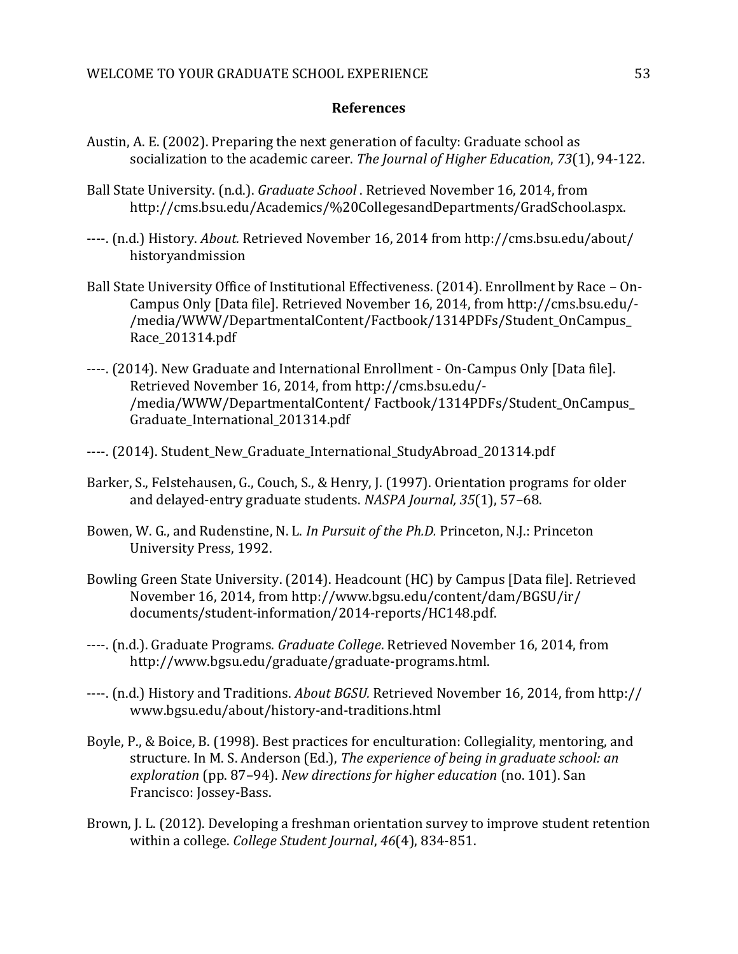### **References**

- Austin, A. E. (2002). Preparing the next generation of faculty: Graduate school as socialization to the academic career. *The Journal of Higher Education*, *73*(1), 94-122.
- Ball State University. (n.d.). *Graduate School* . Retrieved November 16, 2014, from http://cms.bsu.edu/Academics/%20CollegesandDepartments/GradSchool.aspx.
- ----. (n.d.) History. *About.* Retrieved November 16, 2014 from http://cms.bsu.edu/about/ historyandmission
- Ball State University Office of Institutional Effectiveness. (2014). Enrollment by Race On-Campus Only [Data file]. Retrieved November 16, 2014, from http://cms.bsu.edu/- /media/WWW/DepartmentalContent/Factbook/1314PDFs/Student\_OnCampus\_ Race\_201314.pdf
- ----. (2014). New Graduate and International Enrollment On-Campus Only [Data file]. Retrieved November 16, 2014, from http://cms.bsu.edu/- /media/WWW/DepartmentalContent/ Factbook/1314PDFs/Student\_OnCampus\_ Graduate\_International\_201314.pdf
- ----. (2014). Student New Graduate International StudyAbroad 201314.pdf
- Barker, S., Felstehausen, G., Couch, S., & Henry, J. (1997). Orientation programs for older and delayed-entry graduate students. *NASPA Journal, 35*(1), 57–68.
- Bowen, W. G., and Rudenstine, N. L. *In Pursuit of the Ph.D.* Princeton, N.J.: Princeton University Press, 1992.
- Bowling Green State University. (2014). Headcount (HC) by Campus [Data file]. Retrieved November 16, 2014, from http://www.bgsu.edu/content/dam/BGSU/ir/ documents/student-information/2014-reports/HC148.pdf.
- ----. (n.d.). Graduate Programs. *Graduate College*. Retrieved November 16, 2014, from http://www.bgsu.edu/graduate/graduate-programs.html.
- ----. (n.d.) History and Traditions. *About BGSU.* Retrieved November 16, 2014, from http:// www.bgsu.edu/about/history-and-traditions.html
- Boyle, P., & Boice, B. (1998). Best practices for enculturation: Collegiality, mentoring, and structure. In M. S. Anderson (Ed.), *The experience of being in graduate school: an exploration* (pp. 87–94). *New directions for higher education* (no. 101). San Francisco: Jossey-Bass.
- Brown, J. L. (2012). Developing a freshman orientation survey to improve student retention within a college. *College Student Journal*, *46*(4), 834-851.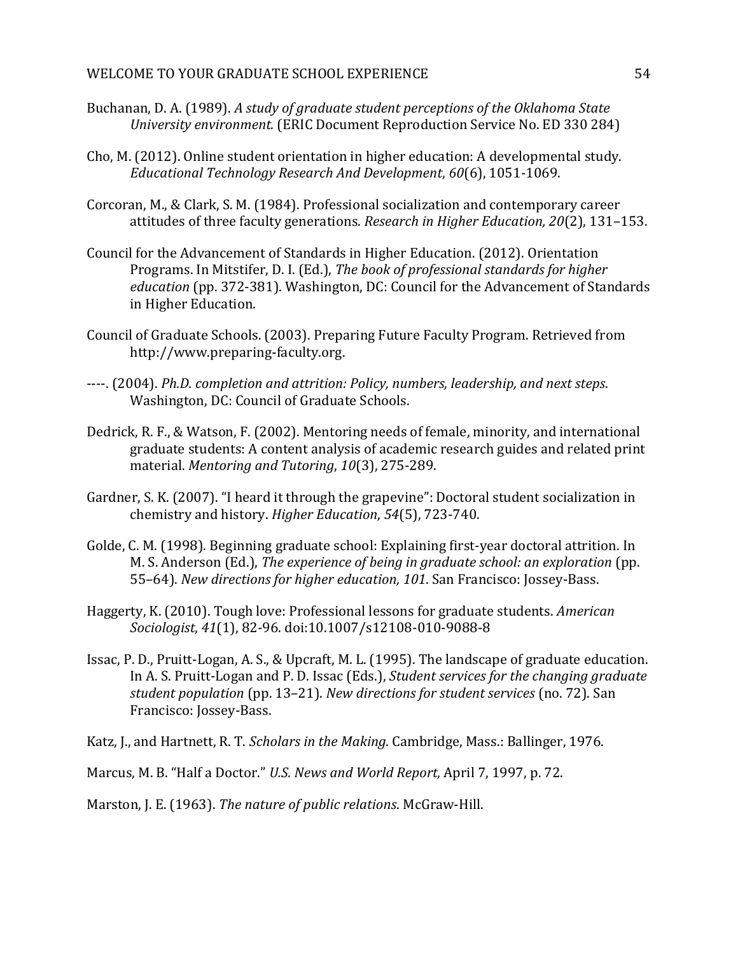- Buchanan, D. A. (1989). *A study of graduate student perceptions of the Oklahoma State University environment.* (ERIC Document Reproduction Service No. ED 330 284)
- Cho, M. (2012). Online student orientation in higher education: A developmental study. *Educational Technology Research And Development*, *60*(6), 1051-1069.
- Corcoran, M., & Clark, S. M. (1984). Professional socialization and contemporary career attitudes of three faculty generations. *Research in Higher Education, 20*(2), 131–153.
- Council for the Advancement of Standards in Higher Education. (2012). Orientation Programs. In Mitstifer, D. I. (Ed.), *The book of professional standards for higher education* (pp. 372-381). Washington, DC: Council for the Advancement of Standards in Higher Education.
- Council of Graduate Schools. (2003). Preparing Future Faculty Program. Retrieved from http://www.preparing-faculty.org.
- ----. (2004). *Ph.D. completion and attrition: Policy, numbers, leadership, and next steps*. Washington, DC: Council of Graduate Schools.
- Dedrick, R. F., & Watson, F. (2002). Mentoring needs of female, minority, and international graduate students: A content analysis of academic research guides and related print material. *Mentoring and Tutoring*, *10*(3), 275-289.
- Gardner, S. K. (2007). "I heard it through the grapevine": Doctoral student socialization in chemistry and history. *Higher Education*, *54*(5), 723-740.
- Golde, C. M. (1998). Beginning graduate school: Explaining first-year doctoral attrition. In M. S. Anderson (Ed.), *The experience of being in graduate school: an exploration* (pp. 55–64). *New directions for higher education, 101*. San Francisco: Jossey-Bass.
- Haggerty, K. (2010). Tough love: Professional lessons for graduate students. *American Sociologist*, *41*(1), 82-96. doi:10.1007/s12108-010-9088-8
- Issac, P. D., Pruitt-Logan, A. S., & Upcraft, M. L. (1995). The landscape of graduate education. In A. S. Pruitt-Logan and P. D. Issac (Eds.), *Student services for the changing graduate student population* (pp. 13–21). *New directions for student services* (no. 72). San Francisco: Jossey-Bass.
- Katz, J., and Hartnett, R. T. *Scholars in the Making.* Cambridge, Mass.: Ballinger, 1976.
- Marcus, M. B. "Half a Doctor." *U.S. News and World Report,* April 7, 1997, p. 72.

Marston, J. E. (1963). *The nature of public relations*. McGraw-Hill.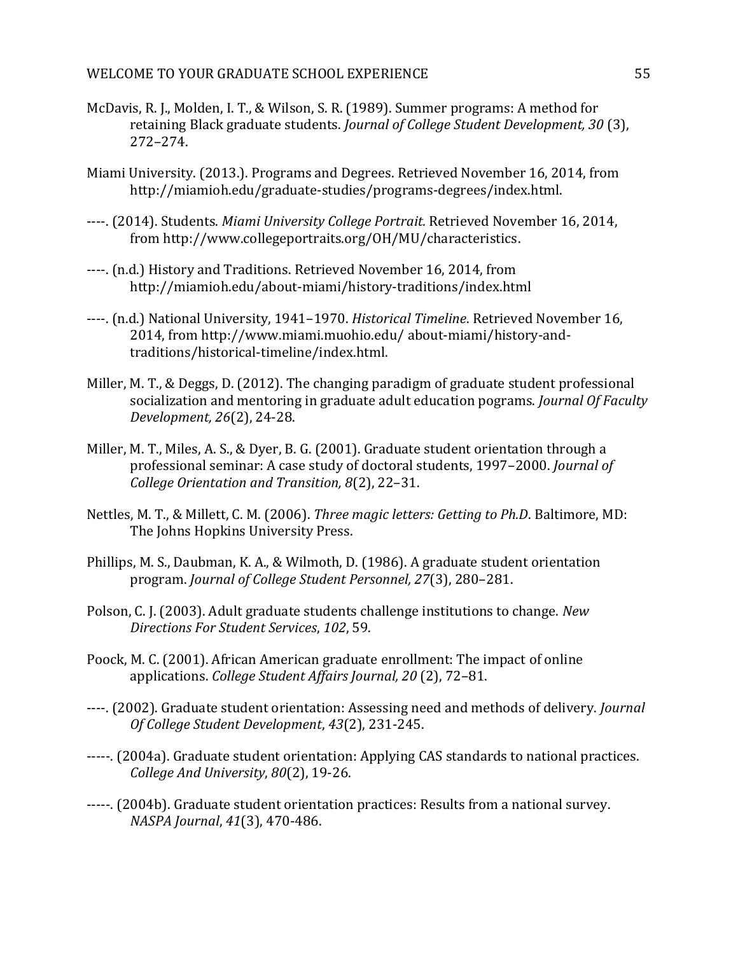- McDavis, R. J., Molden, I. T., & Wilson, S. R. (1989). Summer programs: A method for retaining Black graduate students. *Journal of College Student Development, 30* (3), 272–274.
- Miami University. (2013.). Programs and Degrees. Retrieved November 16, 2014, from http://miamioh.edu/graduate-studies/programs-degrees/index.html.
- ----. (2014). Students. *Miami University College Portrait.* Retrieved November 16, 2014, from http://www.collegeportraits.org/OH/MU/characteristics.
- ----. (n.d.) History and Traditions. Retrieved November 16, 2014, from http://miamioh.edu/about-miami/history-traditions/index.html
- ----. (n.d.) National University, 1941–1970. *Historical Timeline*. Retrieved November 16, 2014, from http://www.miami.muohio.edu/ about-miami/history-andtraditions/historical-timeline/index.html.
- Miller, M. T., & Deggs, D. (2012). The changing paradigm of graduate student professional socialization and mentoring in graduate adult education pograms. *Journal Of Faculty Development, 26*(2), 24-28.
- Miller, M. T., Miles, A. S., & Dyer, B. G. (2001). Graduate student orientation through a professional seminar: A case study of doctoral students, 1997–2000. *Journal of College Orientation and Transition, 8*(2), 22–31.
- Nettles, M. T., & Millett, C. M. (2006). *Three magic letters: Getting to Ph.D*. Baltimore, MD: The Johns Hopkins University Press.
- Phillips, M. S., Daubman, K. A., & Wilmoth, D. (1986). A graduate student orientation program. *Journal of College Student Personnel, 27*(3), 280–281.
- Polson, C. J. (2003). Adult graduate students challenge institutions to change. *New Directions For Student Services*, *102*, 59.
- Poock, M. C. (2001). African American graduate enrollment: The impact of online applications. *College Student Affairs Journal, 20* (2), 72–81.
- ----. (2002). Graduate student orientation: Assessing need and methods of delivery. *Journal Of College Student Development*, *43*(2), 231-245.
- -----. (2004a). Graduate student orientation: Applying CAS standards to national practices. *College And University*, *80*(2), 19-26.
- -----. (2004b). Graduate student orientation practices: Results from a national survey. *NASPA Journal*, *41*(3), 470-486.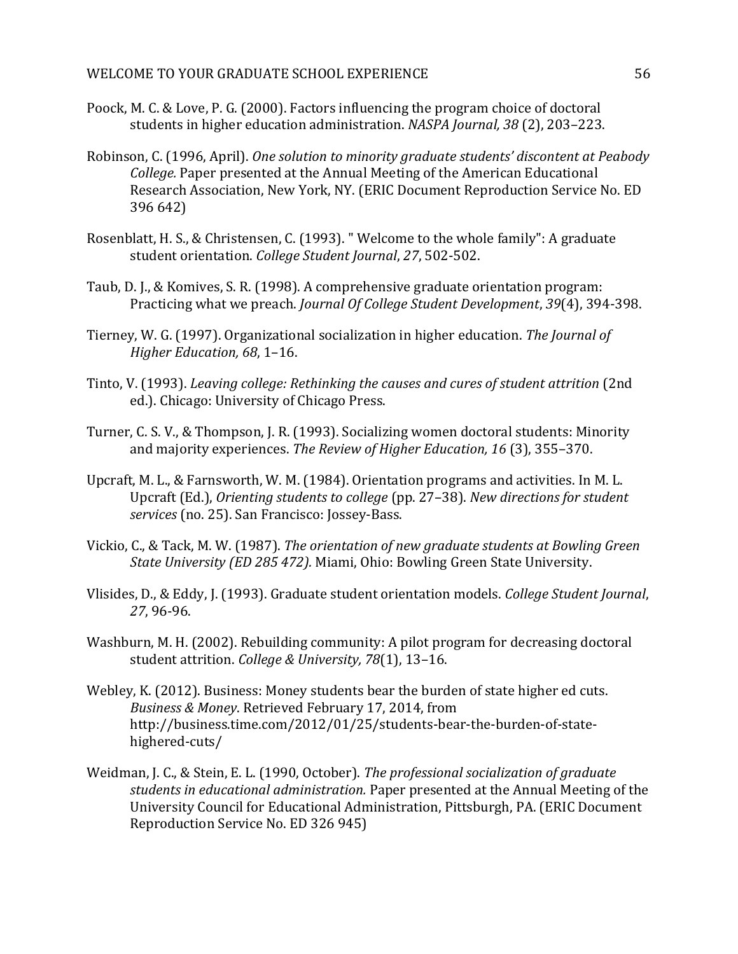- Poock, M. C. & Love, P. G. (2000). Factors influencing the program choice of doctoral students in higher education administration. *NASPA Journal, 38* (2), 203–223.
- Robinson, C. (1996, April). *One solution to minority graduate students' discontent at Peabody College.* Paper presented at the Annual Meeting of the American Educational Research Association, New York, NY. (ERIC Document Reproduction Service No. ED 396 642)
- Rosenblatt, H. S., & Christensen, C. (1993). " Welcome to the whole family": A graduate student orientation. *College Student Journal*, *27*, 502-502.
- Taub, D. J., & Komives, S. R. (1998). A comprehensive graduate orientation program: Practicing what we preach. *Journal Of College Student Development*, *39*(4), 394-398.
- Tierney, W. G. (1997). Organizational socialization in higher education. *The Journal of Higher Education, 68*, 1–16.
- Tinto, V. (1993). *Leaving college: Rethinking the causes and cures of student attrition* (2nd ed.). Chicago: University of Chicago Press.
- Turner, C. S. V., & Thompson, J. R. (1993). Socializing women doctoral students: Minority and majority experiences. *The Review of Higher Education, 16* (3), 355–370.
- Upcraft, M. L., & Farnsworth, W. M. (1984). Orientation programs and activities. In M. L. Upcraft (Ed.), *Orienting students to college* (pp. 27–38). *New directions for student services* (no. 25). San Francisco: Jossey-Bass.
- Vickio, C., & Tack, M. W. (1987). *The orientation of new graduate students at Bowling Green State University (ED 285 472).* Miami, Ohio: Bowling Green State University.
- Vlisides, D., & Eddy, J. (1993). Graduate student orientation models. *College Student Journal*, *27*, 96-96.
- Washburn, M. H. (2002). Rebuilding community: A pilot program for decreasing doctoral student attrition. *College & University, 78*(1), 13–16.
- Webley, K. (2012). Business: Money students bear the burden of state higher ed cuts. *Business & Money*. Retrieved February 17, 2014, from http://business.time.com/2012/01/25/students-bear-the-burden-of-statehighered-cuts/
- Weidman, J. C., & Stein, E. L. (1990, October). *The professional socialization of graduate students in educational administration.* Paper presented at the Annual Meeting of the University Council for Educational Administration, Pittsburgh, PA. (ERIC Document Reproduction Service No. ED 326 945)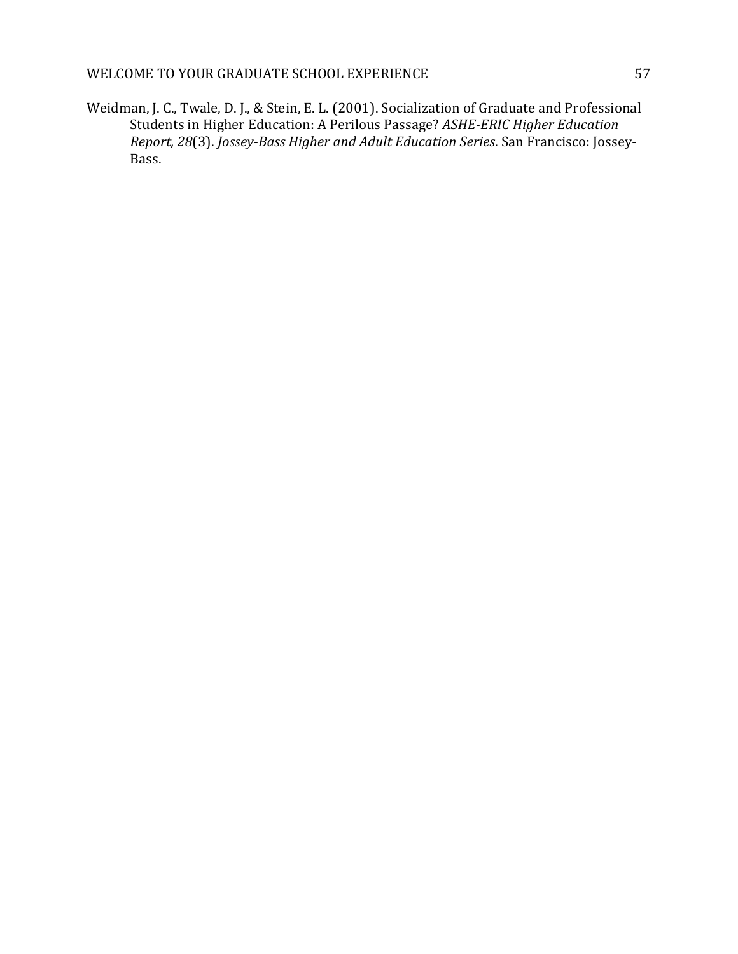Weidman, J. C., Twale, D. J., & Stein, E. L. (2001). Socialization of Graduate and Professional Students in Higher Education: A Perilous Passage? *ASHE-ERIC Higher Education Report, 28*(3). *Jossey-Bass Higher and Adult Education Series*. San Francisco: Jossey-Bass.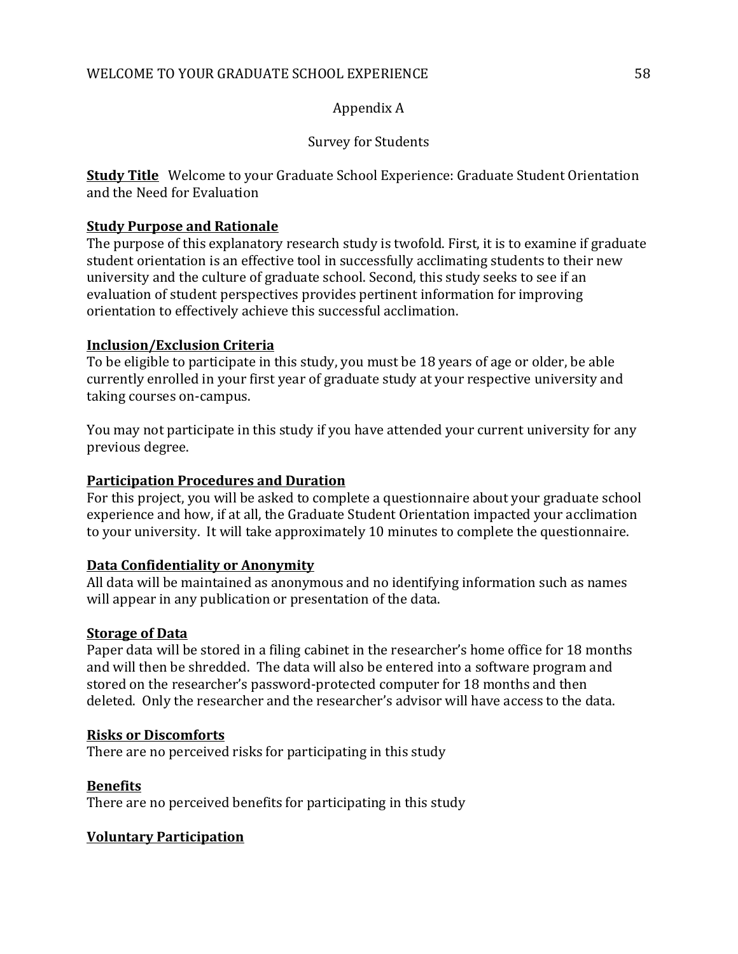# Appendix A

# Survey for Students

**Study Title** Welcome to your Graduate School Experience: Graduate Student Orientation and the Need for Evaluation

# **Study Purpose and Rationale**

The purpose of this explanatory research study is twofold. First, it is to examine if graduate student orientation is an effective tool in successfully acclimating students to their new university and the culture of graduate school. Second, this study seeks to see if an evaluation of student perspectives provides pertinent information for improving orientation to effectively achieve this successful acclimation.

# **Inclusion/Exclusion Criteria**

To be eligible to participate in this study, you must be 18 years of age or older, be able currently enrolled in your first year of graduate study at your respective university and taking courses on-campus.

You may not participate in this study if you have attended your current university for any previous degree.

# **Participation Procedures and Duration**

For this project, you will be asked to complete a questionnaire about your graduate school experience and how, if at all, the Graduate Student Orientation impacted your acclimation to your university. It will take approximately 10 minutes to complete the questionnaire.

# **Data Confidentiality or Anonymity**

All data will be maintained as anonymous and no identifying information such as names will appear in any publication or presentation of the data.

# **Storage of Data**

Paper data will be stored in a filing cabinet in the researcher's home office for 18 months and will then be shredded. The data will also be entered into a software program and stored on the researcher's password-protected computer for 18 months and then deleted. Only the researcher and the researcher's advisor will have access to the data.

# **Risks or Discomforts**

There are no perceived risks for participating in this study

# **Benefits**

There are no perceived benefits for participating in this study

# **Voluntary Participation**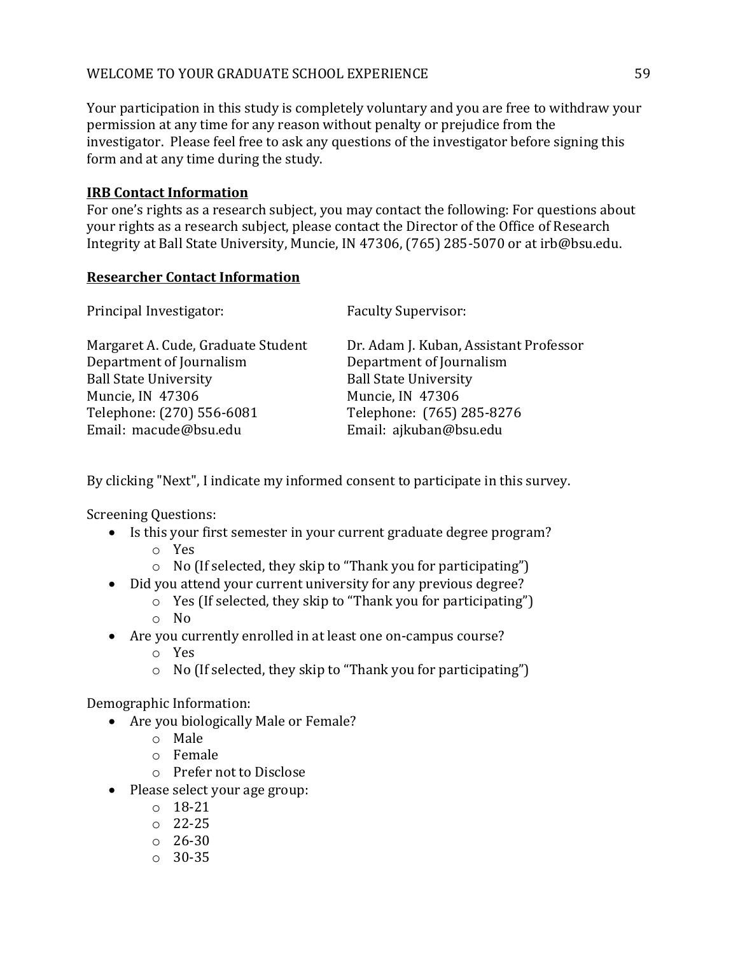Your participation in this study is completely voluntary and you are free to withdraw your permission at any time for any reason without penalty or prejudice from the investigator. Please feel free to ask any questions of the investigator before signing this form and at any time during the study.

# **IRB Contact Information**

For one's rights as a research subject, you may contact the following: For questions about your rights as a research subject, please contact the Director of the Office of Research Integrity at Ball State University, Muncie, IN 47306, (765) 285-5070 or at irb@bsu.edu.

# **Researcher Contact Information**

| Principal Investigator:            | <b>Faculty Supervisor:</b>             |
|------------------------------------|----------------------------------------|
| Margaret A. Cude, Graduate Student | Dr. Adam J. Kuban, Assistant Professor |
| Department of Journalism           | Department of Journalism               |
| <b>Ball State University</b>       | <b>Ball State University</b>           |
| Muncie, IN 47306                   | Muncie, IN 47306                       |
| Telephone: (270) 556-6081          | Telephone: (765) 285-8276              |
| Email: macude@bsu.edu              | Email: ajkuban@bsu.edu                 |

By clicking "Next", I indicate my informed consent to participate in this survey.

Screening Questions:

- Is this your first semester in your current graduate degree program? o Yes
	- o No (If selected, they skip to "Thank you for participating")
- Did you attend your current university for any previous degree?
	- o Yes (If selected, they skip to "Thank you for participating")
	- o No
- Are you currently enrolled in at least one on-campus course?
	- o Yes
	- o No (If selected, they skip to "Thank you for participating")

Demographic Information:

- Are you biologically Male or Female?
	- o Male
	- o Female
	- o Prefer not to Disclose
- Please select your age group:
	- o 18-21
	- o 22-25
	- o 26-30
	- o 30-35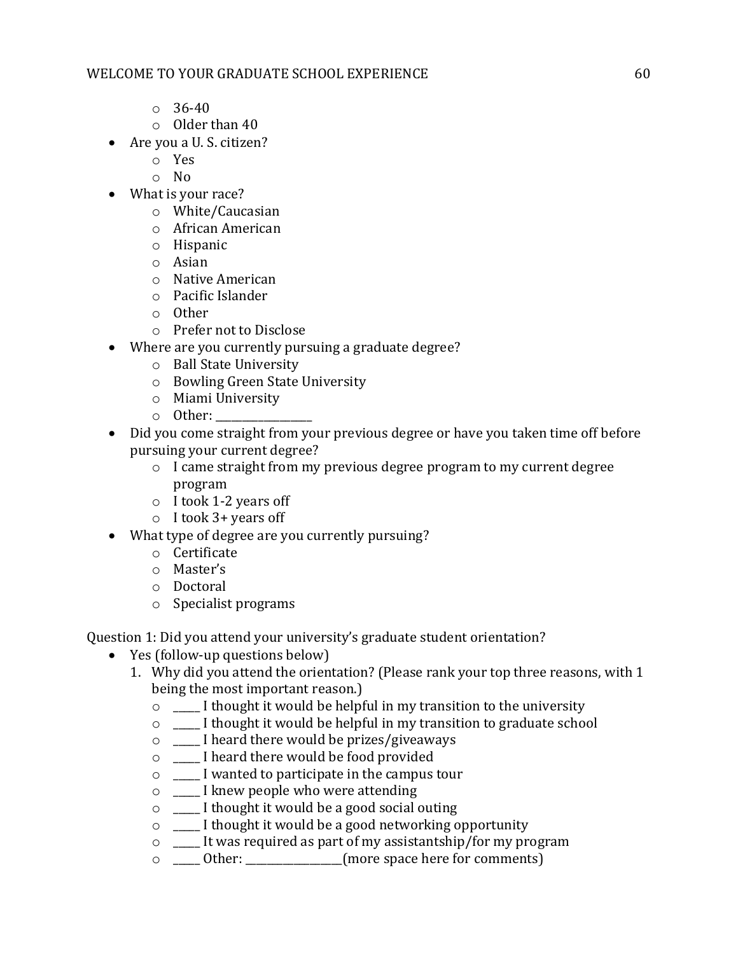# WELCOME TO YOUR GRADUATE SCHOOL EXPERIENCE FOR CONSERVANCE AND THE GO

- $\circ$  36-40
- o Older than 40
- Are you a U. S. citizen?
	- o Yes
	- o No
- What is your race?
	- o White/Caucasian
	- o African American
	- o Hispanic
	- o Asian
	- o Native American
	- o Pacific Islander
	- o Other
	- o Prefer not to Disclose
- Where are you currently pursuing a graduate degree?
	- o Ball State University
	- o Bowling Green State University
	- o Miami University
	- $\circ$  Other:
- Did you come straight from your previous degree or have you taken time off before pursuing your current degree?
	- o I came straight from my previous degree program to my current degree program
	- o I took 1-2 years off
	- o I took 3+ years off
- What type of degree are you currently pursuing?
	- o Certificate
	- o Master's
	- o Doctoral
	- o Specialist programs

Question 1: Did you attend your university's graduate student orientation?

- Yes (follow-up questions below)
	- 1. Why did you attend the orientation? (Please rank your top three reasons, with 1 being the most important reason.)
		- o \_\_\_\_\_ I thought it would be helpful in my transition to the university
		- o \_\_\_\_\_ I thought it would be helpful in my transition to graduate school
		- o \_\_\_\_\_ I heard there would be prizes/giveaways
		- o \_\_\_\_\_ I heard there would be food provided
		- o \_\_\_\_\_ I wanted to participate in the campus tour
		- o \_\_\_\_\_ I knew people who were attending
		- o \_\_\_\_\_ I thought it would be a good social outing
		- o \_\_\_\_\_ I thought it would be a good networking opportunity
		- o \_\_\_\_\_ It was required as part of my assistantship/for my program
		- o \_\_\_\_\_ Other: \_\_\_\_\_\_\_\_\_\_\_\_\_\_\_\_\_\_(more space here for comments)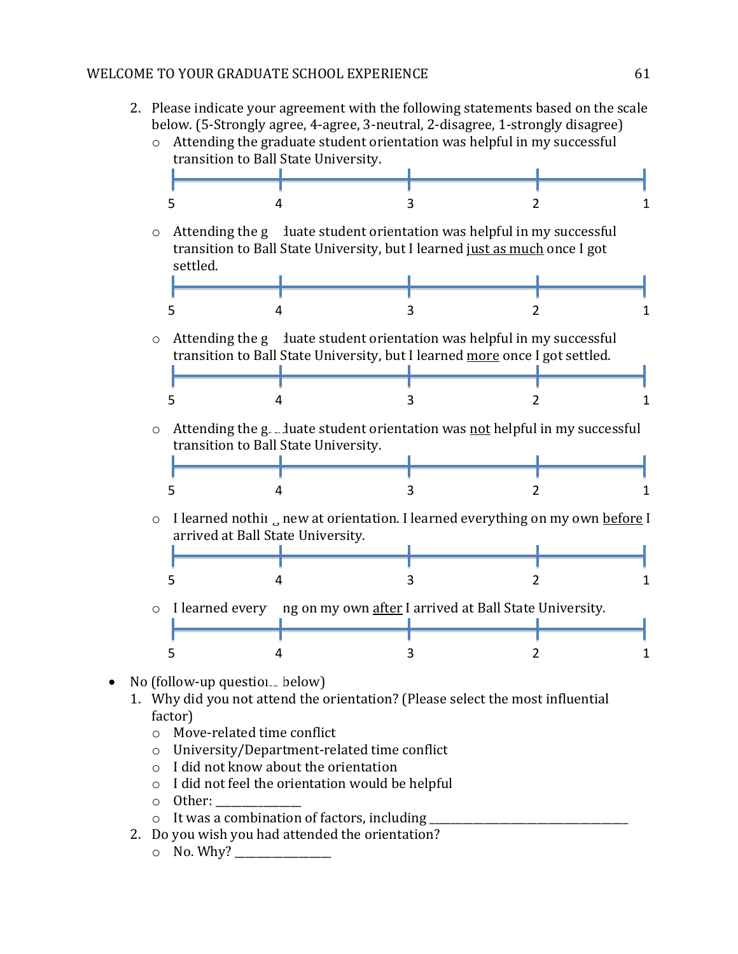2. Please indicate your agreement with the following statements based on the scale below. (5-Strongly agree, 4-agree, 3-neutral, 2-disagree, 1-strongly disagree)



- No (follow-up questions below)
	- 1. Why did you not attend the orientation? (Please select the most influential factor)
		- o Move-related time conflict
		- o University/Department-related time conflict
		- o I did not know about the orientation
		- o I did not feel the orientation would be helpful
		- o Other: \_\_\_\_\_\_\_\_\_\_\_\_\_\_\_\_
		- $\circ$  It was a combination of factors, including
	- 2. Do you wish you had attended the orientation?
		- $\circ$  No. Why?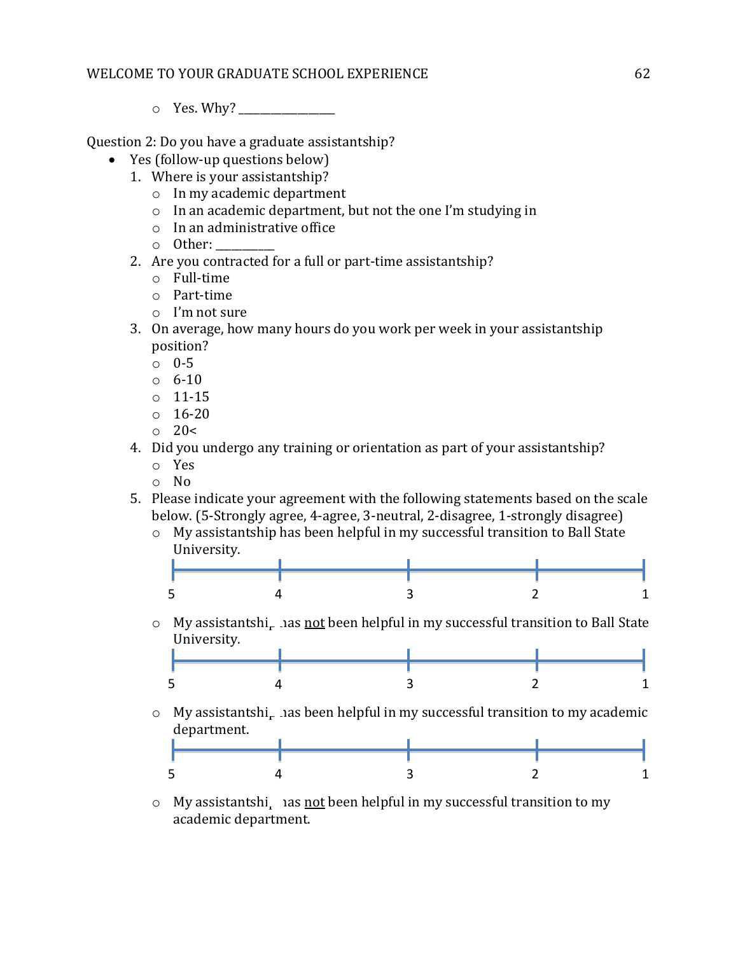o Yes. Why? \_\_\_\_\_\_\_\_\_\_\_\_\_\_\_\_\_\_

Question 2: Do you have a graduate assistantship?

- Yes (follow-up questions below)
	- 1. Where is your assistantship?
		- o In my academic department
		- o In an academic department, but not the one I'm studying in
		- o In an administrative office
		- o Other: \_\_\_\_\_\_\_\_\_\_\_
	- 2. Are you contracted for a full or part-time assistantship?
		- o Full-time
		- o Part-time
		- o I'm not sure
	- 3. On average, how many hours do you work per week in your assistantship position?
		- o 0-5
		- o 6-10
		- o 11-15
		- $0 \quad 16 20$
		- $\circ$  20 $\lt$
	- 4. Did you undergo any training or orientation as part of your assistantship?
		- o Yes
		- o No
	- 5. Please indicate your agreement with the following statements based on the scale below. (5-Strongly agree, 4-agree, 3-neutral, 2-disagree, 1-strongly disagree)
		- o My assistantship has been helpful in my successful transition to Ball State University.



o My assistantshi<sub>r</sub> has not been helpful in my successful transition to Ball State University.



 $\circ$  My assistantshi<sub>r</sub> has been helpful in my successful transition to my academic department.



 $\circ$  My assistantshi<sub>r</sub> has not been helpful in my successful transition to my academic department.